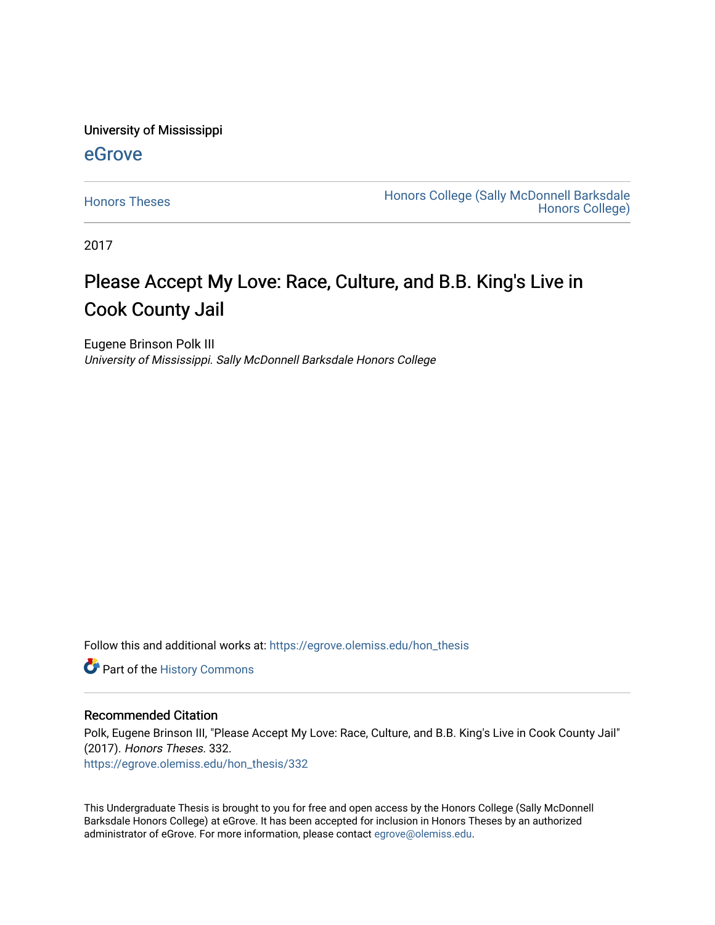University of Mississippi

## [eGrove](https://egrove.olemiss.edu/)

[Honors Theses](https://egrove.olemiss.edu/hon_thesis) **Honors College (Sally McDonnell Barksdale** [Honors College\)](https://egrove.olemiss.edu/honors) 

2017

# Please Accept My Love: Race, Culture, and B.B. King's Live in Cook County Jail

Eugene Brinson Polk III University of Mississippi. Sally McDonnell Barksdale Honors College

Follow this and additional works at: [https://egrove.olemiss.edu/hon\\_thesis](https://egrove.olemiss.edu/hon_thesis?utm_source=egrove.olemiss.edu%2Fhon_thesis%2F332&utm_medium=PDF&utm_campaign=PDFCoverPages) 

**P** Part of the History Commons

#### Recommended Citation

Polk, Eugene Brinson III, "Please Accept My Love: Race, Culture, and B.B. King's Live in Cook County Jail" (2017). Honors Theses. 332. [https://egrove.olemiss.edu/hon\\_thesis/332](https://egrove.olemiss.edu/hon_thesis/332?utm_source=egrove.olemiss.edu%2Fhon_thesis%2F332&utm_medium=PDF&utm_campaign=PDFCoverPages) 

This Undergraduate Thesis is brought to you for free and open access by the Honors College (Sally McDonnell Barksdale Honors College) at eGrove. It has been accepted for inclusion in Honors Theses by an authorized administrator of eGrove. For more information, please contact [egrove@olemiss.edu](mailto:egrove@olemiss.edu).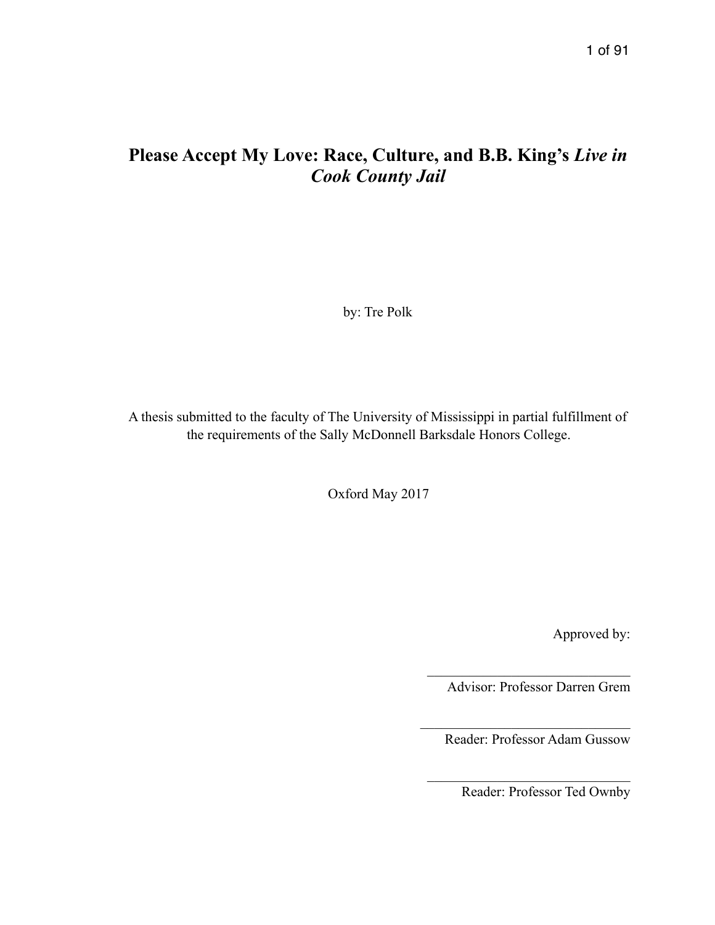# **Please Accept My Love: Race, Culture, and B.B. King's** *Live in Cook County Jail*

by: Tre Polk

A thesis submitted to the faculty of The University of Mississippi in partial fulfillment of the requirements of the Sally McDonnell Barksdale Honors College.

Oxford May 2017

Approved by:

Advisor: Professor Darren Grem

 $\mathcal{L}_\text{max}$  , where  $\mathcal{L}_\text{max}$  and  $\mathcal{L}_\text{max}$  and  $\mathcal{L}_\text{max}$ 

Reader: Professor Adam Gussow

 $\mathcal{L}_\text{max}$  , where  $\mathcal{L}_\text{max}$  and  $\mathcal{L}_\text{max}$  and  $\mathcal{L}_\text{max}$ 

 $\mathcal{L}_\text{max}$  , where  $\mathcal{L}_\text{max}$  and  $\mathcal{L}_\text{max}$ 

Reader: Professor Ted Ownby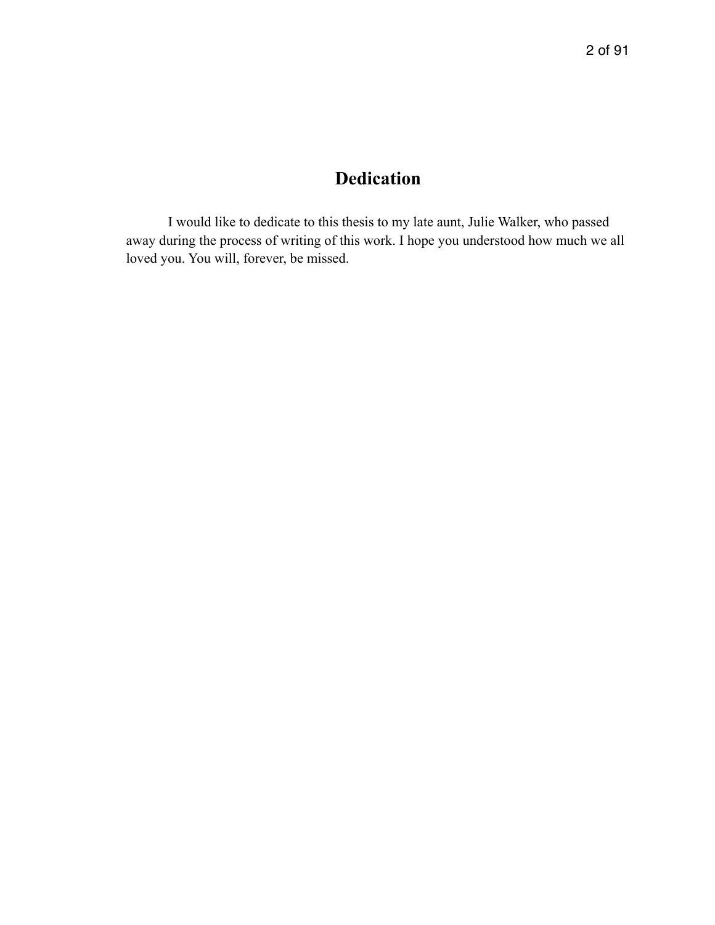# **Dedication**

I would like to dedicate to this thesis to my late aunt, Julie Walker, who passed away during the process of writing of this work. I hope you understood how much we all loved you. You will, forever, be missed.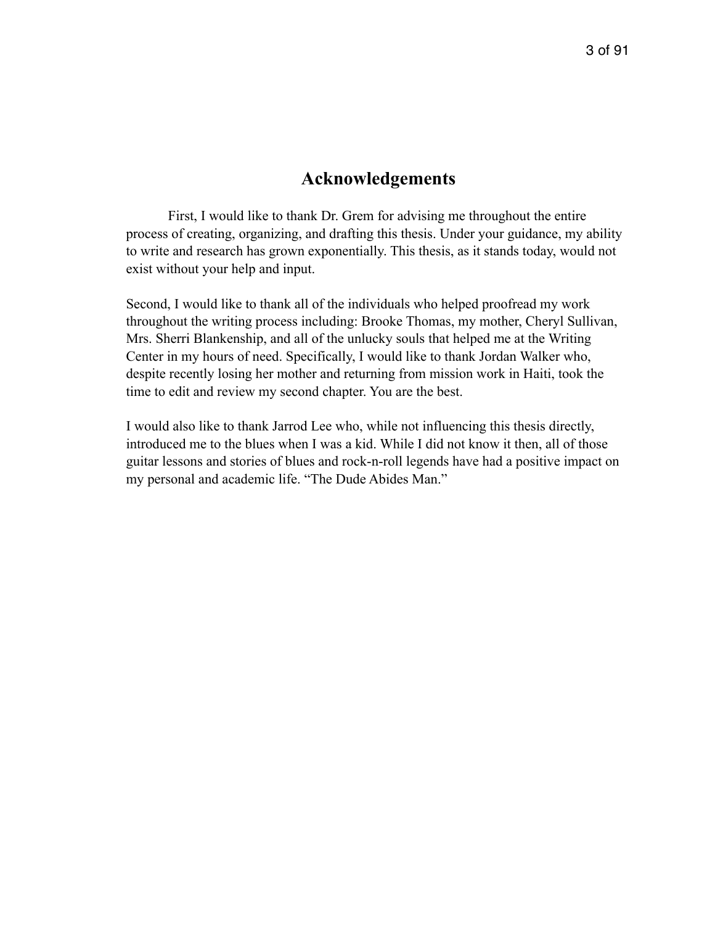## **Acknowledgements**

 First, I would like to thank Dr. Grem for advising me throughout the entire process of creating, organizing, and drafting this thesis. Under your guidance, my ability to write and research has grown exponentially. This thesis, as it stands today, would not exist without your help and input.

Second, I would like to thank all of the individuals who helped proofread my work throughout the writing process including: Brooke Thomas, my mother, Cheryl Sullivan, Mrs. Sherri Blankenship, and all of the unlucky souls that helped me at the Writing Center in my hours of need. Specifically, I would like to thank Jordan Walker who, despite recently losing her mother and returning from mission work in Haiti, took the time to edit and review my second chapter. You are the best.

I would also like to thank Jarrod Lee who, while not influencing this thesis directly, introduced me to the blues when I was a kid. While I did not know it then, all of those guitar lessons and stories of blues and rock-n-roll legends have had a positive impact on my personal and academic life. "The Dude Abides Man."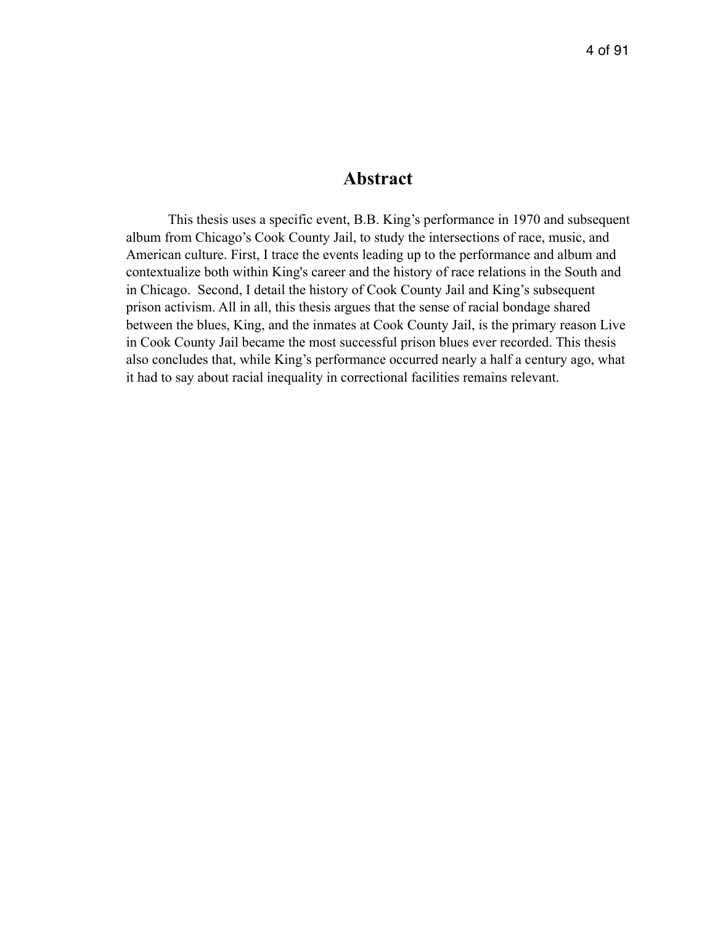## **Abstract**

This thesis uses a specific event, B.B. King's performance in 1970 and subsequent album from Chicago's Cook County Jail, to study the intersections of race, music, and American culture. First, I trace the events leading up to the performance and album and contextualize both within King's career and the history of race relations in the South and in Chicago. Second, I detail the history of Cook County Jail and King's subsequent prison activism. All in all, this thesis argues that the sense of racial bondage shared between the blues, King, and the inmates at Cook County Jail, is the primary reason Live in Cook County Jail became the most successful prison blues ever recorded. This thesis also concludes that, while King's performance occurred nearly a half a century ago, what it had to say about racial inequality in correctional facilities remains relevant.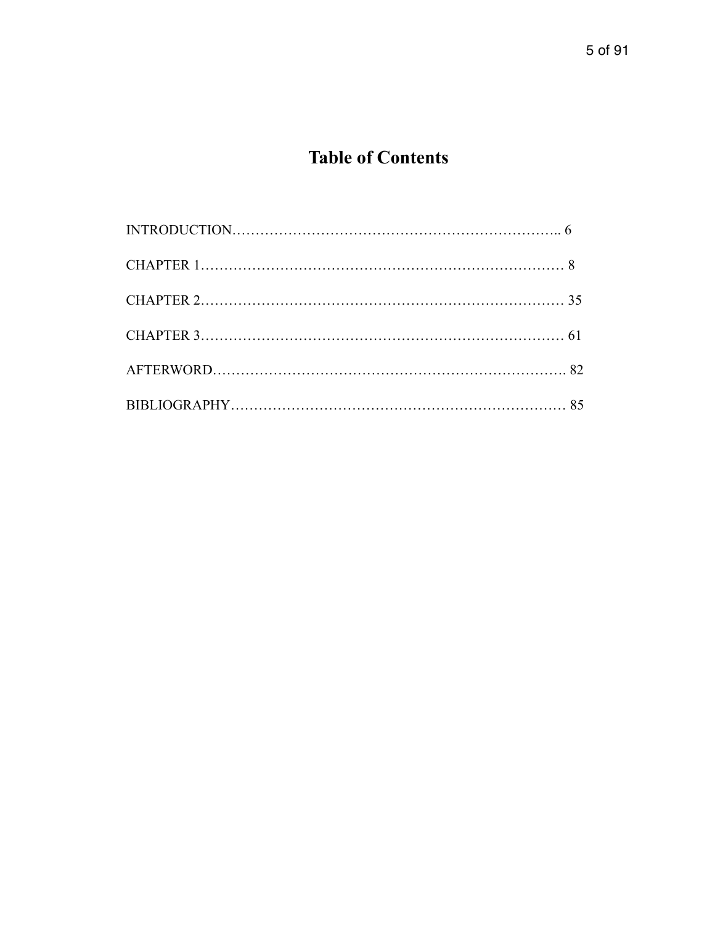# **Table of Contents**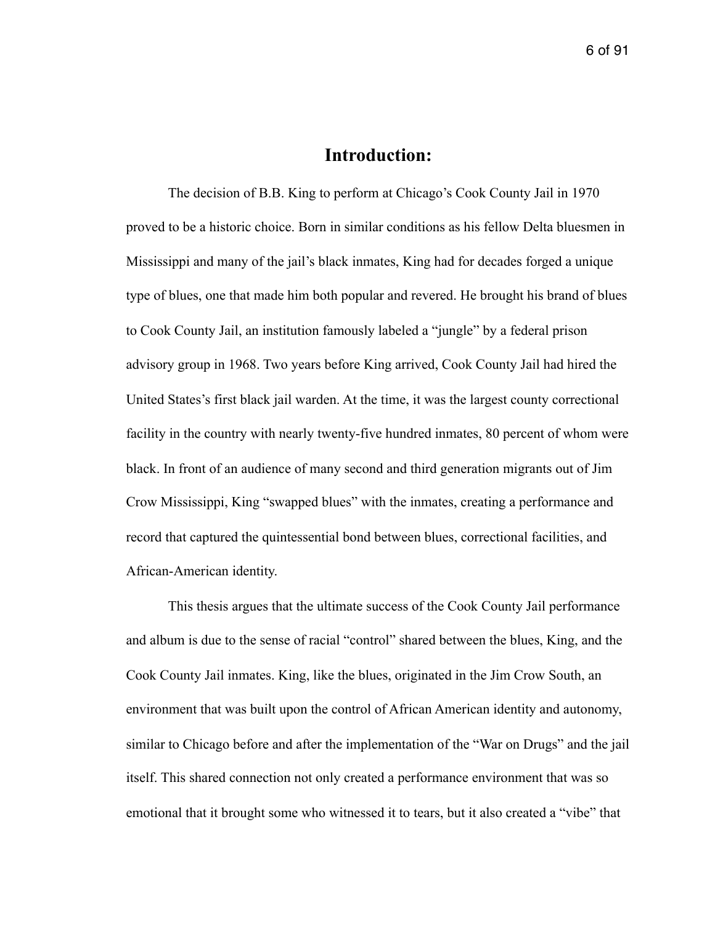## **Introduction:**

The decision of B.B. King to perform at Chicago's Cook County Jail in 1970 proved to be a historic choice. Born in similar conditions as his fellow Delta bluesmen in Mississippi and many of the jail's black inmates, King had for decades forged a unique type of blues, one that made him both popular and revered. He brought his brand of blues to Cook County Jail, an institution famously labeled a "jungle" by a federal prison advisory group in 1968. Two years before King arrived, Cook County Jail had hired the United States's first black jail warden. At the time, it was the largest county correctional facility in the country with nearly twenty-five hundred inmates, 80 percent of whom were black. In front of an audience of many second and third generation migrants out of Jim Crow Mississippi, King "swapped blues" with the inmates, creating a performance and record that captured the quintessential bond between blues, correctional facilities, and African-American identity.

 This thesis argues that the ultimate success of the Cook County Jail performance and album is due to the sense of racial "control" shared between the blues, King, and the Cook County Jail inmates. King, like the blues, originated in the Jim Crow South, an environment that was built upon the control of African American identity and autonomy, similar to Chicago before and after the implementation of the "War on Drugs" and the jail itself. This shared connection not only created a performance environment that was so emotional that it brought some who witnessed it to tears, but it also created a "vibe" that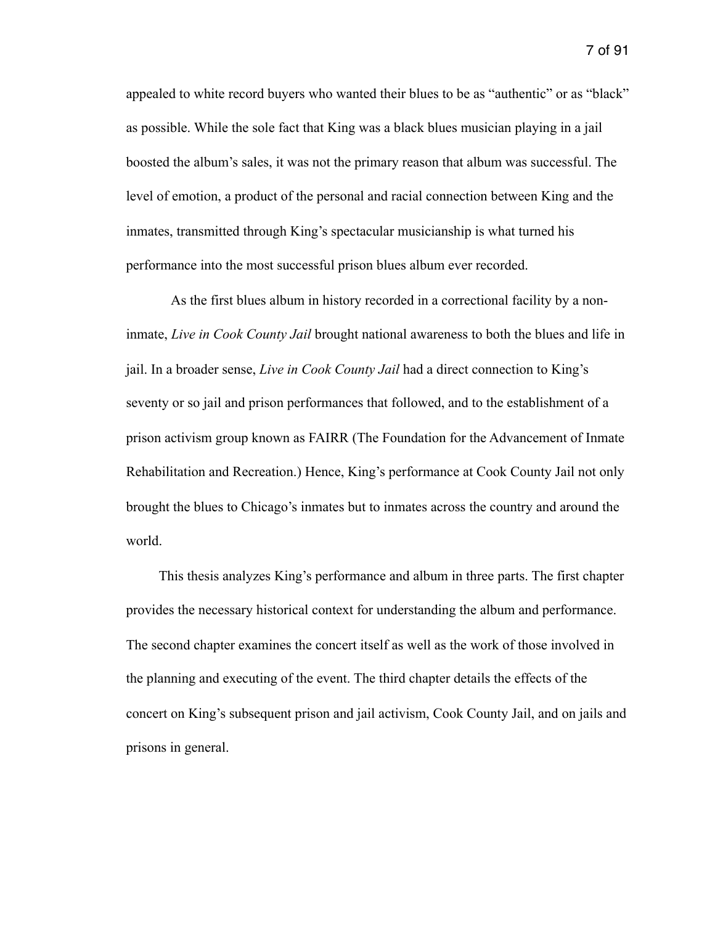appealed to white record buyers who wanted their blues to be as "authentic" or as "black" as possible. While the sole fact that King was a black blues musician playing in a jail boosted the album's sales, it was not the primary reason that album was successful. The level of emotion, a product of the personal and racial connection between King and the inmates, transmitted through King's spectacular musicianship is what turned his performance into the most successful prison blues album ever recorded.

 As the first blues album in history recorded in a correctional facility by a noninmate, *Live in Cook County Jail* brought national awareness to both the blues and life in jail. In a broader sense, *Live in Cook County Jail* had a direct connection to King's seventy or so jail and prison performances that followed, and to the establishment of a prison activism group known as FAIRR (The Foundation for the Advancement of Inmate Rehabilitation and Recreation.) Hence, King's performance at Cook County Jail not only brought the blues to Chicago's inmates but to inmates across the country and around the world.

 This thesis analyzes King's performance and album in three parts. The first chapter provides the necessary historical context for understanding the album and performance. The second chapter examines the concert itself as well as the work of those involved in the planning and executing of the event. The third chapter details the effects of the concert on King's subsequent prison and jail activism, Cook County Jail, and on jails and prisons in general.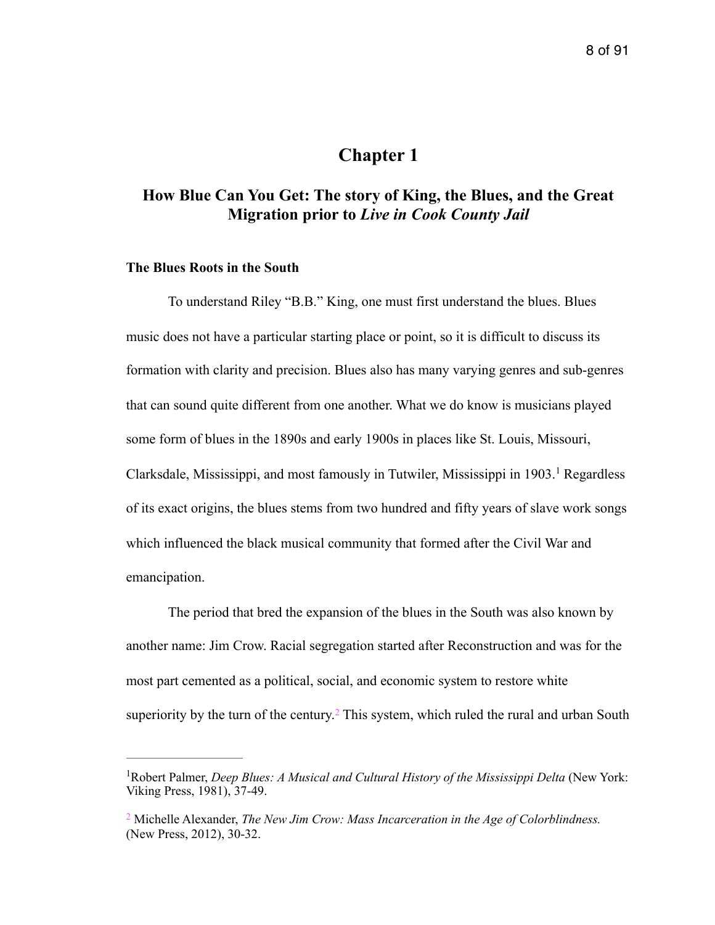## <span id="page-8-2"></span>**Chapter 1**

## **How Blue Can You Get: The story of King, the Blues, and the Great Migration prior to** *Live in Cook County Jail*

#### **The Blues Roots in the South**

 To understand Riley "B.B." King, one must first understand the blues. Blues music does not have a particular starting place or point, so it is difficult to discuss its formation with clarity and precision. Blues also has many varying genres and sub-genres that can sound quite different from one another. What we do know is musicians played some form of blues in the 1890s and early 1900s in places like St. Louis, Missouri, Clarksdale,Mississippi, and most famously in Tutwiler, Mississippi in  $1903$  $1903$ <sup>1</sup> Regardless of its exact origins, the blues stems from two hundred and fifty years of slave work songs which influenced the black musical community that formed after the Civil War and emancipation.

 The period that bred the expansion of the blues in the South was also known by another name: Jim Crow. Racial segregation started after Reconstruction and was for the most part cemented as a political, social, and economic system to restore white superiorityby the turn of the century.<sup>[2](#page-8-1)</sup> This system, which ruled the rural and urban South

<span id="page-8-3"></span><span id="page-8-0"></span><sup>&</sup>lt;sup>[1](#page-8-2)</sup> Robert Palmer, *Deep Blues: A Musical and Cultural History of the Mississippi Delta* (New York: Viking Press, 1981), 37-49.

<span id="page-8-1"></span>Michelle Alexander, *The New Jim Crow: Mass Incarceration in the Age of Colorblindness.* [2](#page-8-3) (New Press, 2012), 30-32.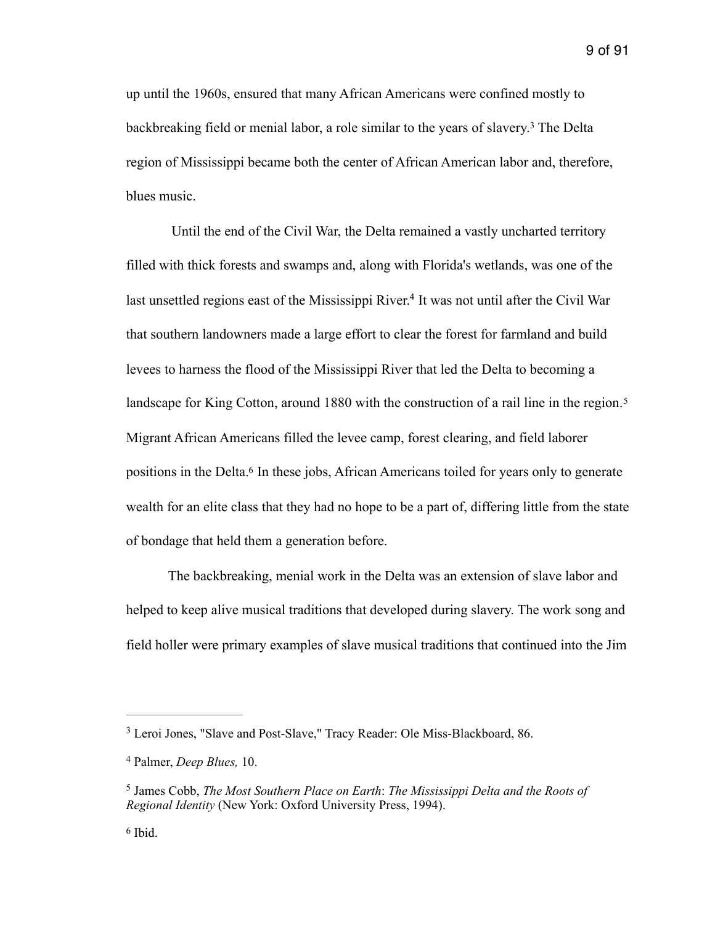<span id="page-9-4"></span>up until the 1960s, ensured that many African Americans were confined mostly to backbreakingfield or menial labor, a role similar to the years of slavery.<sup>[3](#page-9-0)</sup> The Delta region of Mississippi became both the center of African American labor and, therefore, blues music.

<span id="page-9-5"></span> Until the end of the Civil War, the Delta remained a vastly uncharted territory filled with thick forests and swamps and, along with Florida's wetlands, was one of the last unsettled regions east of the Mississippi River[.](#page-9-1)<sup>[4](#page-9-1)</sup> It was not until after the Civil War that southern landowners made a large effort to clear the forest for farmland and build levees to harness the flood of the Mississippi River that led the Delta to becoming a landscape for King Cotton, around 1880 with the construction of a rail line in the region.<sup>[5](#page-9-2)</sup> Migrant African Americans filled the levee camp, forest clearing, and field laborer positions in the Delta[.](#page-9-3)<sup>[6](#page-9-3)</sup> In these jobs, African Americans toiled for years only to generate wealth for an elite class that they had no hope to be a part of, differing little from the state of bondage that held them a generation before.

<span id="page-9-7"></span><span id="page-9-6"></span> The backbreaking, menial work in the Delta was an extension of slave labor and helped to keep alive musical traditions that developed during slavery. The work song and field holler were primary examples of slave musical traditions that continued into the Jim

<span id="page-9-0"></span><sup>&</sup>lt;sup>[3](#page-9-4)</sup> Leroi Jones, "Slave and Post-Slave," Tracy Reader: Ole Miss-Blackboard, 86.

<span id="page-9-1"></span>Palmer, *Deep Blues,* 10. [4](#page-9-5)

<span id="page-9-2"></span><sup>&</sup>lt;sup>[5](#page-9-6)</sup> James Cobb, *The Most Southern Place on Earth: The Mississippi Delta and the Roots of Regional Identity* (New York: Oxford University Press, 1994).

<span id="page-9-3"></span> $6$  Ibid.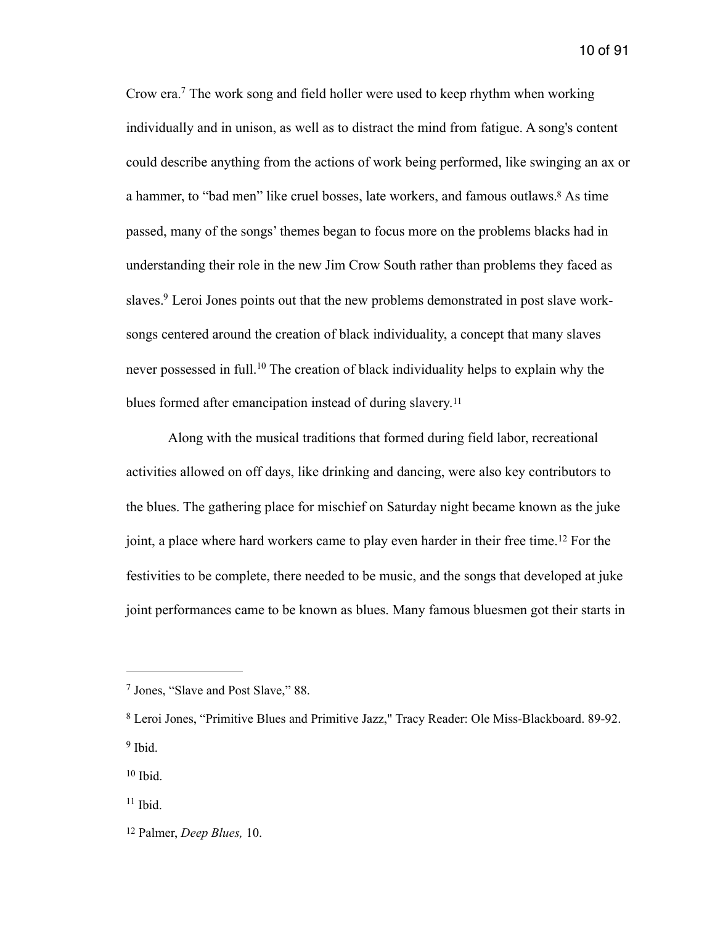<span id="page-10-7"></span><span id="page-10-6"></span>Crow era[.](#page-10-0)<sup>[7](#page-10-0)</sup> The work song and field holler were used to keep rhythm when working individually and in unison, as well as to distract the mind from fatigue. A song's content could describe anything from the actions of work being performed, like swinging an ax or a hammer, to "bad men" like cruel bosses, late workers, and famous outlaws[.](#page-10-1)<sup>[8](#page-10-1)</sup> As time passed, many of the songs' themes began to focus more on the problems blacks had in understanding their role in the new Jim Crow South rather than problems they faced as slaves[.](#page-10-2)<sup>9</sup> Leroi Jones points out that the new problems demonstrated in post slave worksongs centered around the creation of black individuality, a concept that many slaves neverpossessed in full.<sup>[10](#page-10-3)</sup> The creation of black individuality helps to explain why the blues formed after emancipation instead of during slavery.<sup>[11](#page-10-4)</sup>

<span id="page-10-11"></span><span id="page-10-10"></span><span id="page-10-9"></span><span id="page-10-8"></span> Along with the musical traditions that formed during field labor, recreational activities allowed on off days, like drinking and dancing, were also key contributors to the blues. The gathering place for mischief on Saturday night became known as the juke joint,a place where hard workers came to play even harder in their free time.<sup>[12](#page-10-5)</sup> For the festivities to be complete, there needed to be music, and the songs that developed at juke joint performances came to be known as blues. Many famous bluesmen got their starts in

<span id="page-10-0"></span><sup>&</sup>lt;sup>[7](#page-10-6)</sup> Jones, "Slave and Post Slave," 88.

<span id="page-10-1"></span>Leroi Jones, "Primitive Blues and Primitive Jazz," Tracy Reader: Ole Miss-Blackboard. 89-92. [8](#page-10-7)  $9$  Ibid.

<span id="page-10-3"></span><span id="page-10-2"></span> $10$  Ibid.

<span id="page-10-4"></span> $11$  Ibid.

<span id="page-10-5"></span><sup>&</sup>lt;sup>[12](#page-10-11)</sup> Palmer, *Deep Blues*, 10.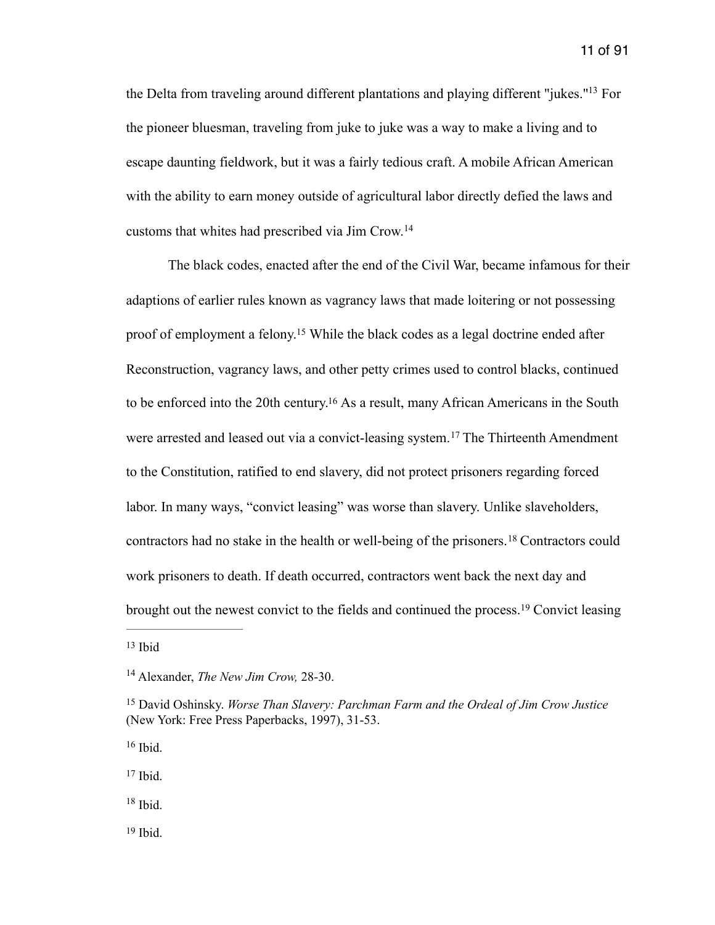<span id="page-11-7"></span>the Delta from traveling around different plantations and playing different ["](#page-11-0)jukes."<sup>[13](#page-11-0)</sup> For the pioneer bluesman, traveling from juke to juke was a way to make a living and to escape daunting fieldwork, but it was a fairly tedious craft. A mobile African American with the ability to earn money outside of agricultural labor directly defied the laws and customs that whites had prescribed via Jim Crow. [14](#page-11-1)

<span id="page-11-11"></span><span id="page-11-10"></span><span id="page-11-9"></span><span id="page-11-8"></span> The black codes, enacted after the end of the Civil War, became infamous for their adaptions of earlier rules known as vagrancy laws that made loitering or not possessing proof of employment a felony[.](#page-11-2)<sup>[15](#page-11-2)</sup> While the black codes as a legal doctrine ended after Reconstruction, vagrancy laws, and other petty crimes used to control blacks, continued tobe enforced into the 20th century.<sup>[16](#page-11-3)</sup> As a result, many African Americans in the South werearrested and leased out via a convict-leasing system.<sup>[17](#page-11-4)</sup> The Thirteenth Amendment to the Constitution, ratified to end slavery, did not protect prisoners regarding forced labor. In many ways, "convict leasing" was worse than slavery. Unlike slaveholders, contractorshad no stake in the health or well-being of the prisoners.<sup>[18](#page-11-5)</sup> Contractors could work prisoners to death. If death occurred, contractors went back the next day and broughtout the newest convict to the fields and continued the process.<sup>[19](#page-11-6)</sup> Convict leasing

<span id="page-11-3"></span> $16$  Ibid.

<span id="page-11-4"></span> $17$  Ibid.

<span id="page-11-5"></span> $18$  Ibid.

<span id="page-11-6"></span> $19$  Ibid.

<span id="page-11-13"></span><span id="page-11-12"></span><span id="page-11-0"></span> $13$  Ibid

<span id="page-11-1"></span><sup>&</sup>lt;sup>[14](#page-11-8)</sup> Alexander, *The New Jim Crow*, 28-30.

<span id="page-11-2"></span><sup>&</sup>lt;sup>[15](#page-11-9)</sup> David Oshinsky. *Worse Than Slavery: Parchman Farm and the Ordeal of Jim Crow Justice* (New York: Free Press Paperbacks, 1997), 31-53.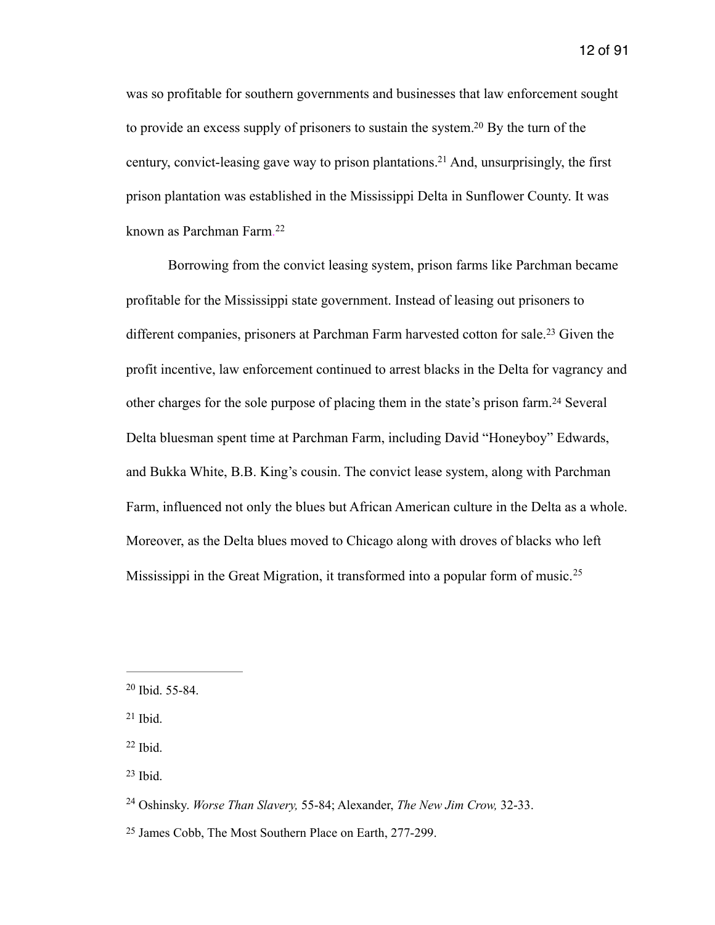<span id="page-12-7"></span><span id="page-12-6"></span>was so profitable for southern governments and businesses that law enforcement sought to provide an excess supply of prisoners to sustain the system[.](#page-12-0)<sup>[20](#page-12-0)</sup> By the turn of the century, convict-leasing gave way to prison plantations[.](#page-12-1)<sup>[21](#page-12-1)</sup> And, unsurprisingly, the first prison plantation was established in the Mississippi Delta in Sunflower County. It was known as Parchman Farm. [22](#page-12-2)

<span id="page-12-10"></span><span id="page-12-9"></span><span id="page-12-8"></span> Borrowing from the convict leasing system, prison farms like Parchman became profitable for the Mississippi state government. Instead of leasing out prisoners to differentcompanies, prisoners at Parchman Farm harvested cotton for sale.<sup>[23](#page-12-3)</sup> Given the profit incentive, law enforcement continued to arrest blacks in the Delta for vagrancy and other charges for the sole purpose of placing them in the state's prison farm.<sup>[24](#page-12-4)</sup> Several Delta bluesman spent time at Parchman Farm, including David "Honeyboy" Edwards, and Bukka White, B.B. King's cousin. The convict lease system, along with Parchman Farm, influenced not only the blues but African American culture in the Delta as a whole. Moreover, as the Delta blues moved to Chicago along with droves of blacks who left Mississippi in the Great Migration, it transformed into a popular form of music.<sup>[25](#page-12-5)</sup>

<span id="page-12-11"></span><span id="page-12-0"></span> $20$  Ibid. 55-84.

<span id="page-12-1"></span> $21$  Ibid.

<span id="page-12-2"></span> $22$  Ibid.

<span id="page-12-3"></span> $23$  Ibid.

<span id="page-12-4"></span><sup>&</sup>lt;sup>[24](#page-12-10)</sup> Oshinsky. *Worse Than Slavery,* 55-84; Alexander, *The New Jim Crow,* 32-33.

<span id="page-12-5"></span><sup>&</sup>lt;sup>[25](#page-12-11)</sup> James Cobb, The Most Southern Place on Earth, 277-299.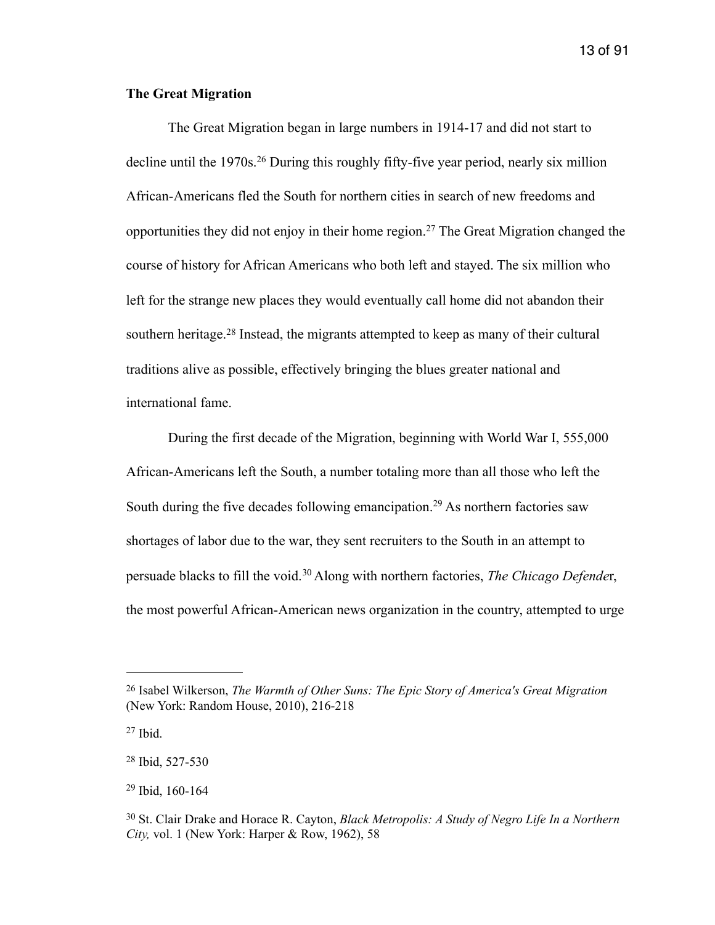### **The Great Migration**

<span id="page-13-6"></span><span id="page-13-5"></span> The Great Migration began in large numbers in 1914-17 and did not start to declineuntil the  $1970s$ <sup>[26](#page-13-0)</sup> During this roughly fifty-five year period, nearly six million African-Americans fled the South for northern cities in search of new freedoms and opportunitiesthey did not enjoy in their home region.<sup>[27](#page-13-1)</sup> The Great Migration changed the course of history for African Americans who both left and stayed. The six million who left for the strange new places they would eventually call home did not abandon their southernheritage.<sup>[28](#page-13-2)</sup> Instead, the migrants attempted to keep as many of their cultural traditions alive as possible, effectively bringing the blues greater national and international fame.

<span id="page-13-8"></span><span id="page-13-7"></span> During the first decade of the Migration, beginning with World War I, 555,000 African-Americans left the South, a number totaling more than all those who left the Southduring the five decades following emancipation.<sup>[29](#page-13-3)</sup> As northern factories saw shortages of labor due to the war, they sent recruiters to the South in an attempt to persuade blacks to fill the void.<sup>[30](#page-13-4)</sup> Along with northern factories, *The Chicago Defender*, the most powerful African-American news organization in the country, attempted to urge

<span id="page-13-9"></span><span id="page-13-0"></span><sup>&</sup>lt;sup>[26](#page-13-5)</sup> Isabel Wilkerson, *The Warmth of Other Suns: The Epic Story of America's Great Migration* (New York: Random House, 2010), 216-218

<span id="page-13-1"></span> $27$  Ibid.

<span id="page-13-2"></span> $28$  Ibid, 527-530

<span id="page-13-3"></span> $29$  Ibid, 160-164

<span id="page-13-4"></span>St. Clair Drake and Horace R. Cayton, *Black Metropolis: A Study of Negro Life In a Northern* [30](#page-13-9) *City,* vol. 1 (New York: Harper & Row, 1962), 58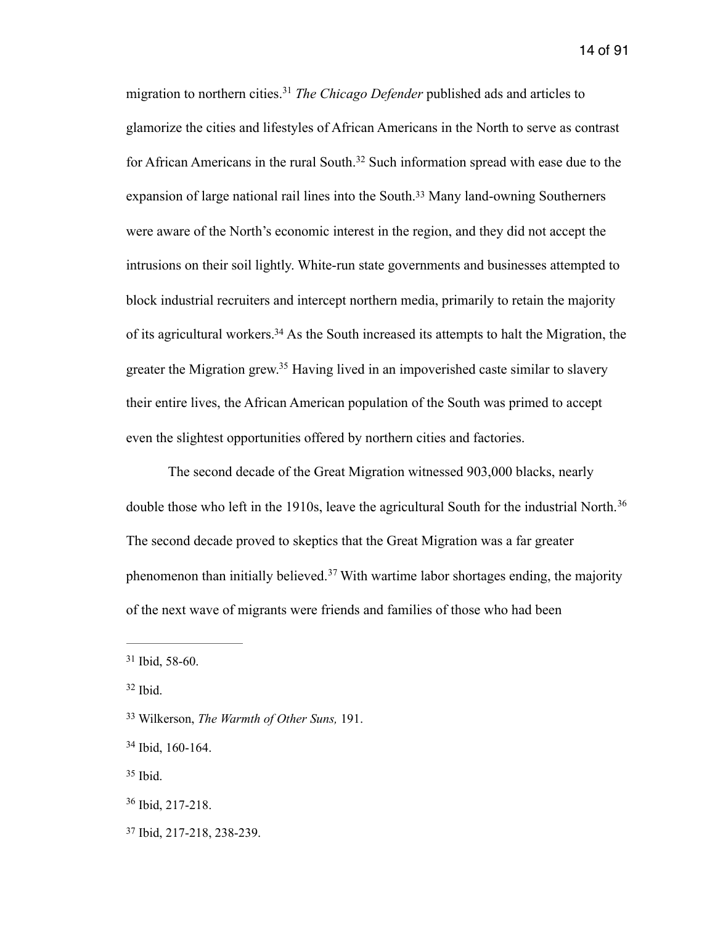<span id="page-14-9"></span><span id="page-14-8"></span><span id="page-14-7"></span>migration to northern cities.<sup>[31](#page-14-0)</sup> The Chicago Defender published ads and articles to glamorize the cities and lifestyles of African Americans in the North to serve as contrast forAfrican Americans in the rural South.<sup>[32](#page-14-1)</sup> Such information spread with ease due to the expansion of large national rail lines into the South[.](#page-14-2)<sup>[33](#page-14-2)</sup> Many land-owning Southerners were aware of the North's economic interest in the region, and they did not accept the intrusions on their soil lightly. White-run state governments and businesses attempted to block industrial recruiters and intercept northern media, primarily to retain the majority of its agricultural workers[.](#page-14-3)<sup>[34](#page-14-3)</sup> As the South increased its attempts to halt the Migration, the greater the Migration grew[.](#page-14-4)<sup>[35](#page-14-4)</sup> Having lived in an impoverished caste similar to slavery their entire lives, the African American population of the South was primed to accept even the slightest opportunities offered by northern cities and factories.

<span id="page-14-12"></span><span id="page-14-11"></span><span id="page-14-10"></span> The second decade of the Great Migration witnessed 903,000 blacks, nearly double those who left in the 1910s, leave the agricultural South for the industrial North.<sup>[36](#page-14-5)</sup> The second decade proved to skeptics that the Great Migration was a far greater phenomenonthan initially believed.<sup>[37](#page-14-6)</sup> With wartime labor shortages ending, the majority of the next wave of migrants were friends and families of those who had been

<span id="page-14-13"></span><span id="page-14-0"></span> $31$  Ibid, 58-60.

<span id="page-14-1"></span> $32$  Ibid.

<span id="page-14-2"></span>Wilkerson, *The Warmth of Other Suns,* 191. [33](#page-14-9)

<span id="page-14-3"></span>[<sup>34</sup>](#page-14-10) Ibid, 160-164.

<span id="page-14-4"></span> $35$  Ibid.

<span id="page-14-5"></span> $36$  Ibid, 217-218.

<span id="page-14-6"></span><sup>&</sup>lt;sup>[37](#page-14-13)</sup> Ibid, 217-218, 238-239.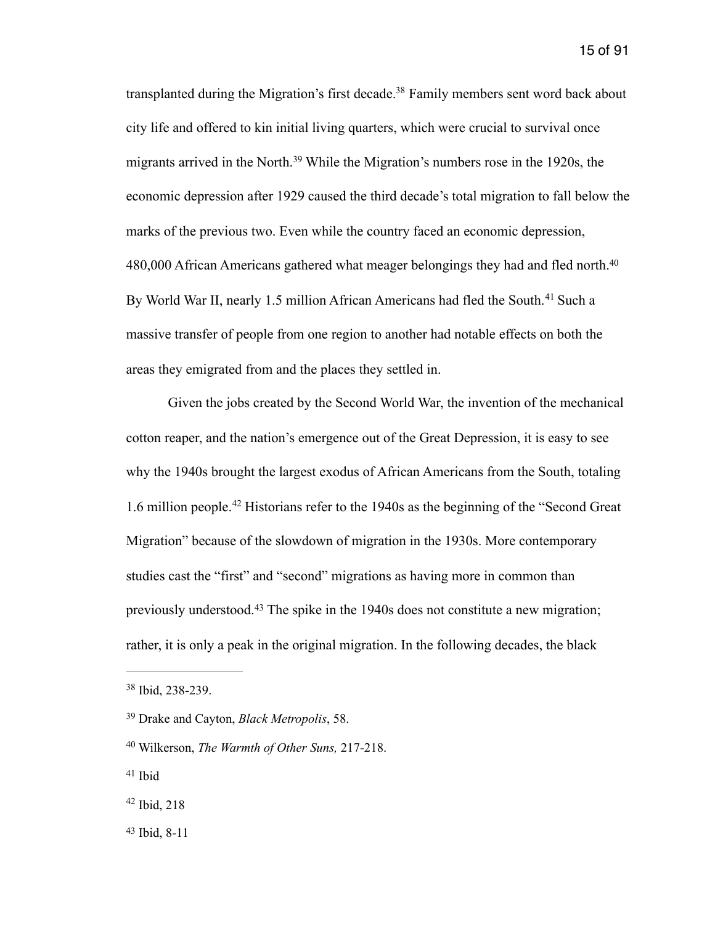<span id="page-15-7"></span><span id="page-15-6"></span>transplanted during the Migration's first decade[.](#page-15-0)<sup>[38](#page-15-0)</sup> Family members sent word back about city life and offered to kin initial living quarters, which were crucial to survival once migrantsarrived in the North.<sup>[39](#page-15-1)</sup> While the Migration's numbers rose in the 1920s, the economic depression after 1929 caused the third decade's total migration to fall below the marks of the previous two. Even while the country faced an economic depression, 480,000 African Americans gathered what meager belongings they had and fled north[.40](#page-15-2) ByWorld War II, nearly 1.5 million African Americans had fled the South.<sup>[41](#page-15-3)</sup> Such a massive transfer of people from one region to another had notable effects on both the areas they emigrated from and the places they settled in.

<span id="page-15-10"></span><span id="page-15-9"></span><span id="page-15-8"></span> Given the jobs created by the Second World War, the invention of the mechanical cotton reaper, and the nation's emergence out of the Great Depression, it is easy to see why the 1940s brought the largest exodus of African Americans from the South, totaling 1.6million people.<sup>[42](#page-15-4)</sup> Historians refer to the 1940s as the beginning of the "Second Great" Migration" because of the slowdown of migration in the 1930s. More contemporary studies cast the "first" and "second" migrations as having more in common than previouslyunderstood.<sup>[43](#page-15-5)</sup> The spike in the 1940s does not constitute a new migration; rather, it is only a peak in the original migration. In the following decades, the black

<span id="page-15-11"></span><span id="page-15-0"></span><sup>&</sup>lt;sup>[38](#page-15-6)</sup> Ibid, 238-239.

<span id="page-15-1"></span><sup>&</sup>lt;sup>[39](#page-15-7)</sup> Drake and Cayton, *Black Metropolis*, 58.

<span id="page-15-2"></span>Wilkerson, *The Warmth of Other Suns,* 217-218. [40](#page-15-8)

<span id="page-15-3"></span> $41$  Ibid

<span id="page-15-4"></span> $42$  Ibid, 218

<span id="page-15-5"></span> $43$  Ibid, 8-11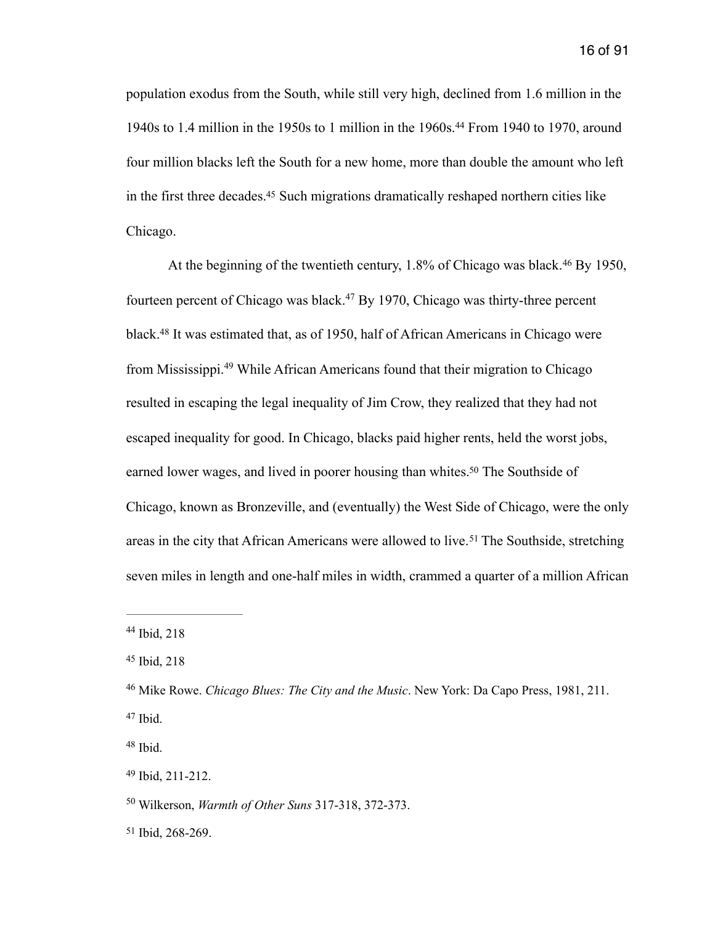<span id="page-16-8"></span>population exodus from the South, while still very high, declined from 1.6 million in the 1940s to 1.4 million in the 1950s to 1 million in the 1960s.<sup>[44](#page-16-0)</sup> From 1940 to 1970, around four million blacks left the South for a new home, more than double the amount who left in the first three decades[.](#page-16-1)<sup>[45](#page-16-1)</sup> Such migrations dramatically reshaped northern cities like Chicago.

<span id="page-16-13"></span><span id="page-16-12"></span><span id="page-16-11"></span><span id="page-16-10"></span><span id="page-16-9"></span>Atthe beginning of the twentieth century,  $1.8\%$  of Chicago was black.<sup>[46](#page-16-2)</sup> By 1950, fourteenpercent of Chicago was black.<sup>[47](#page-16-3)</sup> By 1970, Chicago was thirty-three percent black.<sup>48</sup>It was estimated that, as of 1950, half of African Americans in Chicago were from Mississippi[.](#page-16-5)<sup>[49](#page-16-5)</sup> While African Americans found that their migration to Chicago resulted in escaping the legal inequality of Jim Crow, they realized that they had not escaped inequality for good. In Chicago, blacks paid higher rents, held the worst jobs, earned lower wages, and lived in poorer housing than whites[.](#page-16-6)<sup>[50](#page-16-6)</sup> The Southside of Chicago, known as Bronzeville, and (eventually) the West Side of Chicago, were the only areasin the city that African Americans were allowed to live.<sup>[51](#page-16-7)</sup> The Southside, stretching seven miles in length and one-half miles in width, crammed a quarter of a million African

<span id="page-16-15"></span><span id="page-16-14"></span><span id="page-16-0"></span> $44$  Ibid, 218

<span id="page-16-1"></span>[<sup>45</sup>](#page-16-9) Ibid, 218

<span id="page-16-2"></span><sup>&</sup>lt;sup>[46](#page-16-10)</sup> Mike Rowe. *Chicago Blues: The City and the Music*. New York: Da Capo Press, 1981, 211.  $47$  Ibid.

<span id="page-16-4"></span><span id="page-16-3"></span> $48$  Ibid.

<span id="page-16-5"></span> $49$  Ibid, 211-212.

<span id="page-16-6"></span><sup>&</sup>lt;sup>[50](#page-16-14)</sup> Wilkerson, *Warmth of Other Suns* 317-318, 372-373.

<span id="page-16-7"></span><sup>&</sup>lt;sup>[51](#page-16-15)</sup> Ibid, 268-269.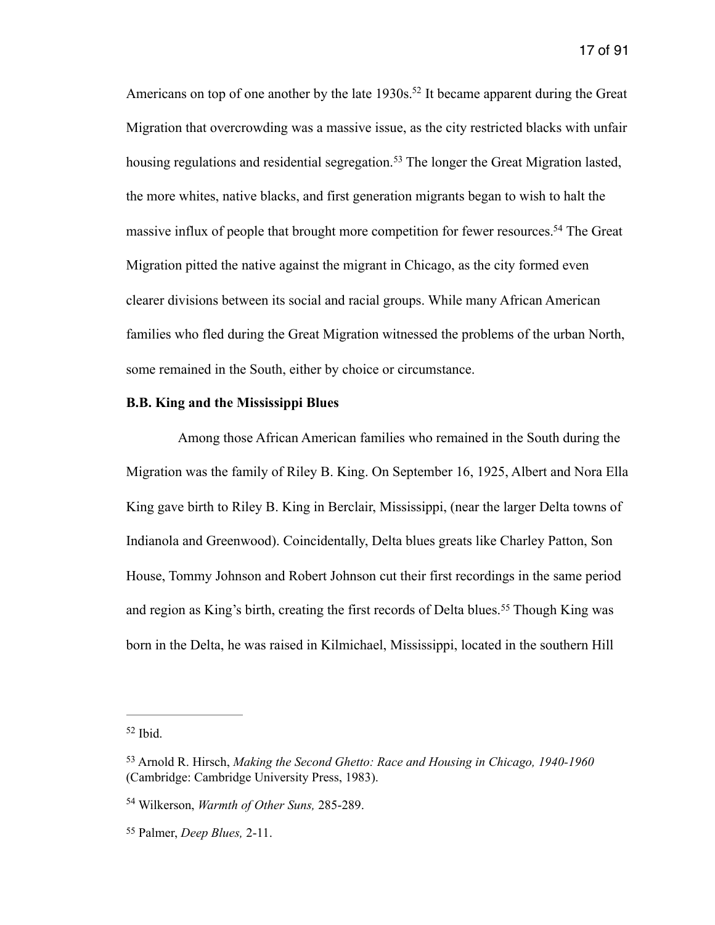<span id="page-17-6"></span><span id="page-17-5"></span><span id="page-17-4"></span>Americans on top of one another by the late  $1930s$ [.](#page-17-0)<sup>[52](#page-17-0)</sup> It became apparent during the Great Migration that overcrowding was a massive issue, as the city restricted blacks with unfair housingregulations and residential segregation.<sup>[53](#page-17-1)</sup> The longer the Great Migration lasted, the more whites, native blacks, and first generation migrants began to wish to halt the massive influx of people that brought more competition for fewer resources[.](#page-17-2)<sup>[54](#page-17-2)</sup> The Great Migration pitted the native against the migrant in Chicago, as the city formed even clearer divisions between its social and racial groups. While many African American families who fled during the Great Migration witnessed the problems of the urban North, some remained in the South, either by choice or circumstance.

#### **B.B. King and the Mississippi Blues**

 Among those African American families who remained in the South during the Migration was the family of Riley B. King. On September 16, 1925, Albert and Nora Ella King gave birth to Riley B. King in Berclair, Mississippi, (near the larger Delta towns of Indianola and Greenwood). Coincidentally, Delta blues greats like Charley Patton, Son House, Tommy Johnson and Robert Johnson cut their first recordings in the same period andregion as King's birth, creating the first records of Delta blues.<sup>[55](#page-17-3)</sup> Though King was born in the Delta, he was raised in Kilmichael, Mississippi, located in the southern Hill

<span id="page-17-7"></span><span id="page-17-0"></span> $52$  Ibid.

<span id="page-17-1"></span><sup>&</sup>lt;sup>[53](#page-17-5)</sup> Arnold R. Hirsch, *Making the Second Ghetto: Race and Housing in Chicago, 1940-1960* (Cambridge: Cambridge University Press, 1983).

<span id="page-17-2"></span><sup>&</sup>lt;sup>[54](#page-17-6)</sup> Wilkerson, *Warmth of Other Suns*, 285-289.

<span id="page-17-3"></span>Palmer, *Deep Blues,* 2-11. [55](#page-17-7)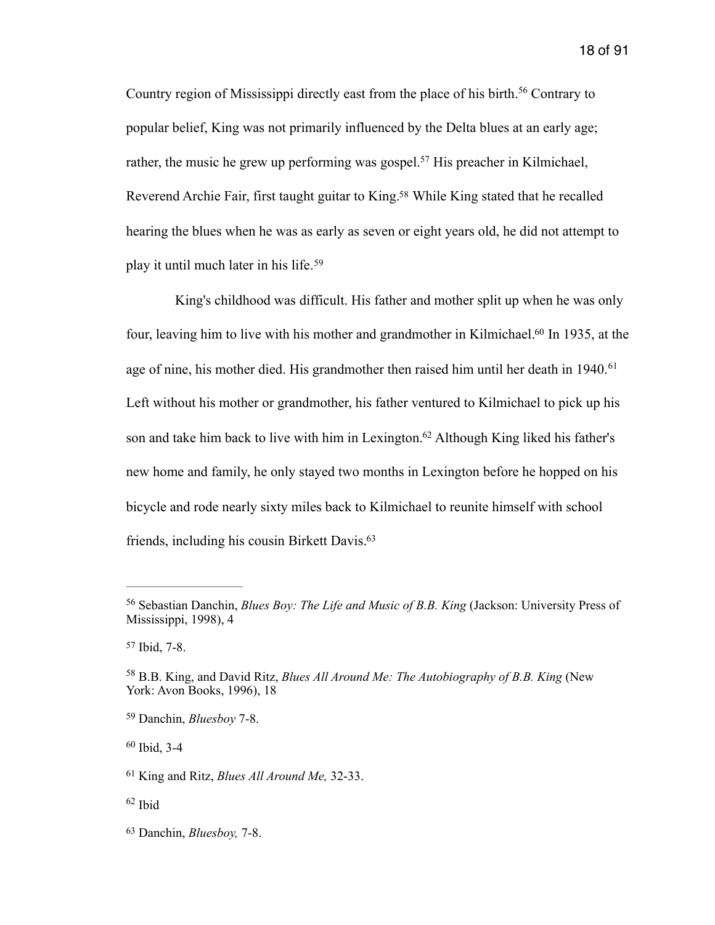<span id="page-18-9"></span><span id="page-18-8"></span>Countryregion of Mississippi directly east from the place of his birth.<sup>[56](#page-18-0)</sup> Contrary to popular belief, King was not primarily influenced by the Delta blues at an early age; rather, the music he grew up performing was gospel[.](#page-18-1)<sup>[57](#page-18-1)</sup> His preacher in Kilmichael, Reverend Archie Fair, first taught guitar to King[.](#page-18-2)<sup>[58](#page-18-2)</sup> While King stated that he recalled hearing the blues when he was as early as seven or eight years old, he did not attempt to play it until much later in his life.[59](#page-18-3)

<span id="page-18-14"></span><span id="page-18-13"></span><span id="page-18-12"></span><span id="page-18-11"></span><span id="page-18-10"></span> King's childhood was difficult. His father and mother split up when he was only four, leaving him to live with his mother and grandmother in Kilmichael[.](#page-18-4)<sup>[60](#page-18-4)</sup> In 1935, at the age of nine, his mother died. His grandmother then raised him until her death in 1940.<sup>[61](#page-18-5)</sup> Left without his mother or grandmother, his father ventured to Kilmichael to pick up his son and take him back to live with him in Lexington[.](#page-18-6)<sup>[62](#page-18-6)</sup> Although King liked his father's new home and family, he only stayed two months in Lexington before he hopped on his bicycle and rode nearly sixty miles back to Kilmichael to reunite himself with school friends, including his cousin Birkett Davis[.63](#page-18-7)

<span id="page-18-4"></span> $60$  Ibid, 3-4

<span id="page-18-15"></span><span id="page-18-0"></span><sup>&</sup>lt;sup>[56](#page-18-8)</sup> Sebastian Danchin, *Blues Boy: The Life and Music of B.B. King* (Jackson: University Press of Mississippi, 1998), 4

<span id="page-18-1"></span>[<sup>57</sup>](#page-18-9) Ibid, 7-8.

<span id="page-18-2"></span><sup>&</sup>lt;sup>[58](#page-18-10)</sup> B.B. King, and David Ritz, *Blues All Around Me: The Autobiography of B.B. King* (New York: Avon Books, 1996), 18

<span id="page-18-3"></span>Danchin, *Bluesboy* 7-8. [59](#page-18-11)

<span id="page-18-5"></span><sup>&</sup>lt;sup>[61](#page-18-13)</sup> King and Ritz, *Blues All Around Me*, 32-33.

<span id="page-18-6"></span> $62$  Ibid

<span id="page-18-7"></span><sup>&</sup>lt;sup>[63](#page-18-15)</sup> Danchin, *Bluesboy*, 7-8.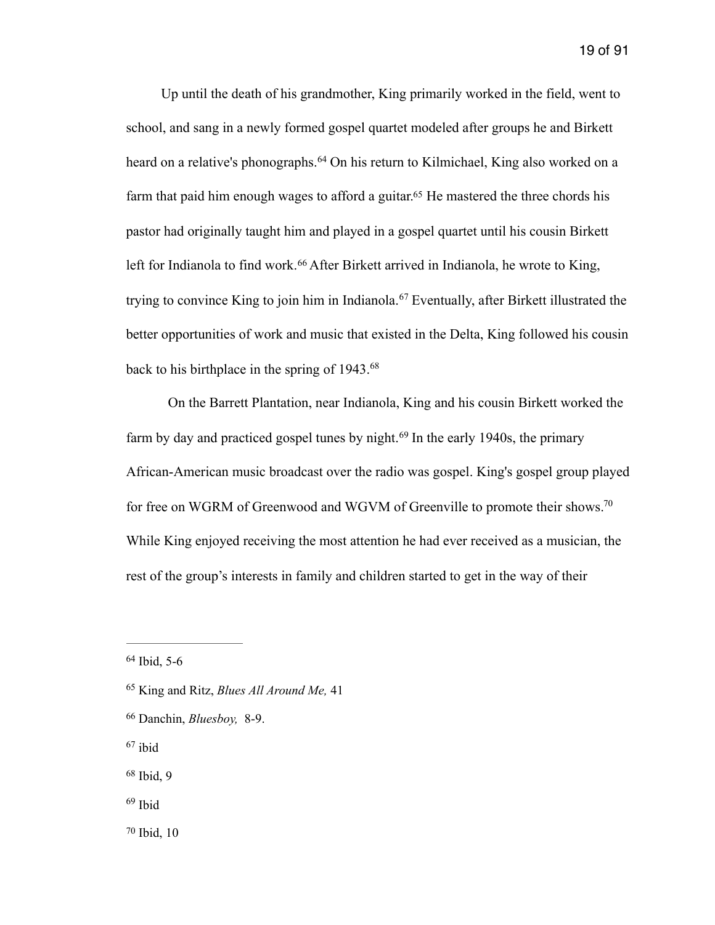<span id="page-19-8"></span><span id="page-19-7"></span> Up until the death of his grandmother, King primarily worked in the field, went to school, and sang in a newly formed gospel quartet modeled after groups he and Birkett heardon a relative's phonographs.<sup>[64](#page-19-0)</sup> On his return to Kilmichael, King also worked on a farm that paid him enough wages to afford a guitar[.](#page-19-1)<sup> $65$ </sup> He mastered the three chords his pastor had originally taught him and played in a gospel quartet until his cousin Birkett leftfor Indianola to find work.<sup>[66](#page-19-2)</sup> After Birkett arrived in Indianola, he wrote to King, tryingto convince King to join him in Indianola.<sup>[67](#page-19-3)</sup> Eventually, after Birkett illustrated the better opportunities of work and music that existed in the Delta, King followed his cousin back to his birthplace in the spring of 1943.[68](#page-19-4)

<span id="page-19-13"></span><span id="page-19-12"></span><span id="page-19-11"></span><span id="page-19-10"></span><span id="page-19-9"></span> On the Barrett Plantation, near Indianola, King and his cousin Birkett worked the farmby day and practiced gospel tunes by night.  $69$  In the early 1940s, the primary African-American music broadcast over the radio was gospel. King's gospel group played for free on WGRM of Greenwood and WGVM of Greenville to promote their shows.<sup>70</sup> While King enjoyed receiving the most attention he had ever received as a musician, the rest of the group's interests in family and children started to get in the way of their

<span id="page-19-3"></span> $67$  ibid

- <span id="page-19-5"></span> $69$  Ibid
- <span id="page-19-6"></span> $70$  Ibid,  $10$

<span id="page-19-0"></span><sup>&</sup>lt;sup>[64](#page-19-7)</sup> Ibid, 5-6

<span id="page-19-1"></span><sup>&</sup>lt;sup>[65](#page-19-8)</sup> King and Ritz, *Blues All Around Me*, 41

<span id="page-19-2"></span><sup>&</sup>lt;sup>[66](#page-19-9)</sup> Danchin, *Bluesboy*, 8-9.

<span id="page-19-4"></span> $68$  Ibid, 9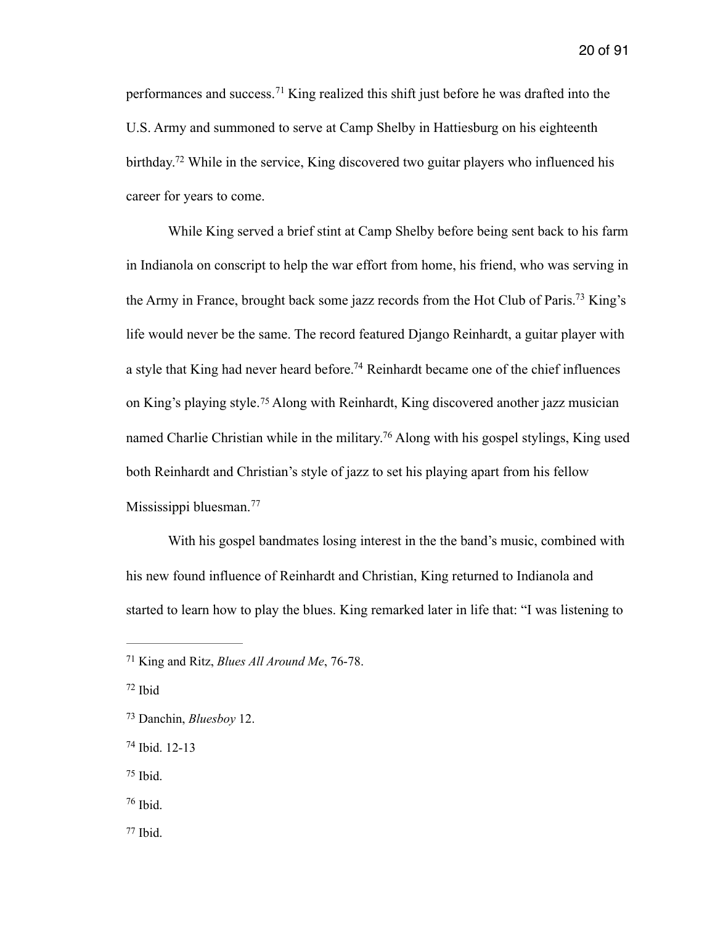<span id="page-20-7"></span>performancesand success.<sup>[71](#page-20-0)</sup> King realized this shift just before he was drafted into the U.S. Army and summoned to serve at Camp Shelby in Hattiesburg on his eighteenth birthday[.](#page-20-1)<sup> $72$ </sup> While in the service, King discovered two guitar players who influenced his career for years to come.

<span id="page-20-10"></span><span id="page-20-9"></span><span id="page-20-8"></span> While King served a brief stint at Camp Shelby before being sent back to his farm in Indianola on conscript to help the war effort from home, his friend, who was serving in the Army in France, brought back some jazz records from the Hot Club of Paris[.](#page-20-2)<sup>[73](#page-20-2)</sup> King's life would never be the same. The record featured Django Reinhardt, a guitar player with a style that King had never heard before[.](#page-20-3)<sup>[74](#page-20-3)</sup> Reinhardt became one of the chief influences onKing's playing style.<sup>[75](#page-20-4)</sup> Along with Reinhardt, King discovered another jazz musician named Charlie Christian while in the military[.](#page-20-5)<sup>[76](#page-20-5)</sup> Along with his gospel stylings, King used both Reinhardt and Christian's style of jazz to set his playing apart from his fellow Mississippi bluesman.<sup>[77](#page-20-6)</sup>

<span id="page-20-13"></span><span id="page-20-12"></span><span id="page-20-11"></span> With his gospel bandmates losing interest in the the band's music, combined with his new found influence of Reinhardt and Christian, King returned to Indianola and started to learn how to play the blues. King remarked later in life that: "I was listening to

<span id="page-20-0"></span><sup>&</sup>lt;sup>[71](#page-20-7)</sup> King and Ritz, *Blues All Around Me*, 76-78.

<span id="page-20-1"></span> $72$  Ibid

<span id="page-20-2"></span>Danchin, *Bluesboy* 12. [73](#page-20-9)

<span id="page-20-3"></span>[<sup>74</sup>](#page-20-10) Ibid. 12-13

<span id="page-20-4"></span> $75$  Ibid.

<span id="page-20-5"></span> $76$  Ibid.

<span id="page-20-6"></span> $77$  Ibid.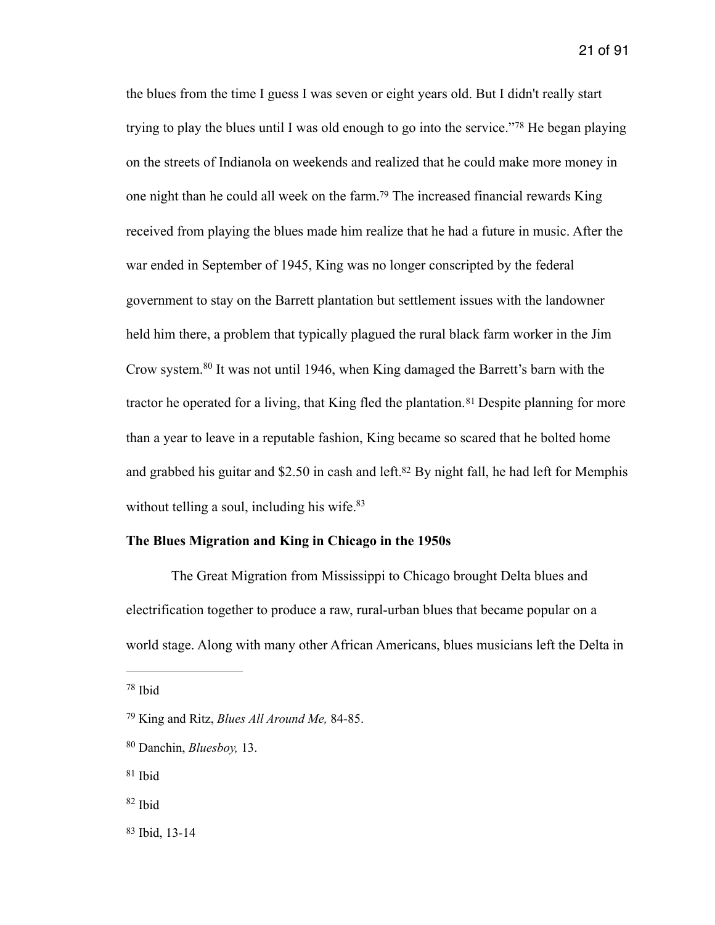<span id="page-21-7"></span><span id="page-21-6"></span>the blues from the time I guess I was seven or eight years old. But I didn't really start tryingto play the blues until I was old enough to go into the service."<sup>[78](#page-21-0)</sup> He began playing on the streets of Indianola on weekends and realized that he could make more money in one night than he could all week on the farm[.](#page-21-1)<sup>[79](#page-21-1)</sup> The increased financial rewards King received from playing the blues made him realize that he had a future in music. After the war ended in September of 1945, King was no longer conscripted by the federal government to stay on the Barrett plantation but settlement issues with the landowner held him there, a problem that typically plagued the rural black farm worker in the Jim Crow system[.](#page-21-2)<sup>[80](#page-21-2)</sup> It was not until 1946, when King damaged the Barrett's barn with the tractorhe operated for a living, that King fled the plantation.<sup>[81](#page-21-3)</sup> Despite planning for more than a year to leave in a reputable fashion, King became so scared that he bolted home and grabbed his guitar and \$2[.](#page-21-4)50 in cash and left.<sup>[82](#page-21-4)</sup> By night fall, he had left for Memphis without telling a soul, including his wife. $83$ 

### <span id="page-21-11"></span><span id="page-21-10"></span><span id="page-21-9"></span><span id="page-21-8"></span>**The Blues Migration and King in Chicago in the 1950s**

 The Great Migration from Mississippi to Chicago brought Delta blues and electrification together to produce a raw, rural-urban blues that became popular on a world stage. Along with many other African Americans, blues musicians left the Delta in

<span id="page-21-0"></span> $78$  Ibid

- <span id="page-21-4"></span> $82$  Ibid
- <span id="page-21-5"></span> $83$  Ibid, 13-14

<span id="page-21-1"></span>King and Ritz, *Blues All Around Me,* 84-85. [79](#page-21-7)

<span id="page-21-2"></span>Danchin, *Bluesboy,* 13. [80](#page-21-8)

<span id="page-21-3"></span> $81$  Ibid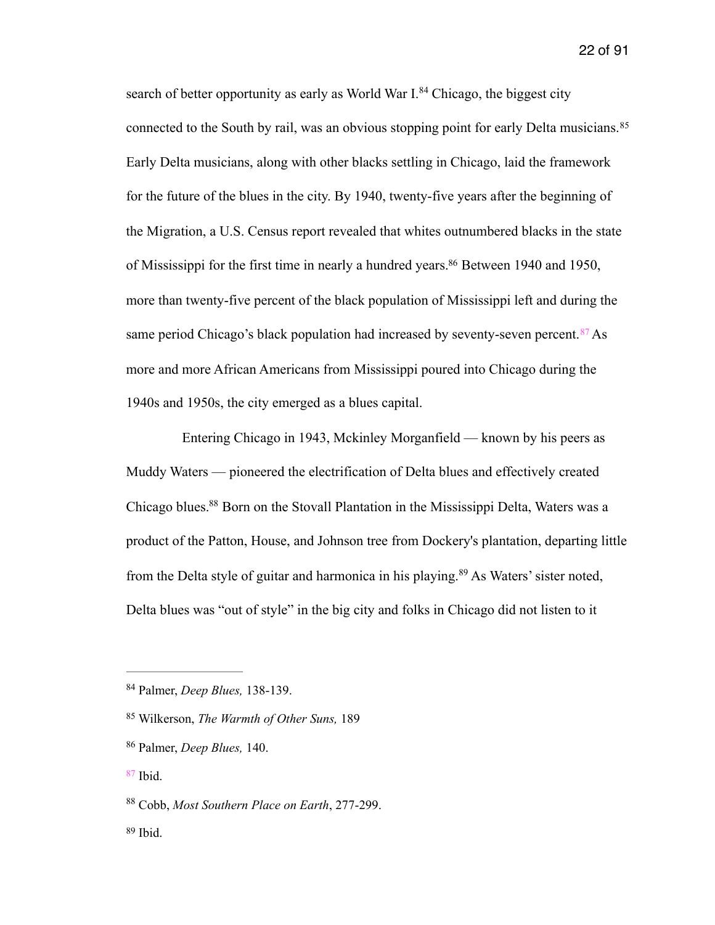<span id="page-22-7"></span><span id="page-22-6"></span>searchof better opportunity as early as World War  $I^{84}$  $I^{84}$  $I^{84}$  Chicago, the biggest city connected to the South by rail, was an obvious stopping point for early Delta musicians.<sup>[85](#page-22-1)</sup> Early Delta musicians, along with other blacks settling in Chicago, laid the framework for the future of the blues in the city. By 1940, twenty-five years after the beginning of the Migration, a U.S. Census report revealed that whites outnumbered blacks in the state of Mississippi for the first time in nearly a hundred years[.](#page-22-2)<sup>[86](#page-22-2)</sup> Between 1940 and 1950, more than twenty-five percent of the black population of Mississippi left and during the sameperiod Chicago's black population had increased by seventy-seven percent.  $87$  As more and more African Americans from Mississippi poured into Chicago during the 1940s and 1950s, the city emerged as a blues capital.

<span id="page-22-10"></span><span id="page-22-9"></span><span id="page-22-8"></span> Entering Chicago in 1943, Mckinley Morganfield — known by his peers as Muddy Waters — pioneered the electrification of Delta blues and effectively created Chicago blues[.](#page-22-4)<sup>[88](#page-22-4)</sup> Born on the Stovall Plantation in the Mississippi Delta, Waters was a product of the Patton, House, and Johnson tree from Dockery's plantation, departing little fromthe Delta style of guitar and harmonica in his playing.<sup>[89](#page-22-5)</sup> As Waters' sister noted, Delta blues was "out of style" in the big city and folks in Chicago did not listen to it

<span id="page-22-11"></span><span id="page-22-0"></span><sup>&</sup>lt;sup>[84](#page-22-6)</sup> Palmer, *Deep Blues*, 138-139.

<span id="page-22-1"></span><sup>&</sup>lt;sup>[85](#page-22-7)</sup> Wilkerson, *The Warmth of Other Suns*, 189

<span id="page-22-2"></span><sup>&</sup>lt;sup>[86](#page-22-8)</sup> Palmer, *Deep Blues*, 140.

<span id="page-22-3"></span> $87$  Ibid.

<span id="page-22-4"></span><sup>&</sup>lt;sup>[88](#page-22-10)</sup> Cobb, *Most Southern Place on Earth*, 277-299.

<span id="page-22-5"></span> $89$  Ibid.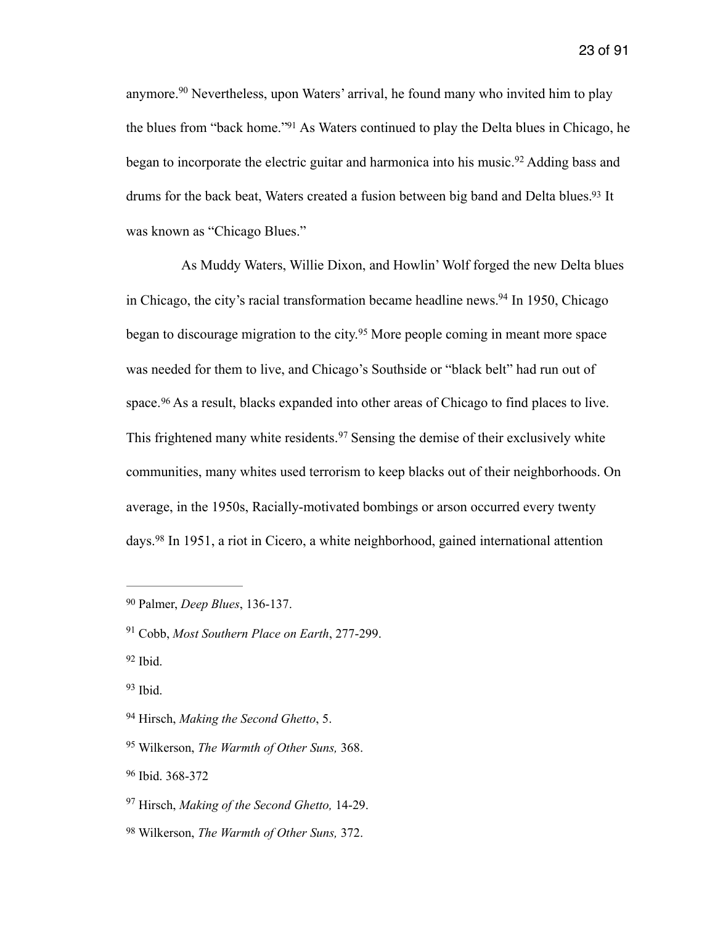<span id="page-23-11"></span><span id="page-23-10"></span><span id="page-23-9"></span>anymore.<sup>90</sup>Nevertheless, upon Waters' arrival, he found many who invited him to play the blues from ["](#page-23-1)back home."<sup>[91](#page-23-1)</sup> As Waters continued to play the Delta blues in Chicago, he began to incorporate the electric guitar and harmonica into his music.<sup>[92](#page-23-2)</sup> Adding bass and drums for the back beat, Waters created a fusion between big band and Delta blues[.](#page-23-3)<sup>[93](#page-23-3)</sup> It was known as "Chicago Blues."

<span id="page-23-15"></span><span id="page-23-14"></span><span id="page-23-13"></span><span id="page-23-12"></span> As Muddy Waters, Willie Dixon, and Howlin' Wolf forged the new Delta blues in Chicago, the city's racial transformation became headline news[.](#page-23-4)<sup>[94](#page-23-4)</sup> In 1950, Chicago beganto discourage migration to the city.<sup>[95](#page-23-5)</sup> More people coming in meant more space was needed for them to live, and Chicago's Southside or "black belt" had run out of space.<sup>96</sup>As a result, blacks expanded into other areas of Chicago to find places to live. Thisfrightened many white residents.<sup>[97](#page-23-7)</sup> Sensing the demise of their exclusively white communities, many whites used terrorism to keep blacks out of their neighborhoods. On average, in the 1950s, Racially-motivated bombings or arson occurred every twenty days.<sup>98</sup>In 1951, a riot in Cicero, a white neighborhood, gained international attention

<span id="page-23-8"></span>Wilkerson, *The Warmth of Other Suns,* 372. [98](#page-23-17)

<span id="page-23-17"></span><span id="page-23-16"></span><span id="page-23-0"></span><sup>&</sup>lt;sup>[90](#page-23-9)</sup> Palmer, *Deep Blues*, 136-137.

<span id="page-23-1"></span><sup>&</sup>lt;sup>[91](#page-23-10)</sup> Cobb, *Most Southern Place on Earth*, 277-299.

<span id="page-23-2"></span> $92$  Ibid.

<span id="page-23-3"></span> $93$  Ibid.

<span id="page-23-4"></span><sup>&</sup>lt;sup>[94](#page-23-13)</sup> Hirsch, *Making the Second Ghetto*, 5.

<span id="page-23-5"></span><sup>&</sup>lt;sup>[95](#page-23-14)</sup> Wilkerson, *The Warmth of Other Suns*, 368.

<span id="page-23-6"></span>[<sup>96</sup>](#page-23-15) Ibid. 368-372

<span id="page-23-7"></span><sup>&</sup>lt;sup>[97](#page-23-16)</sup> Hirsch, *Making of the Second Ghetto*, 14-29.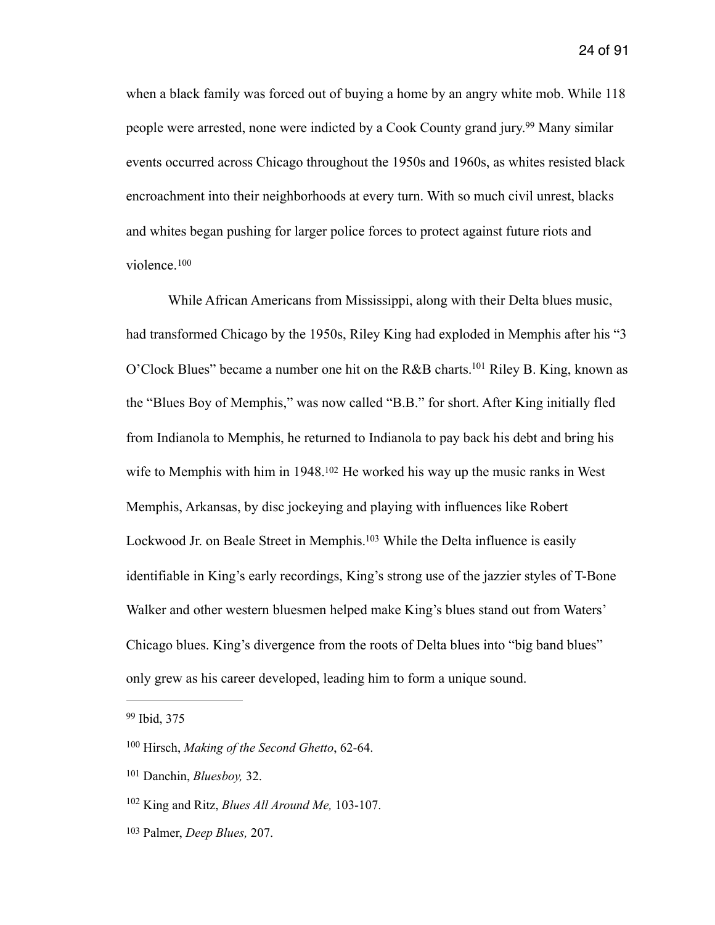<span id="page-24-5"></span>when a black family was forced out of buying a home by an angry white mob. While 118 people were arrested, none were indicted by a Cook County grand jury[.](#page-24-0)<sup>[99](#page-24-0)</sup> Many similar events occurred across Chicago throughout the 1950s and 1960s, as whites resisted black encroachment into their neighborhoods at every turn. With so much civil unrest, blacks and whites began pushing for larger police forces to protect against future riots and violence.[100](#page-24-1)

<span id="page-24-8"></span><span id="page-24-7"></span><span id="page-24-6"></span> While African Americans from Mississippi, along with their Delta blues music, had transformed Chicago by the 1950s, Riley King had exploded in Memphis after his "3 O'Clock Blues" became a number one hit on the R&B charts[.](#page-24-2)<sup>[101](#page-24-2)</sup> Riley B. King, known as the "Blues Boy of Memphis," was now called "B.B." for short. After King initially fled from Indianola to Memphis, he returned to Indianola to pay back his debt and bring his wife to Memphis with him in  $1948$ [.](#page-24-3)<sup>[102](#page-24-3)</sup> He worked his way up the music ranks in West Memphis, Arkansas, by disc jockeying and playing with influences like Robert Lockwood Jr[.](#page-24-4) on Beale Street in Memphis.<sup>[103](#page-24-4)</sup> While the Delta influence is easily identifiable in King's early recordings, King's strong use of the jazzier styles of T-Bone Walker and other western bluesmen helped make King's blues stand out from Waters' Chicago blues. King's divergence from the roots of Delta blues into "big band blues" only grew as his career developed, leading him to form a unique sound.

<span id="page-24-9"></span><span id="page-24-0"></span>[<sup>99</sup>](#page-24-5) Ibid, 375

<span id="page-24-1"></span><sup>&</sup>lt;sup>[100](#page-24-6)</sup> Hirsch, *Making of the Second Ghetto*, 62-64.

<span id="page-24-2"></span><sup>&</sup>lt;sup>[101](#page-24-7)</sup> Danchin, *Bluesboy*, 32.

<span id="page-24-3"></span><sup>&</sup>lt;sup>[102](#page-24-8)</sup> King and Ritz, *Blues All Around Me*, 103-107.

<span id="page-24-4"></span><sup>&</sup>lt;sup>[103](#page-24-9)</sup> Palmer, *Deep Blues*, 207.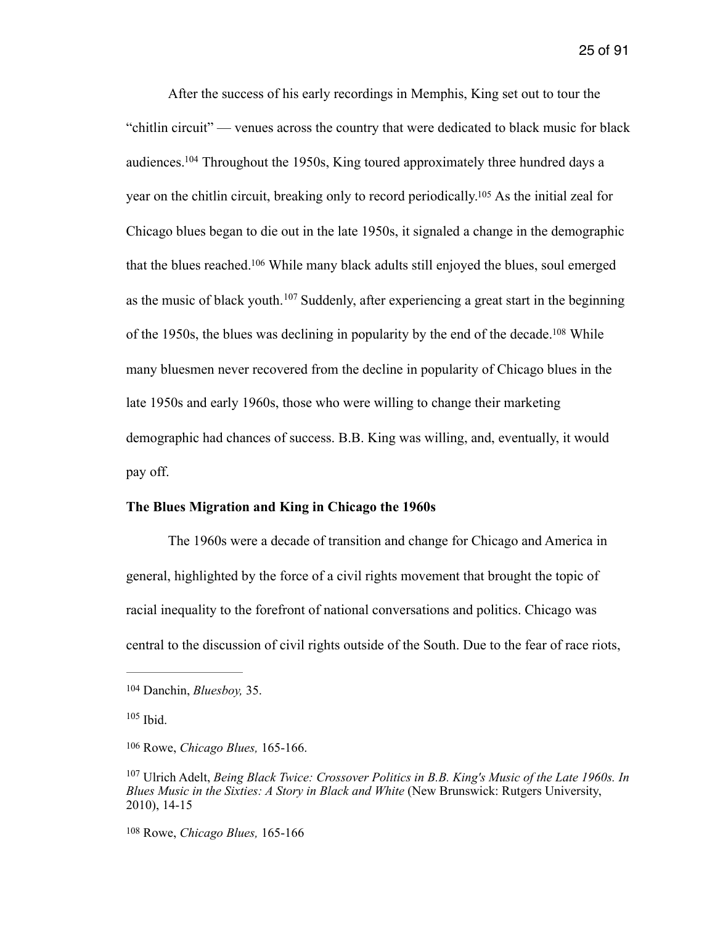<span id="page-25-7"></span><span id="page-25-6"></span><span id="page-25-5"></span> After the success of his early recordings in Memphis, King set out to tour the "chitlin circuit" — venues across the country that were dedicated to black music for black audiences[.](#page-25-0)  $104$  Throughout the 1950s, King toured approximately three hundred days a year on the chitlin circuit, breaking only to record periodically[.](#page-25-1)<sup>[105](#page-25-1)</sup> As the initial zeal for Chicago blues began to die out in the late 1950s, it signaled a change in the demographic that the blues reached[.](#page-25-2)<sup>[106](#page-25-2)</sup> While many black adults still enjoyed the blues, soul emerged asthe music of black youth.  $107$  Suddenly, after experiencing a great start in the beginning of the 1950s, the blues was declining in popularity by the end of the decade[.](#page-25-4)<sup>[108](#page-25-4)</sup> While many bluesmen never recovered from the decline in popularity of Chicago blues in the late 1950s and early 1960s, those who were willing to change their marketing demographic had chances of success. B.B. King was willing, and, eventually, it would pay off.

### <span id="page-25-9"></span><span id="page-25-8"></span>**The Blues Migration and King in Chicago the 1960s**

 The 1960s were a decade of transition and change for Chicago and America in general, highlighted by the force of a civil rights movement that brought the topic of racial inequality to the forefront of national conversations and politics. Chicago was central to the discussion of civil rights outside of the South. Due to the fear of race riots,

<span id="page-25-4"></span><sup>[108](#page-25-9)</sup> Rowe, *Chicago Blues*, 165-166

<span id="page-25-0"></span><sup>&</sup>lt;sup>[104](#page-25-5)</sup> Danchin, *Bluesboy*, 35.

<span id="page-25-1"></span> $105$  Ibid.

<span id="page-25-2"></span><sup>&</sup>lt;sup>[106](#page-25-7)</sup> Rowe, *Chicago Blues*, 165-166.

<span id="page-25-3"></span><sup>&</sup>lt;sup>[107](#page-25-8)</sup> Ulrich Adelt, *Being Black Twice: Crossover Politics in B.B. King's Music of the Late 1960s. In Blues Music in the Sixties: A Story in Black and White* (New Brunswick: Rutgers University, 2010), 14-15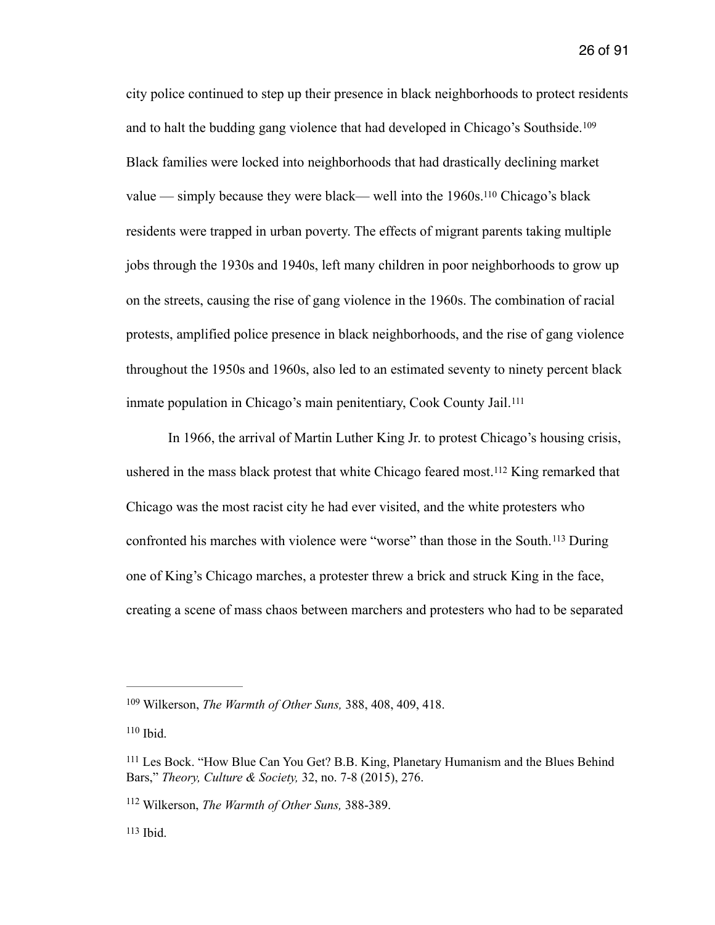<span id="page-26-6"></span><span id="page-26-5"></span>city police continued to step up their presence in black neighborhoods to protect residents and to halt the budding gang violence that had developed in Chicago's Southside.[109](#page-26-0) Black families were locked into neighborhoods that had drastically declining market value — simply because they were black— well into the  $1960s$ .<sup>[110](#page-26-1)</sup> Chicago's black residents were trapped in urban poverty. The effects of migrant parents taking multiple jobs through the 1930s and 1940s, left many children in poor neighborhoods to grow up on the streets, causing the rise of gang violence in the 1960s. The combination of racial protests, amplified police presence in black neighborhoods, and the rise of gang violence throughout the 1950s and 1960s, also led to an estimated seventy to ninety percent black inmate population in Chicago's main penitentiary, Cook County Jail.[111](#page-26-2)

<span id="page-26-9"></span><span id="page-26-8"></span><span id="page-26-7"></span> In 1966, the arrival of Martin Luther King Jr. to protest Chicago's housing crisis, usheredin the mass black protest that white Chicago feared most.<sup>[112](#page-26-3)</sup> King remarked that Chicago was the most racist city he had ever visited, and the white protesters who confronted his marches with violence were "worse" than those in the South.<sup>[113](#page-26-4)</sup> During one of King's Chicago marches, a protester threw a brick and struck King in the face, creating a scene of mass chaos between marchers and protesters who had to be separated

<span id="page-26-0"></span><sup>&</sup>lt;sup>[109](#page-26-5)</sup> Wilkerson, *The Warmth of Other Suns*, 388, 408, 409, 418.

<span id="page-26-1"></span> $110$  Ibid.

<span id="page-26-2"></span><sup>&</sup>lt;sup>[111](#page-26-7)</sup> Les Bock. "How Blue Can You Get? B.B. King, Planetary Humanism and the Blues Behind Bars," *Theory, Culture & Society,* 32, no. 7-8 (2015), 276.

<span id="page-26-3"></span><sup>&</sup>lt;sup>[112](#page-26-8)</sup> Wilkerson, *The Warmth of Other Suns*, 388-389.

<span id="page-26-4"></span> $113$ Ibid.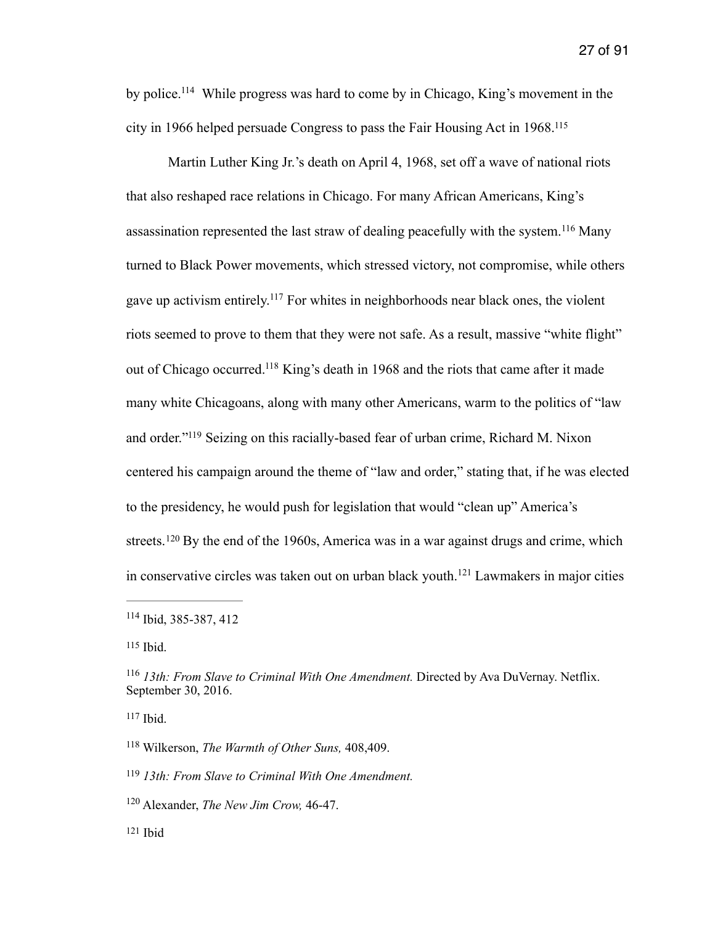<span id="page-27-8"></span>by police[.](#page-27-0)<sup> $114$ </sup> While progress was hard to come by in Chicago, King's movement in the city in 1966 helped persuade Congress to pass the Fair Housing Act in 1968[.115](#page-27-1)

<span id="page-27-12"></span><span id="page-27-11"></span><span id="page-27-10"></span><span id="page-27-9"></span> Martin Luther King Jr.'s death on April 4, 1968, set off a wave of national riots that also reshaped race relations in Chicago. For many African Americans, King's assassinationrepresented the last straw of dealing peacefully with the system.<sup>[116](#page-27-2)</sup> Many turned to Black Power movements, which stressed victory, not compromise, while others gave up activism entirely.<sup>[117](#page-27-3)</sup> For whites in neighborhoods near black ones, the violent riots seemed to prove to them that they were not safe. As a result, massive "white flight" out of Chicago occurred.<sup>[118](#page-27-4)</sup> King's death in 1968 and the riots that came after it made many white Chicagoans, along with many other Americans, warm to the politics of "law and order.["](#page-27-5)<sup>[119](#page-27-5)</sup> Seizing on this racially-based fear of urban crime, Richard M. Nixon centered his campaign around the theme of "law and order," stating that, if he was elected to the presidency, he would push for legislation that would "clean up" America's streets. $120$  By the end of the 1960s, America was in a war against drugs and crime, which inconservative circles was taken out on urban black youth.<sup> $121$ </sup> Lawmakers in major cities

<span id="page-27-1"></span> $115$ Ibid.

<span id="page-27-3"></span> $117$ Ibid.

- <span id="page-27-6"></span><sup>[120](#page-27-14)</sup> Alexander, *The New Jim Crow*, 46-47.
- <span id="page-27-7"></span> $121$  Ibid

<span id="page-27-15"></span><span id="page-27-14"></span><span id="page-27-13"></span><span id="page-27-0"></span> $114$  Ibid, 385-387, 412

<span id="page-27-2"></span><sup>&</sup>lt;sup>[116](#page-27-10)</sup> 13th: From Slave to Criminal With One Amendment. Directed by Ava DuVernay. Netflix. September 30, 2016.

<span id="page-27-4"></span><sup>&</sup>lt;sup>[118](#page-27-12)</sup> Wilkerson, *The Warmth of Other Suns*, 408,409.

<span id="page-27-5"></span>*<sup>13</sup>th: From Slave to Criminal With One Amendment.* [119](#page-27-13)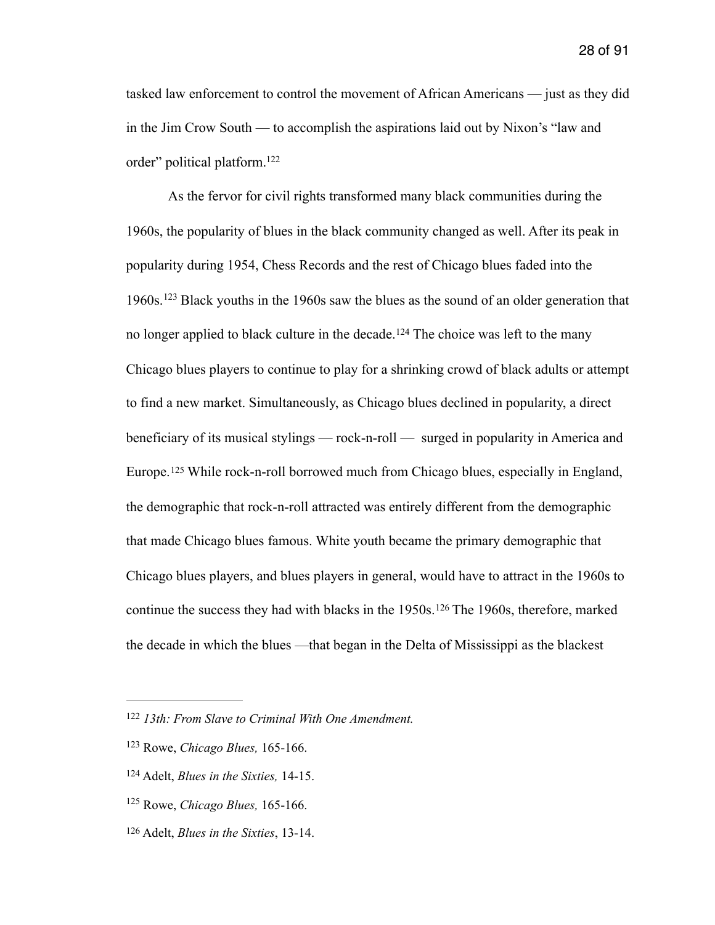tasked law enforcement to control the movement of African Americans — just as they did in the Jim Crow South — to accomplish the aspirations laid out by Nixon's "law and order" political platform[.](#page-28-0) [122](#page-28-0)

<span id="page-28-7"></span><span id="page-28-6"></span><span id="page-28-5"></span>As the fervor for civil rights transformed many black communities during the 1960s, the popularity of blues in the black community changed as well. After its peak in popularity during 1954, Chess Records and the rest of Chicago blues faded into the 1960s.<sup>[123](#page-28-1)</sup> Black youths in the 1960s saw the blues as the sound of an older generation that nolonger applied to black culture in the decade.<sup>[124](#page-28-2)</sup> The choice was left to the many Chicago blues players to continue to play for a shrinking crowd of black adults or attempt to find a new market. Simultaneously, as Chicago blues declined in popularity, a direct beneficiary of its musical stylings — rock-n-roll — surged in popularity in America and Europe.<sup>125</sup>While rock-n-roll borrowed much from Chicago blues, especially in England, the demographic that rock-n-roll attracted was entirely different from the demographic that made Chicago blues famous. White youth became the primary demographic that Chicago blues players, and blues players in general, would have to attract in the 1960s to continuethe success they had with blacks in the 1950s. <sup>[126](#page-28-4)</sup> The 1960s, therefore, marked the decade in which the blues —that began in the Delta of Mississippi as the blackest

<span id="page-28-9"></span><span id="page-28-8"></span><span id="page-28-0"></span> *<sup>13</sup>th: From Slave to Criminal With One Amendment.* [122](#page-28-5)

<span id="page-28-1"></span><sup>&</sup>lt;sup>[123](#page-28-6)</sup> Rowe, *Chicago Blues*, 165-166.

<span id="page-28-2"></span><sup>&</sup>lt;sup>[124](#page-28-7)</sup> Adelt, *Blues in the Sixties*, 14-15.

<span id="page-28-3"></span><sup>&</sup>lt;sup>[125](#page-28-8)</sup> Rowe, *Chicago Blues*, 165-166.

<span id="page-28-4"></span><sup>&</sup>lt;sup>[126](#page-28-9)</sup> Adelt, *Blues in the Sixties*, 13-14.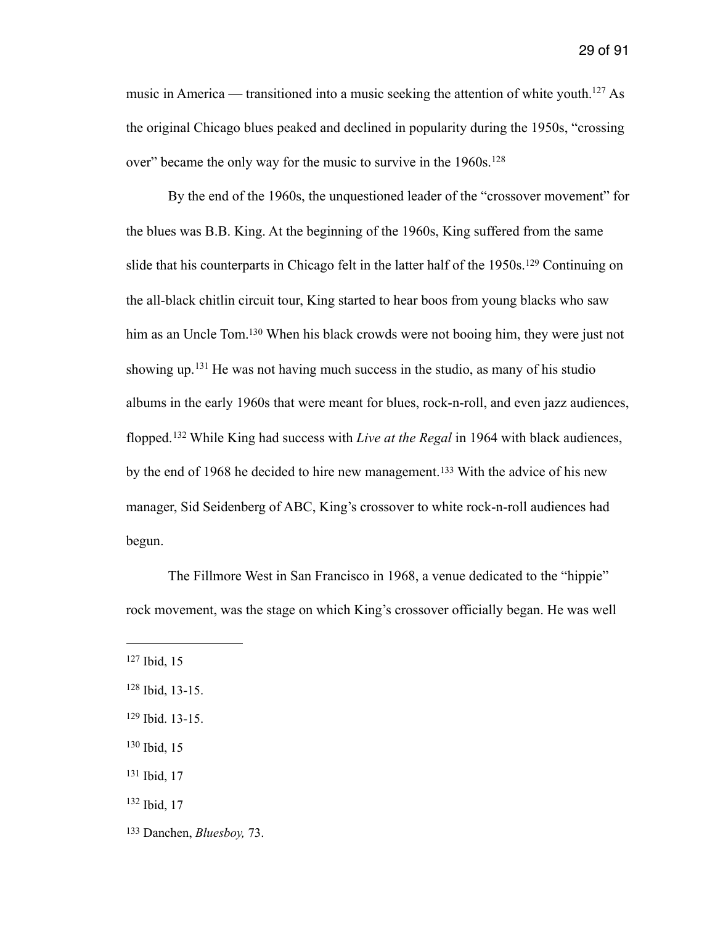<span id="page-29-7"></span>music in America — transitioned into a music seeking the attention of white youth[.](#page-29-0)<sup>[127](#page-29-0)</sup> As the original Chicago blues peaked and declined in popularity during the 1950s, "crossing over" became the only way for the music to survive in the 1960s.<sup>128</sup>

<span id="page-29-11"></span><span id="page-29-10"></span><span id="page-29-9"></span><span id="page-29-8"></span> By the end of the 1960s, the unquestioned leader of the "crossover movement" for the blues was B.B. King. At the beginning of the 1960s, King suffered from the same slidethat his counterparts in Chicago felt in the latter half of the 1950s.<sup>[129](#page-29-2)</sup> Continuing on the all-black chitlin circuit tour, King started to hear boos from young blacks who saw him as an Uncle Tom[.](#page-29-3)<sup>[130](#page-29-3)</sup> When his black crowds were not booing him, they were just not showingup.  $131$  He was not having much success in the studio, as many of his studio albums in the early 1960s that were meant for blues, rock-n-roll, and even jazz audiences, flopped. <sup>[132](#page-29-5)</sup> While King had success with *Live at the Regal* in 1964 with black audiences, bythe end of 1968 he decided to hire new management.<sup>[133](#page-29-6)</sup> With the advice of his new manager, Sid Seidenberg of ABC, King's crossover to white rock-n-roll audiences had begun.

<span id="page-29-13"></span><span id="page-29-12"></span> The Fillmore West in San Francisco in 1968, a venue dedicated to the "hippie" rock movement, was the stage on which King's crossover officially began. He was well

<span id="page-29-0"></span> $127$  Ibid, 15

<span id="page-29-1"></span> $128$  Ibid, 13-15.

<span id="page-29-2"></span>[<sup>129</sup>](#page-29-9) Ibid. 13-15.

<span id="page-29-3"></span> $130$  Ibid, 15

<span id="page-29-4"></span> $131$  Ibid, 17

<span id="page-29-5"></span> $132$  Ibid, 17

<span id="page-29-6"></span><sup>&</sup>lt;sup>[133](#page-29-13)</sup> Danchen, *Bluesboy*, 73.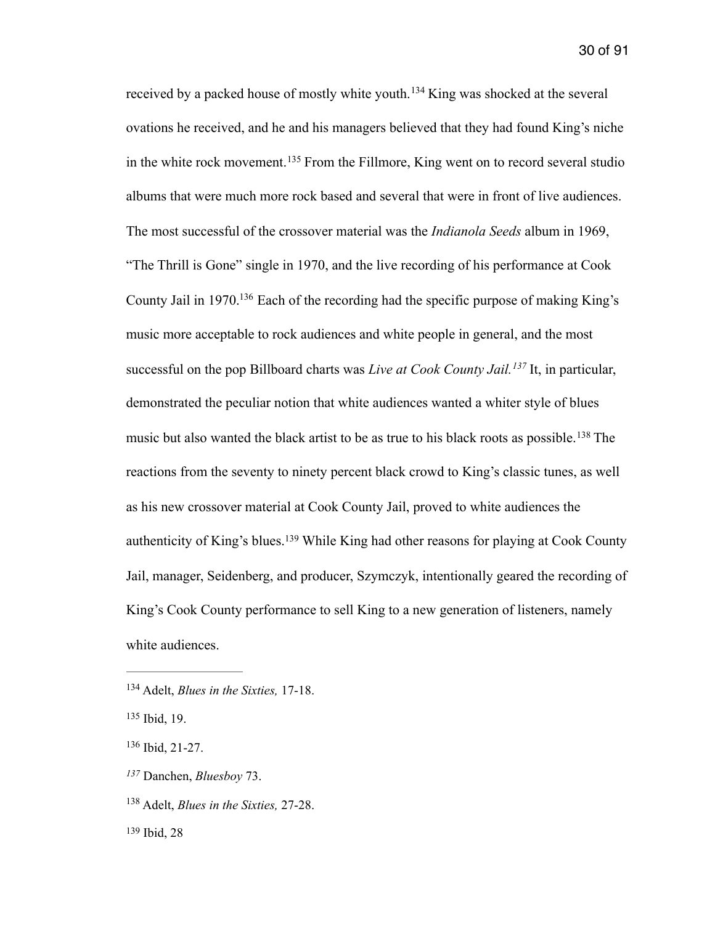<span id="page-30-9"></span><span id="page-30-8"></span><span id="page-30-7"></span><span id="page-30-6"></span>receivedby a packed house of mostly white youth.<sup>[134](#page-30-0)</sup> King was shocked at the several ovations he received, and he and his managers believed that they had found King's niche inthe white rock movement.<sup>[135](#page-30-1)</sup> From the Fillmore, King went on to record several studio albums that were much more rock based and several that were in front of live audiences. The most successful of the crossover material was the *Indianola Seeds* album in 1969, "The Thrill is Gone" single in 1970, and the live recording of his performance at Cook County Jail in 1970[.](#page-30-2)<sup>[136](#page-30-2)</sup> Each of the recording had the specific purpose of making King's music more acceptable to rock audiences and white people in general, and the most successful on the pop Billboard charts was *Live at Cook County Jail.* <sup>[137](#page-30-3)</sup> It, in particular, demonstrated the peculiar notion that white audiences wanted a whiter style of blues musicbut also wanted the black artist to be as true to his black roots as possible.<sup>[138](#page-30-4)</sup> The reactions from the seventy to ninety percent black crowd to King's classic tunes, as well as his new crossover material at Cook County Jail, proved to white audiences the authenticity of King's blues.<sup>[139](#page-30-5)</sup> While King had other reasons for playing at Cook County Jail, manager, Seidenberg, and producer, Szymczyk, intentionally geared the recording of King's Cook County performance to sell King to a new generation of listeners, namely white audiences.

<span id="page-30-11"></span><span id="page-30-10"></span><span id="page-30-0"></span><sup>&</sup>lt;sup>[134](#page-30-6)</sup> Adelt, *Blues in the Sixties*, 17-18.

<span id="page-30-1"></span>[<sup>135</sup>](#page-30-7) Ibid, 19.

<span id="page-30-2"></span> $136$  Ibid, 21-27.

<span id="page-30-3"></span>Danchen, *Bluesboy* 73. *[137](#page-30-9)*

<span id="page-30-4"></span><sup>&</sup>lt;sup>[138](#page-30-10)</sup> Adelt, *Blues in the Sixties*, 27-28.

<span id="page-30-5"></span><sup>&</sup>lt;sup>[139](#page-30-11)</sup> Ibid, 28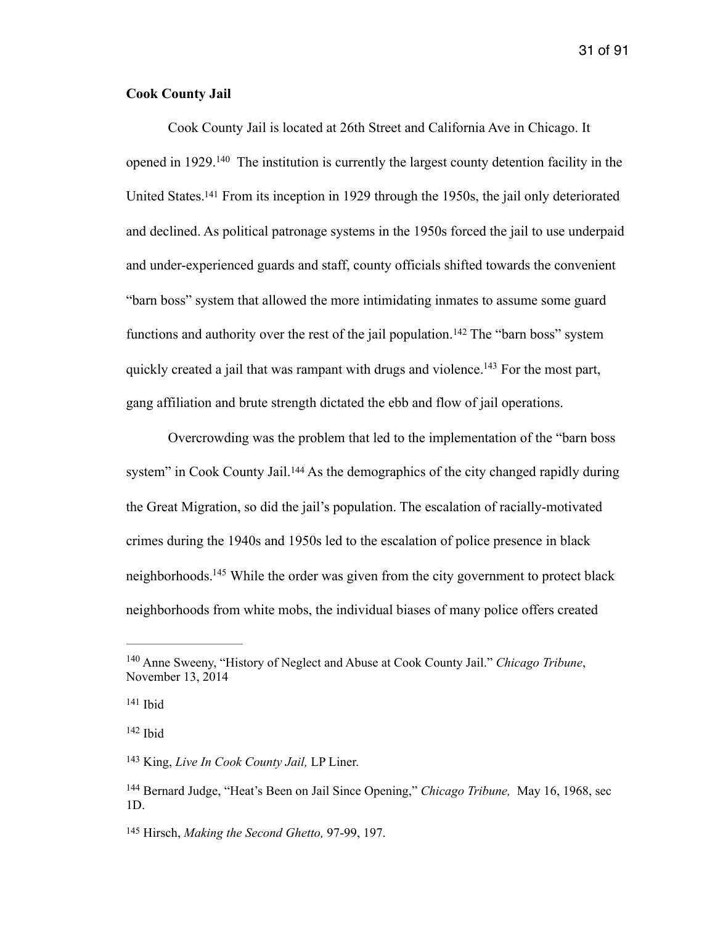### **Cook County Jail**

<span id="page-31-7"></span><span id="page-31-6"></span> Cook County Jail is located at 26th Street and California Ave in Chicago. It openedin  $1929$ . <sup>[140](#page-31-0)</sup> The institution is currently the largest county detention facility in the United States[.](#page-31-1)<sup>[141](#page-31-1)</sup> From its inception in 1929 through the 1950s, the jail only deteriorated and declined. As political patronage systems in the 1950s forced the jail to use underpaid and under-experienced guards and staff, county officials shifted towards the convenient "barn boss" system that allowed the more intimidating inmates to assume some guard functionsand authority over the rest of the jail population.<sup>[142](#page-31-2)</sup> The "barn boss" system quickly created a jail that was rampant with drugs and violence.<sup>[143](#page-31-3)</sup> For the most part, gang affiliation and brute strength dictated the ebb and flow of jail operations.

<span id="page-31-10"></span><span id="page-31-9"></span><span id="page-31-8"></span> Overcrowding was the problem that led to the implementation of the "barn boss system" in Cook County Jail.<sup>[144](#page-31-4)</sup> As the demographics of the city changed rapidly during the Great Migration, so did the jail's population. The escalation of racially-motivated crimes during the 1940s and 1950s led to the escalation of police presence in black neighborhoods[.](#page-31-5)<sup>[145](#page-31-5)</sup> While the order was given from the city government to protect black neighborhoods from white mobs, the individual biases of many police offers created

<span id="page-31-11"></span><span id="page-31-0"></span><sup>&</sup>lt;sup>[140](#page-31-6)</sup> Anne Sweeny, "History of Neglect and Abuse at Cook County Jail." *Chicago Tribune*, November 13, 2014

<span id="page-31-1"></span> $141$  Ibid

<span id="page-31-2"></span> $142$  Ibid

<span id="page-31-3"></span><sup>&</sup>lt;sup>[143](#page-31-9)</sup> King, *Live In Cook County Jail*, LP Liner.

<span id="page-31-4"></span><sup>&</sup>lt;sup>[144](#page-31-10)</sup> Bernard Judge, "Heat's Been on Jail Since Opening," *Chicago Tribune*, May 16, 1968, sec 1D.

<span id="page-31-5"></span><sup>&</sup>lt;sup>[145](#page-31-11)</sup> Hirsch, *Making the Second Ghetto*, 97-99, 197.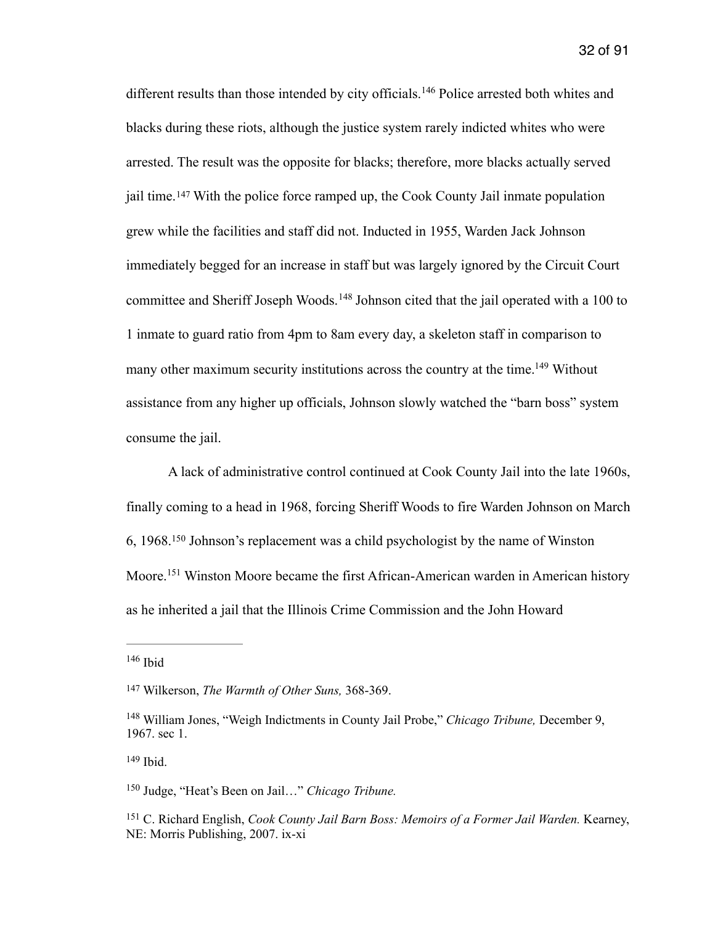<span id="page-32-7"></span><span id="page-32-6"></span>differentresults than those intended by city officials.<sup>[146](#page-32-0)</sup> Police arrested both whites and blacks during these riots, although the justice system rarely indicted whites who were arrested. The result was the opposite for blacks; therefore, more blacks actually served jailtime.  $147$  With the police force ramped up, the Cook County Jail inmate population grew while the facilities and staff did not. Inducted in 1955, Warden Jack Johnson immediately begged for an increase in staff but was largely ignored by the Circuit Court committeeand Sheriff Joseph Woods.<sup>[148](#page-32-2)</sup> Johnson cited that the jail operated with a 100 to 1 inmate to guard ratio from 4pm to 8am every day, a skeleton staff in comparison to many other maximum security institutions across the country at the time[.](#page-32-3)<sup>[149](#page-32-3)</sup> Without assistance from any higher up officials, Johnson slowly watched the "barn boss" system consume the jail.

<span id="page-32-10"></span><span id="page-32-9"></span><span id="page-32-8"></span> A lack of administrative control continued at Cook County Jail into the late 1960s, finally coming to a head in 1968, forcing Sheriff Woods to fire Warden Johnson on March 6, 1968.<sup>[150](#page-32-4)</sup> Johnson's replacement was a child psychologist by the name of Winston Moore.<sup>[151](#page-32-5)</sup> Winston Moore became the first African-American warden in American history as he inherited a jail that the Illinois Crime Commission and the John Howard

<span id="page-32-3"></span> $149$  Ibid.

<span id="page-32-11"></span><span id="page-32-0"></span> $146$  Ibid

<span id="page-32-1"></span><sup>&</sup>lt;sup>[147](#page-32-7)</sup> Wilkerson, *The Warmth of Other Suns*, 368-369.

<span id="page-32-2"></span><sup>&</sup>lt;sup>[148](#page-32-8)</sup> William Jones, "Weigh Indictments in County Jail Probe," *Chicago Tribune*, December 9, 1967. sec 1.

<span id="page-32-4"></span><sup>&</sup>lt;sup>[150](#page-32-10)</sup> Judge, "Heat's Been on Jail..." *Chicago Tribune*.

<span id="page-32-5"></span><sup>&</sup>lt;sup>[151](#page-32-11)</sup> C. Richard English, *Cook County Jail Barn Boss: Memoirs of a Former Jail Warden.* Kearney, NE: Morris Publishing, 2007. ix-xi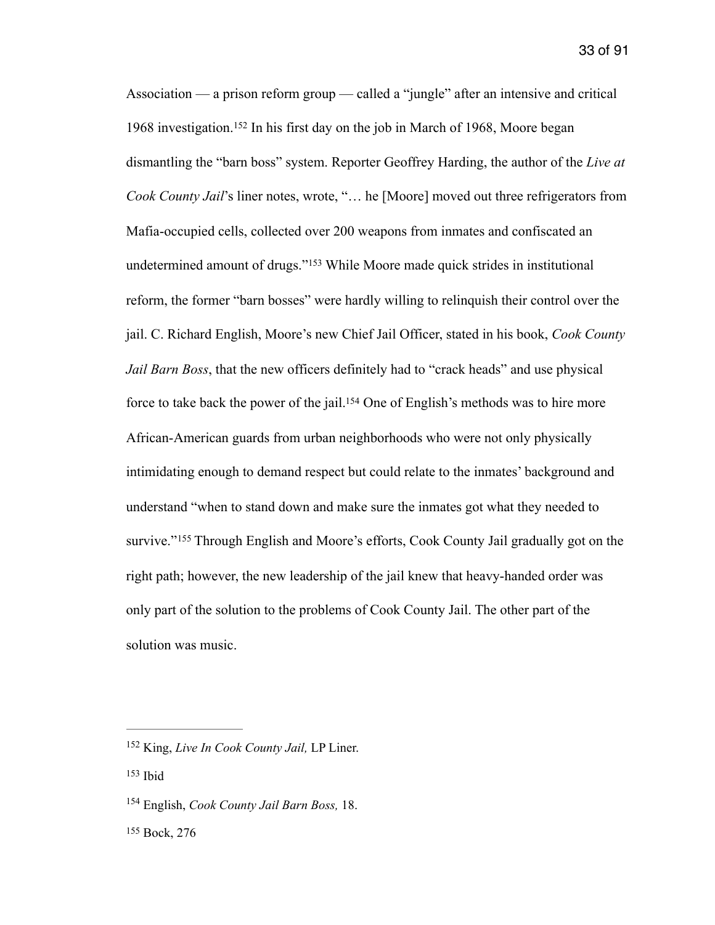<span id="page-33-6"></span><span id="page-33-5"></span><span id="page-33-4"></span>Association — a prison reform group — called a "jungle" after an intensive and critical 1968investigation.<sup>[152](#page-33-0)</sup> In his first day on the job in March of 1968, Moore began dismantling the "barn boss" system. Reporter Geoffrey Harding, the author of the *Live at Cook County Jail*'s liner notes, wrote, "… he [Moore] moved out three refrigerators from Mafia-occupied cells, collected over 200 weapons from inmates and confiscated an undeterminedamount of drugs."<sup>[153](#page-33-1)</sup> While Moore made quick strides in institutional reform, the former "barn bosses" were hardly willing to relinquish their control over the jail. C. Richard English, Moore's new Chief Jail Officer, stated in his book, *Cook County Jail Barn Boss*, that the new officers definitely had to "crack heads" and use physical force to take back the power of the jail[.](#page-33-2)<sup>[154](#page-33-2)</sup> One of English's methods was to hire more African-American guards from urban neighborhoods who were not only physically intimidating enough to demand respect but could relate to the inmates' background and understand "when to stand down and make sure the inmates got what they needed to survive."<sup>155</sup>Through English and Moore's efforts, Cook County Jail gradually got on the right path; however, the new leadership of the jail knew that heavy-handed order was only part of the solution to the problems of Cook County Jail. The other part of the solution was music.

<span id="page-33-7"></span><span id="page-33-0"></span><sup>&</sup>lt;sup>[152](#page-33-4)</sup> King, *Live In Cook County Jail*, LP Liner.

<span id="page-33-1"></span>[<sup>153</sup>](#page-33-5) Ibid

<span id="page-33-2"></span><sup>&</sup>lt;sup>[154](#page-33-6)</sup> English, *Cook County Jail Barn Boss*, 18.

<span id="page-33-3"></span><sup>&</sup>lt;sup>[155](#page-33-7)</sup> Bock, 276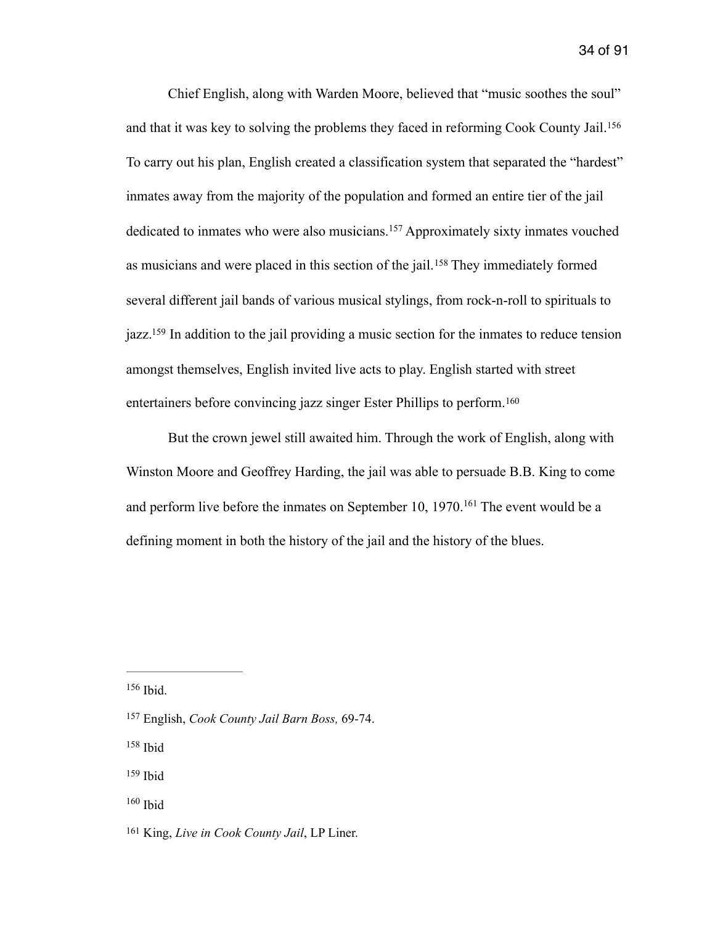<span id="page-34-7"></span><span id="page-34-6"></span> Chief English, along with Warden Moore, believed that "music soothes the soul" and that it was key to solving the problems they faced in reforming Cook County Jail.[156](#page-34-0) To carry out his plan, English created a classification system that separated the "hardest" inmates away from the majority of the population and formed an entire tier of the jail dedicatedto inmates who were also musicians.<sup>[157](#page-34-1)</sup> Approximately sixty inmates vouched asmusicians and were placed in this section of the jail.<sup>[158](#page-34-2)</sup> They immediately formed several different jail bands of various musical stylings, from rock-n-roll to spirituals to jazz[.](#page-34-3)<sup>[159](#page-34-3)</sup> In addition to the jail providing a music section for the inmates to reduce tension amongst themselves, English invited live acts to play. English started with street entertainers before convincing jazz singer Ester Phillips to perform.[160](#page-34-4)

<span id="page-34-11"></span><span id="page-34-10"></span><span id="page-34-9"></span><span id="page-34-8"></span> But the crown jewel still awaited him. Through the work of English, along with Winston Moore and Geoffrey Harding, the jail was able to persuade B.B. King to come andperform live before the inmates on September 10,  $1970$ .<sup>[161](#page-34-5)</sup> The event would be a defining moment in both the history of the jail and the history of the blues.

<span id="page-34-0"></span> $156$  Ibid.

<span id="page-34-2"></span> $158$  Ibid

- <span id="page-34-3"></span>[159](#page-34-9) Ibid
- <span id="page-34-4"></span> $160$  Ibid

<span id="page-34-1"></span><sup>&</sup>lt;sup>[157](#page-34-7)</sup> English, *Cook County Jail Barn Boss*, 69-74.

<span id="page-34-5"></span><sup>&</sup>lt;sup>[161](#page-34-11)</sup> King, *Live in Cook County Jail*, LP Liner.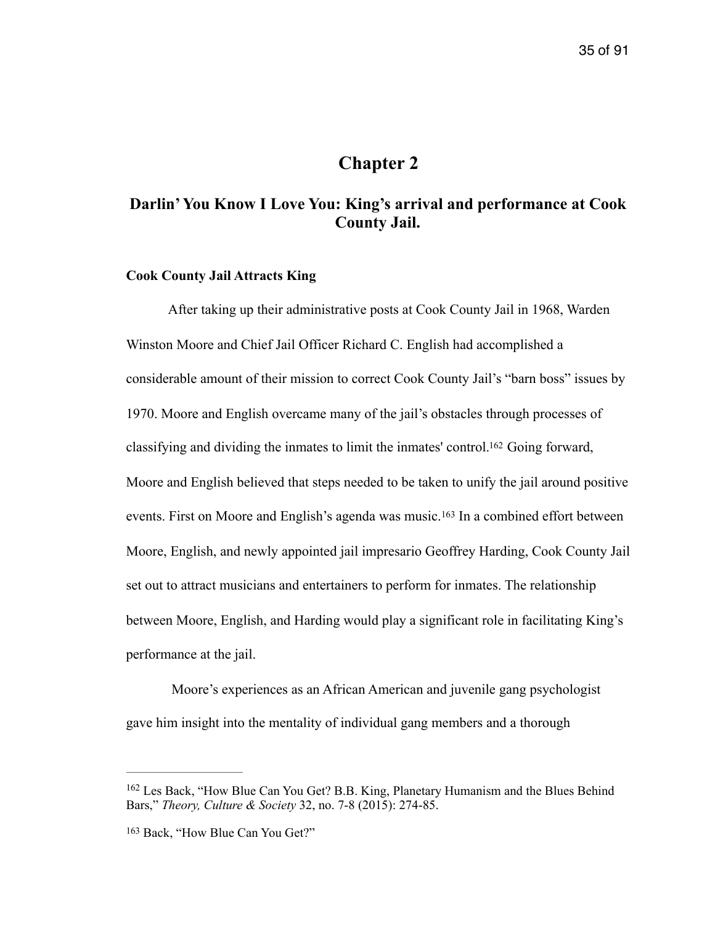## <span id="page-35-2"></span>**Chapter 2**

## **Darlin' You Know I Love You: King's arrival and performance at Cook County Jail.**

### **Cook County Jail Attracts King**

After taking up their administrative posts at Cook County Jail in 1968, Warden Winston Moore and Chief Jail Officer Richard C. English had accomplished a considerable amount of their mission to correct Cook County Jail's "barn boss" issues by 1970. Moore and English overcame many of the jail's obstacles through processes of classifying and dividing the inmates to limit the inmates' control[.](#page-35-0)<sup>[162](#page-35-0)</sup> Going forward, Moore and English believed that steps needed to be taken to unify the jail around positive events.First on Moore and English's agenda was music.<sup>[163](#page-35-1)</sup> In a combined effort between Moore, English, and newly appointed jail impresario Geoffrey Harding, Cook County Jail set out to attract musicians and entertainers to perform for inmates. The relationship between Moore, English, and Harding would play a significant role in facilitating King's performance at the jail.

<span id="page-35-3"></span> Moore's experiences as an African American and juvenile gang psychologist gave him insight into the mentality of individual gang members and a thorough

<span id="page-35-0"></span><sup>&</sup>lt;sup>[162](#page-35-2)</sup> Les Back, "How Blue Can You Get? B.B. King, Planetary Humanism and the Blues Behind Bars," *Theory, Culture & Society* 32, no. 7-8 (2015): 274-85.

<span id="page-35-1"></span><sup>&</sup>lt;sup>[163](#page-35-3)</sup> Back, "How Blue Can You Get?"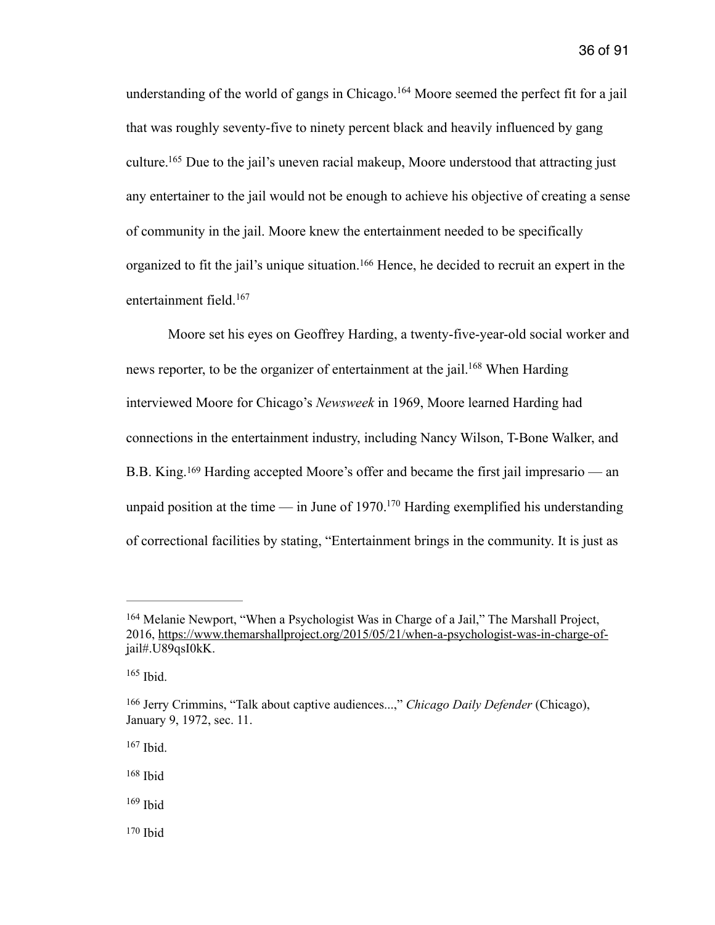<span id="page-36-8"></span><span id="page-36-7"></span>understandingof the world of gangs in Chicago.<sup>[164](#page-36-0)</sup> Moore seemed the perfect fit for a jail that was roughly seventy-five to ninety percent black and heavily influenced by gang culture[.](#page-36-1)<sup>[165](#page-36-1)</sup> Due to the jail's uneven racial makeup, Moore understood that attracting just any entertainer to the jail would not be enough to achieve his objective of creating a sense of community in the jail. Moore knew the entertainment needed to be specifically organized to fit the jail's unique situation[.](#page-36-2)<sup>[166](#page-36-2)</sup> Hence, he decided to recruit an expert in the entertainment field. [167](#page-36-3)

<span id="page-36-11"></span><span id="page-36-10"></span><span id="page-36-9"></span> Moore set his eyes on Geoffrey Harding, a twenty-five-year-old social worker and news reporter, to be the organizer of entertainment at the jail[.](#page-36-4)<sup>[168](#page-36-4)</sup> When Harding interviewed Moore for Chicago's *Newsweek* in 1969, Moore learned Harding had connections in the entertainment industry, including Nancy Wilson, T-Bone Walker, and B[.](#page-36-5)B. King.  $^{169}$  $^{169}$  $^{169}$  Harding accepted Moore's offer and became the first jail impresario — an unpaid position at the time — in June of  $1970$ [.](#page-36-6)<sup>[170](#page-36-6)</sup> Harding exemplified his understanding of correctional facilities by stating, "Entertainment brings in the community. It is just as

- <span id="page-36-5"></span> $169$  Ibid
- <span id="page-36-6"></span> $170$  Ibid

<span id="page-36-13"></span><span id="page-36-12"></span><span id="page-36-0"></span><sup>&</sup>lt;sup>[164](#page-36-7)</sup> Melanie Newport, "When a Psychologist Was in Charge of a Jail," The Marshall Project, [2016, https://www.themarshallproject.org/2015/05/21/when-a-psychologist-was-in-charge-of](https://www.themarshallproject.org/2015/05/21/when-a-psychologist-was-in-charge-of-j)jail#.U89qsI0kK.

<span id="page-36-1"></span> $165$  Ibid.

<span id="page-36-2"></span><sup>&</sup>lt;sup>[166](#page-36-9)</sup> Jerry Crimmins, "Talk about captive audiences...," *Chicago Daily Defender* (Chicago), January 9, 1972, sec. 11.

<span id="page-36-3"></span>[<sup>167</sup>](#page-36-10) Ibid.

<span id="page-36-4"></span>[<sup>168</sup>](#page-36-11) Ibid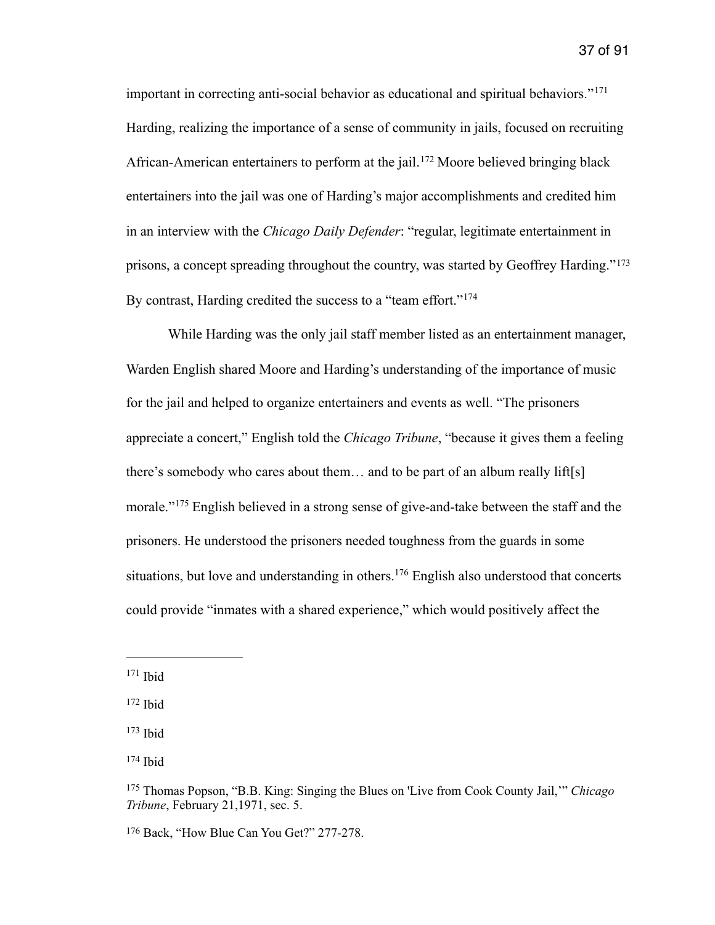<span id="page-37-7"></span><span id="page-37-6"></span>important in correcting anti-social behavior as educational and spiritual behaviors."[171](#page-37-0) Harding, realizing the importance of a sense of community in jails, focused on recruiting African-Americanentertainers to perform at the jail.<sup>[172](#page-37-1)</sup> Moore believed bringing black entertainers into the jail was one of Harding's major accomplishments and credited him in an interview with the *Chicago Daily Defender*: "regular, legitimate entertainment in prisons, a concept spreading throughout the country, was started by Geoffrey Harding."[173](#page-37-2) By contrast, Harding credited the success to a "team effort."<sup>[174](#page-37-3)</sup>

<span id="page-37-9"></span><span id="page-37-8"></span> While Harding was the only jail staff member listed as an entertainment manager, Warden English shared Moore and Harding's understanding of the importance of music for the jail and helped to organize entertainers and events as well. "The prisoners appreciate a concert," English told the *Chicago Tribune*, "because it gives them a feeling there's somebody who cares about them… and to be part of an album really lift[s] morale."<sup>[175](#page-37-4)</sup> English believed in a strong sense of give-and-take between the staff and the prisoners. He understood the prisoners needed toughness from the guards in some situations,but love and understanding in others.<sup>[176](#page-37-5)</sup> English also understood that concerts could provide "inmates with a shared experience," which would positively affect the

<span id="page-37-3"></span>[174](#page-37-9) Ibid

<span id="page-37-11"></span><span id="page-37-10"></span><span id="page-37-0"></span> $171$  Ibid

<span id="page-37-1"></span> $172$  Ihid

<span id="page-37-2"></span> $173$  Ibid

<span id="page-37-4"></span><sup>&</sup>lt;sup>[175](#page-37-10)</sup> Thomas Popson, "B.B. King: Singing the Blues on 'Live from Cook County Jail," *Chicago Tribune*, February 21,1971, sec. 5.

<span id="page-37-5"></span><sup>&</sup>lt;sup>[176](#page-37-11)</sup> Back, "How Blue Can You Get?" 277-278.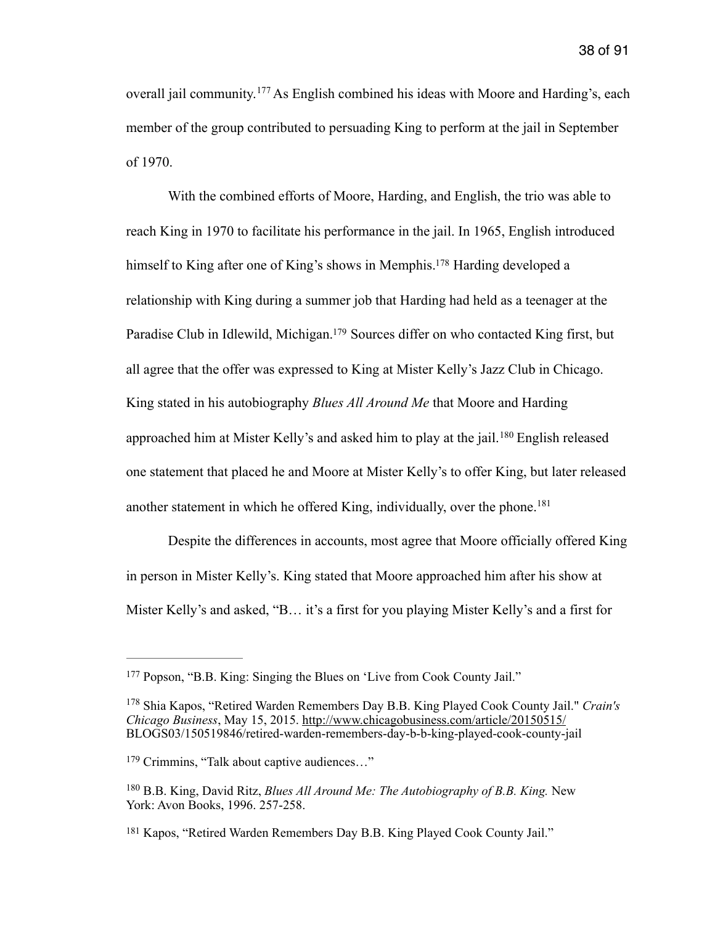<span id="page-38-5"></span>overalljail community.  $177$  As English combined his ideas with Moore and Harding's, each member of the group contributed to persuading King to perform at the jail in September of 1970.

<span id="page-38-7"></span><span id="page-38-6"></span> With the combined efforts of Moore, Harding, and English, the trio was able to reach King in 1970 to facilitate his performance in the jail. In 1965, English introduced himself to King after one of King's shows in Memphis[.](#page-38-1)<sup>[178](#page-38-1)</sup> Harding developed a relationship with King during a summer job that Harding had held as a teenager at the Paradise Club in Idlewild, Michigan[.](#page-38-2)<sup>[179](#page-38-2)</sup> Sources differ on who contacted King first, but all agree that the offer was expressed to King at Mister Kelly's Jazz Club in Chicago. King stated in his autobiography *Blues All Around Me* that Moore and Harding approachedhim at Mister Kelly's and asked him to play at the jail.  $180$  English released one statement that placed he and Moore at Mister Kelly's to offer King, but later released another statement in which he offered King, individually, over the phone.<sup>[181](#page-38-4)</sup>

<span id="page-38-9"></span><span id="page-38-8"></span> Despite the differences in accounts, most agree that Moore officially offered King in person in Mister Kelly's. King stated that Moore approached him after his show at Mister Kelly's and asked, "B… it's a first for you playing Mister Kelly's and a first for

<span id="page-38-0"></span>Popson, "B.B. King: Singing the Blues on 'Live from Cook County Jail." [177](#page-38-5)

<span id="page-38-1"></span><sup>&</sup>lt;sup>[178](#page-38-6)</sup> Shia Kapos, "Retired Warden Remembers Day B.B. King Played Cook County Jail." *Crain's Chicago Business*, May 15, 2015. <http://www.chicagobusiness.com/article/20150515/> BLOGS03/150519846/retired-warden-remembers-day-b-b-king-played-cook-county-jail

<span id="page-38-2"></span><sup>&</sup>lt;sup>[179](#page-38-7)</sup> Crimmins, "Talk about captive audiences..."

<span id="page-38-3"></span><sup>&</sup>lt;sup>[180](#page-38-8)</sup> B.B. King, David Ritz, *Blues All Around Me: The Autobiography of B.B. King.* New York: Avon Books, 1996. 257-258.

<span id="page-38-4"></span><sup>&</sup>lt;sup>[181](#page-38-9)</sup> Kapos, "Retired Warden Remembers Day B.B. King Played Cook County Jail."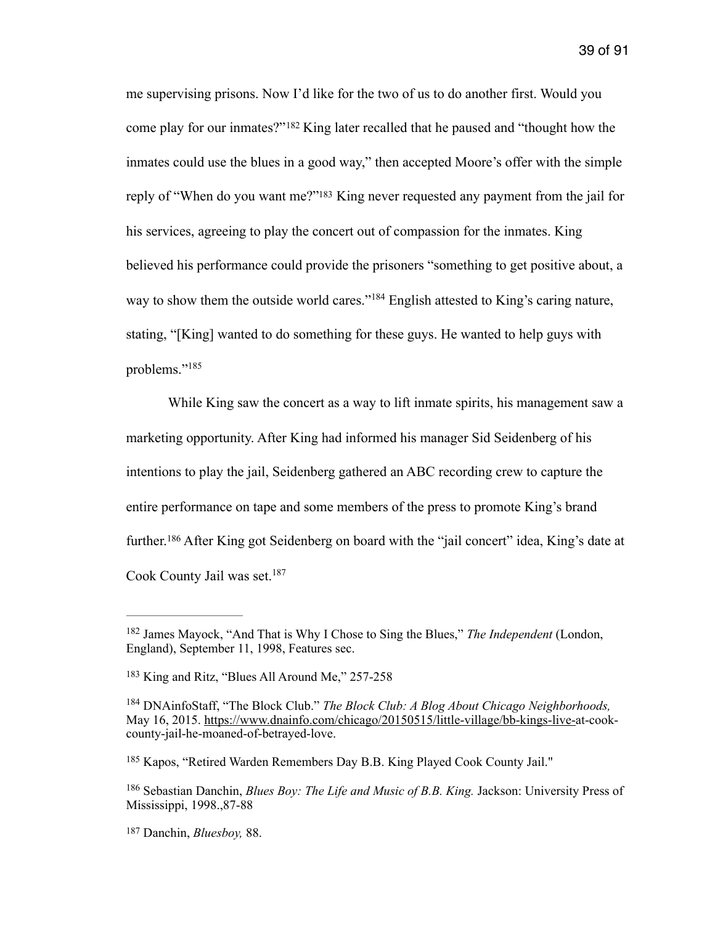<span id="page-39-7"></span><span id="page-39-6"></span>me supervising prisons. Now I'd like for the two of us to do another first. Would you comeplay for our inmates?"<sup>[182](#page-39-0)</sup> King later recalled that he paused and "thought how the inmates could use the blues in a good way," then accepted Moore's offer with the simple reply of ["](#page-39-1)When do you want me?"<sup>[183](#page-39-1)</sup> King never requested any payment from the jail for his services, agreeing to play the concert out of compassion for the inmates. King believed his performance could provide the prisoners "something to get positive about, a wayto show them the outside world cares."<sup>[184](#page-39-2)</sup> English attested to King's caring nature, stating, "[King] wanted to do something for these guys. He wanted to help guys with problems."[185](#page-39-3)

<span id="page-39-9"></span><span id="page-39-8"></span> While King saw the concert as a way to lift inmate spirits, his management saw a marketing opportunity. After King had informed his manager Sid Seidenberg of his intentions to play the jail, Seidenberg gathered an ABC recording crew to capture the entire performance on tape and some members of the press to promote King's brand further.<sup>186</sup>After King got Seidenberg on board with the "jail concert" idea, King's date at Cook County Jail was set.<sup>[187](#page-39-5)</sup>

<span id="page-39-11"></span><span id="page-39-10"></span><span id="page-39-0"></span><sup>&</sup>lt;sup>[182](#page-39-6)</sup> James Mayock, "And That is Why I Chose to Sing the Blues," *The Independent* (London, England), September 11, 1998, Features sec.

<span id="page-39-1"></span> $183$  King and Ritz, "Blues All Around Me," 257-258

<span id="page-39-2"></span><sup>&</sup>lt;sup>[184](#page-39-8)</sup> DNAinfoStaff, "The Block Club." *The Block Club: A Blog About Chicago Neighborhoods*, May 16, 2015. <https://www.dnainfo.com/chicago/20150515/little-village/bb-kings-live->at-cookcounty-jail-he-moaned-of-betrayed-love.

<span id="page-39-3"></span><sup>&</sup>lt;sup>[185](#page-39-9)</sup> Kapos, "Retired Warden Remembers Day B.B. King Played Cook County Jail."

<span id="page-39-4"></span><sup>&</sup>lt;sup>[186](#page-39-10)</sup> Sebastian Danchin, *Blues Boy: The Life and Music of B.B. King.* Jackson: University Press of Mississippi, 1998.,87-88

<span id="page-39-5"></span><sup>&</sup>lt;sup>[187](#page-39-11)</sup> Danchin, *Bluesboy*, 88.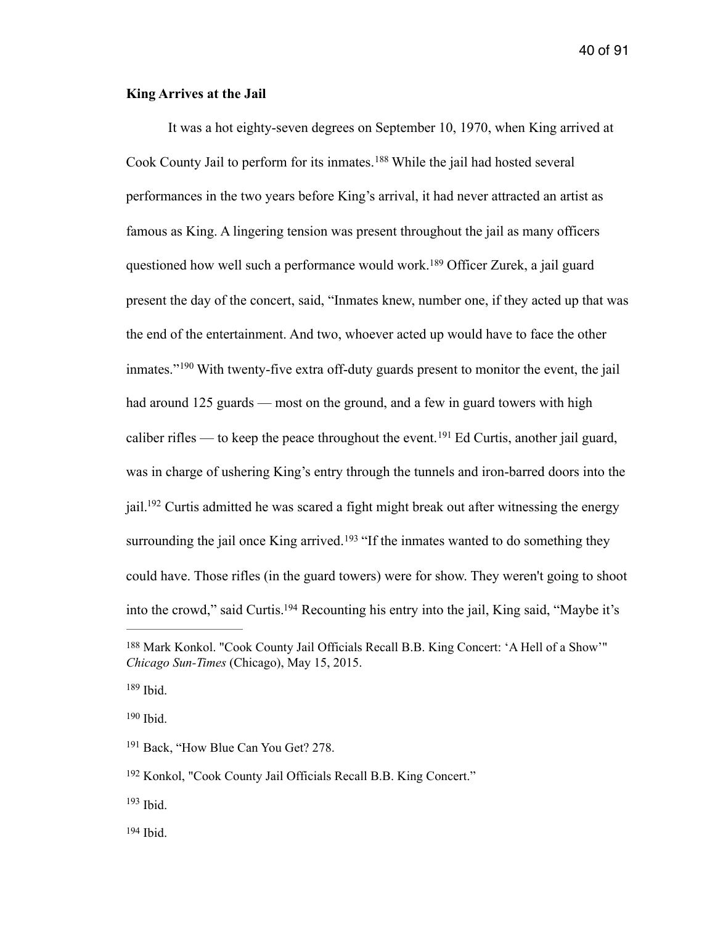### **King Arrives at the Jail**

<span id="page-40-9"></span><span id="page-40-8"></span><span id="page-40-7"></span>It was a hot eighty-seven degrees on September 10, 1970, when King arrived at CookCounty Jail to perform for its inmates.<sup>[188](#page-40-0)</sup> While the jail had hosted several performances in the two years before King's arrival, it had never attracted an artist as famous as King. A lingering tension was present throughout the jail as many officers questionedhow well such a performance would work.<sup>[189](#page-40-1)</sup> Officer Zurek, a jail guard present the day of the concert, said, "Inmates knew, number one, if they acted up that was the end of the entertainment. And two, whoever acted up would have to face the other inmates."<sup>190</sup>With twenty-five extra off-duty guards present to monitor the event, the jail had around 125 guards — most on the ground, and a few in guard towers with high caliberrifles — to keep the peace throughout the event. <sup>[191](#page-40-3)</sup> Ed Curtis, another jail guard, was in charge of ushering King's entry through the tunnels and iron-barred doors into the jail[.](#page-40-4)<sup> $192$ </sup> Curtis admitted he was scared a fight might break out after witnessing the energy surroundingthe jail once King arrived.<sup>[193](#page-40-5)</sup> "If the inmates wanted to do something they could have. Those rifles (in the guard towers) were for show. They weren't going to shoot into the crowd," said Curtis[.](#page-40-6)<sup>[194](#page-40-6)</sup> Recounting his entry into the jail, King said, "Maybe it's

<span id="page-40-1"></span> $189$  Ibid.

<span id="page-40-2"></span>Ibid. [190](#page-40-9)

<span id="page-40-13"></span><span id="page-40-12"></span><span id="page-40-11"></span><span id="page-40-10"></span><span id="page-40-0"></span><sup>&</sup>lt;sup>[188](#page-40-7)</sup> Mark Konkol. "Cook County Jail Officials Recall B.B. King Concert: 'A Hell of a Show'" *Chicago Sun-Times* (Chicago), May 15, 2015.

<span id="page-40-3"></span><sup>&</sup>lt;sup>[191](#page-40-10)</sup> Back, "How Blue Can You Get? 278.

<span id="page-40-4"></span><sup>&</sup>lt;sup>[192](#page-40-11)</sup> Konkol, "Cook County Jail Officials Recall B.B. King Concert."

<span id="page-40-6"></span><span id="page-40-5"></span> $193$  Ibid.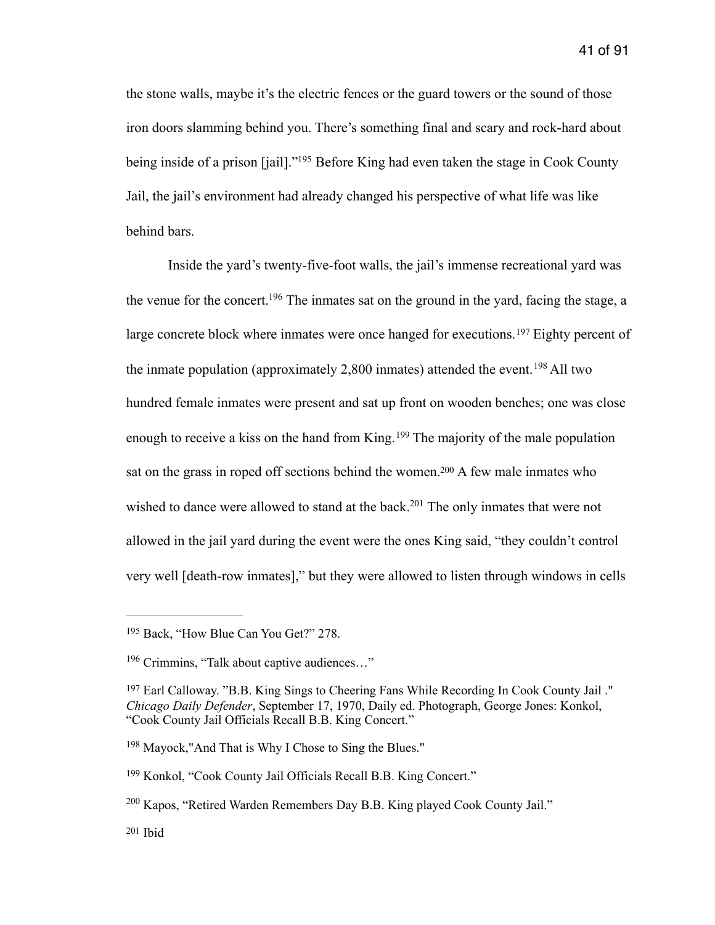<span id="page-41-7"></span>the stone walls, maybe it's the electric fences or the guard towers or the sound of those iron doors slamming behind you. There's something final and scary and rock-hard about being inside of a prison [jail].["](#page-41-0)<sup>[195](#page-41-0)</sup> Before King had even taken the stage in Cook County Jail, the jail's environment had already changed his perspective of what life was like behind bars.

<span id="page-41-10"></span><span id="page-41-9"></span><span id="page-41-8"></span> Inside the yard's twenty-five-foot walls, the jail's immense recreational yard was the venue for the concert[.](#page-41-1) <sup>[196](#page-41-1)</sup> The inmates sat on the ground in the yard, facing the stage, a largeconcrete block where inmates were once hanged for executions.<sup>[197](#page-41-2)</sup> Eighty percent of theinmate population (approximately 2,800 inmates) attended the event. <sup>[198](#page-41-3)</sup> All two hundred female inmates were present and sat up front on wooden benches; one was close enoughto receive a kiss on the hand from King.  $199$  The majority of the male population sat on the grass in roped off sections behind the women[.](#page-41-5)<sup>[200](#page-41-5)</sup> A few male inmates who wished to dance were allowed to stand at the back[.](#page-41-6)<sup>[201](#page-41-6)</sup> The only inmates that were not allowed in the jail yard during the event were the ones King said, "they couldn't control very well [death-row inmates]," but they were allowed to listen through windows in cells

<span id="page-41-13"></span><span id="page-41-12"></span><span id="page-41-11"></span><span id="page-41-0"></span><sup>&</sup>lt;sup>[195](#page-41-7)</sup> Back, "How Blue Can You Get?" 278.

<span id="page-41-1"></span> $196$  Crimmins, "Talk about captive audiences..."

<span id="page-41-2"></span><sup>&</sup>lt;sup>[197](#page-41-9)</sup> Earl Calloway. "B.B. King Sings to Cheering Fans While Recording In Cook County Jail." *Chicago Daily Defender*, September 17, 1970, Daily ed. Photograph, George Jones: Konkol, "Cook County Jail Officials Recall B.B. King Concert."

<span id="page-41-3"></span><sup>&</sup>lt;sup>[198](#page-41-10)</sup> Mayock,"And That is Why I Chose to Sing the Blues."

<span id="page-41-4"></span><sup>&</sup>lt;sup>[199](#page-41-11)</sup> Konkol, "Cook County Jail Officials Recall B.B. King Concert."

<span id="page-41-5"></span> $^{200}$  $^{200}$  $^{200}$  Kapos, "Retired Warden Remembers Day B.B. King played Cook County Jail."

<span id="page-41-6"></span> $201$  Ibid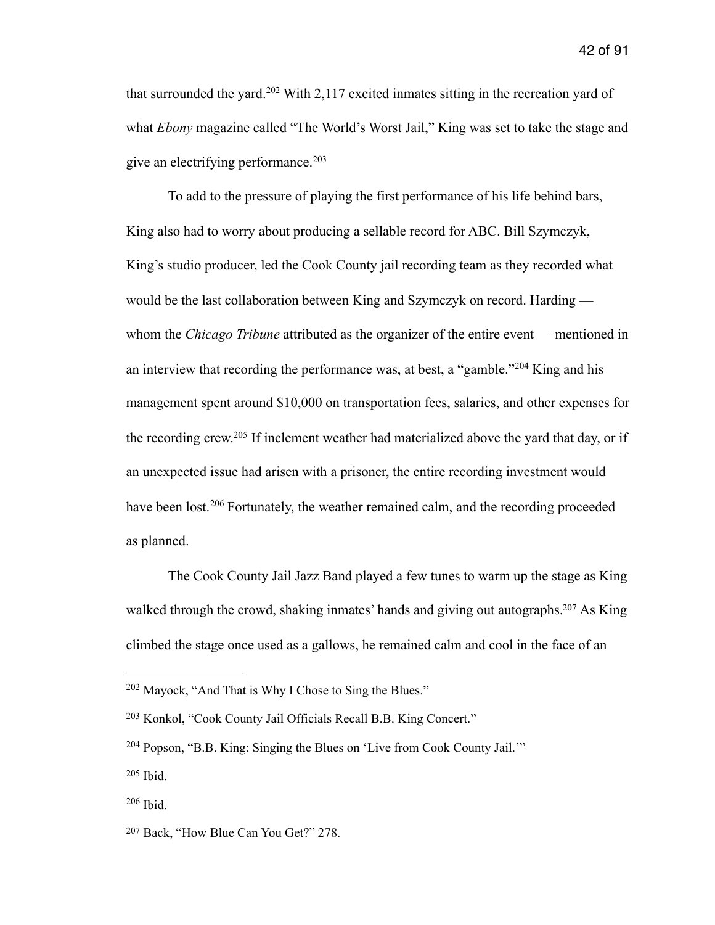<span id="page-42-6"></span>thatsurrounded the yard.<sup>[202](#page-42-0)</sup> With 2,117 excited inmates sitting in the recreation yard of what *Ebony* magazine called "The World's Worst Jail," King was set to take the stage and give an electrifying performance. [203](#page-42-1)

<span id="page-42-8"></span><span id="page-42-7"></span> To add to the pressure of playing the first performance of his life behind bars, King also had to worry about producing a sellable record for ABC. Bill Szymczyk, King's studio producer, led the Cook County jail recording team as they recorded what would be the last collaboration between King and Szymczyk on record. Harding whom the *Chicago Tribune* attributed as the organizer of the entire event — mentioned in aninterview that recording the performance was, at best, a "gamble."  $204$  King and his management spent around \$10,000 on transportation fees, salaries, and other expenses for the recording crew[.](#page-42-3)<sup>[205](#page-42-3)</sup> If inclement weather had materialized above the yard that day, or if an unexpected issue had arisen with a prisoner, the entire recording investment would havebeen lost.<sup>[206](#page-42-4)</sup> Fortunately, the weather remained calm, and the recording proceeded as planned.

<span id="page-42-11"></span><span id="page-42-10"></span><span id="page-42-9"></span> The Cook County Jail Jazz Band played a few tunes to warm up the stage as King walked through the crowd, shaking inmates' hands and giving out autographs[.](#page-42-5)  $207$  As King climbed the stage once used as a gallows, he remained calm and cool in the face of an

<span id="page-42-0"></span> $202$  Mayock, "And That is Why I Chose to Sing the Blues."

<span id="page-42-1"></span><sup>&</sup>lt;sup>[203](#page-42-7)</sup> Konkol, "Cook County Jail Officials Recall B.B. King Concert."

<span id="page-42-2"></span> $204$  Popson, "B.B. King: Singing the Blues on 'Live from Cook County Jail."

<span id="page-42-3"></span> $205$  Ibid.

<span id="page-42-4"></span> $206$  Ibid.

<span id="page-42-5"></span><sup>&</sup>lt;sup>[207](#page-42-11)</sup> Back, "How Blue Can You Get?" 278.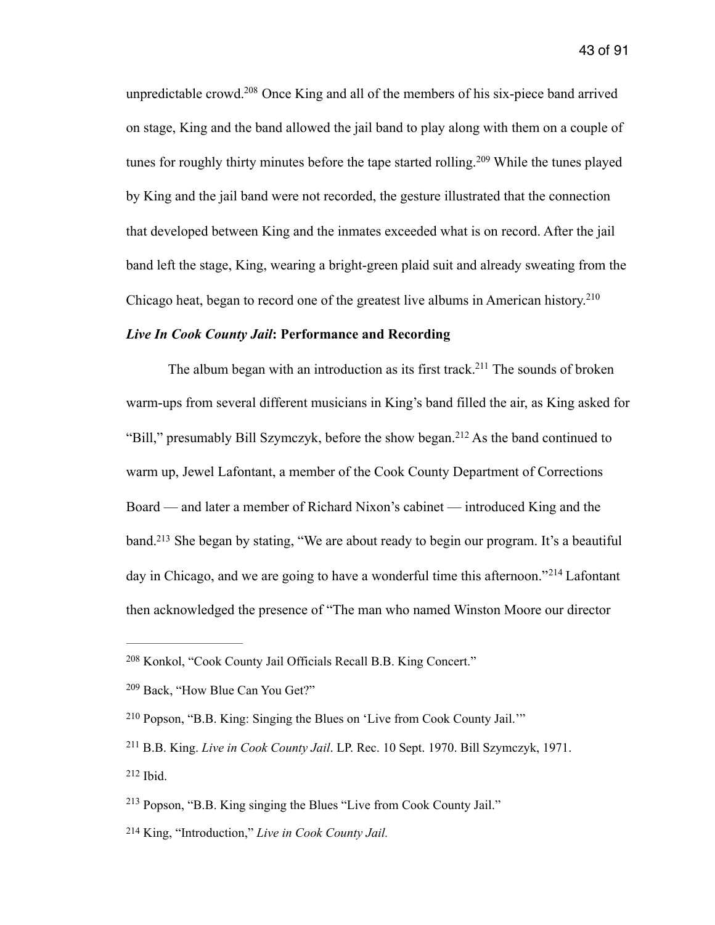<span id="page-43-8"></span><span id="page-43-7"></span>unpredictable crowd[.](#page-43-0)<sup>[208](#page-43-0)</sup> Once King and all of the members of his six-piece band arrived on stage, King and the band allowed the jail band to play along with them on a couple of tunesfor roughly thirty minutes before the tape started rolling.<sup>[209](#page-43-1)</sup> While the tunes played by King and the jail band were not recorded, the gesture illustrated that the connection that developed between King and the inmates exceeded what is on record. After the jail band left the stage, King, wearing a bright-green plaid suit and already sweating from the Chicago heat, began to record one of the greatest live albums in American history.<sup>210</sup>

## <span id="page-43-9"></span>*Live In Cook County Jail***: Performance and Recording**

<span id="page-43-11"></span><span id="page-43-10"></span>The album began with an introduction as its first track.<sup>[211](#page-43-3)</sup> The sounds of broken warm-ups from several different musicians in King's band filled the air, as King asked for "Bill,"presumably Bill Szymczyk, before the show began.<sup>[212](#page-43-4)</sup> As the band continued to warm up, Jewel Lafontant, a member of the Cook County Department of Corrections Board — and later a member of Richard Nixon's cabinet — introduced King and the band[.](#page-43-5)<sup>[213](#page-43-5)</sup> She began by stating, "We are about ready to begin our program. It's a beautiful dayin Chicago, and we are going to have a wonderful time this afternoon."<sup>[214](#page-43-6)</sup> Lafontant then acknowledged the presence of "The man who named Winston Moore our director

<span id="page-43-13"></span><span id="page-43-12"></span><span id="page-43-0"></span><sup>&</sup>lt;sup>[208](#page-43-7)</sup> Konkol, "Cook County Jail Officials Recall B.B. King Concert."

<span id="page-43-1"></span> $209$  Back, "How Blue Can You Get?"

<span id="page-43-2"></span>Popson, "B.B. King: Singing the Blues on 'Live from Cook County Jail.'" [210](#page-43-9)

<span id="page-43-3"></span><sup>&</sup>lt;sup>[211](#page-43-10)</sup> B.B. King. *Live in Cook County Jail*. LP. Rec. 10 Sept. 1970. Bill Szymczyk, 1971.  $212$  Ibid.

<span id="page-43-5"></span><span id="page-43-4"></span> $213$  Popson, "B.B. King singing the Blues "Live from Cook County Jail."

<span id="page-43-6"></span>King, "Introduction," *Live in Cook County Jail.* [214](#page-43-13)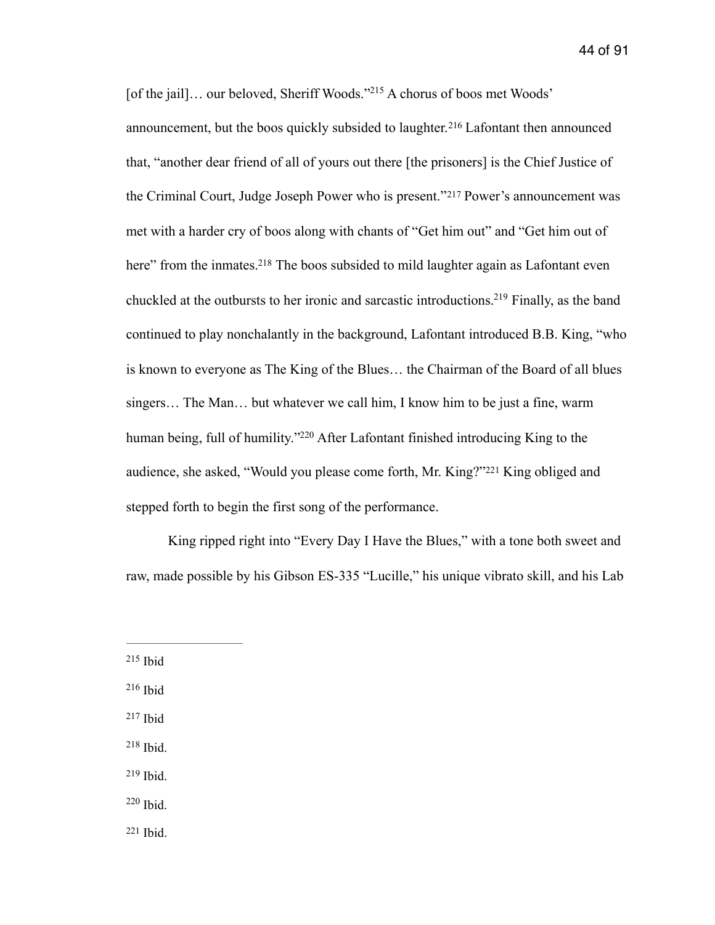<span id="page-44-11"></span><span id="page-44-10"></span><span id="page-44-9"></span><span id="page-44-8"></span><span id="page-44-7"></span>[of the jail]... our beloved, Sheriff Woods.["](#page-44-0)<sup>[215](#page-44-0)</sup> A chorus of boos met Woods' announcement,but the boos quickly subsided to laughter.<sup>[216](#page-44-1)</sup> Lafontant then announced that, "another dear friend of all of yours out there [the prisoners] is the Chief Justice of theCriminal Court, Judge Joseph Power who is present."<sup>[217](#page-44-2)</sup> Power's announcement was met with a harder cry of boos along with chants of "Get him out" and "Get him out of here" from the inmates[.](#page-44-3)<sup>[218](#page-44-3)</sup> The boos subsided to mild laughter again as Lafontant even chuckled at the outbursts to her ironic and sarcastic introductions[.](#page-44-4)<sup>[219](#page-44-4)</sup> Finally, as the band continued to play nonchalantly in the background, Lafontant introduced B.B. King, "who is known to everyone as The King of the Blues… the Chairman of the Board of all blues singers… The Man… but whatever we call him, I know him to be just a fine, warm human being, full of humility.["](#page-44-5) $220$  After Lafontant finished introducing King to the audience,she asked, "Would you please come forth, Mr. King?"<sup>[221](#page-44-6)</sup> King obliged and stepped forth to begin the first song of the performance.

<span id="page-44-13"></span><span id="page-44-12"></span> King ripped right into "Every Day I Have the Blues," with a tone both sweet and raw, made possible by his Gibson ES-335 "Lucille," his unique vibrato skill, and his Lab

- <span id="page-44-1"></span> $216$  Ibid
- <span id="page-44-2"></span> $217$  Ibid
- <span id="page-44-3"></span> $218$  Ibid.
- <span id="page-44-4"></span> $219$  Ibid.
- <span id="page-44-5"></span> $220$  Ibid.
- <span id="page-44-6"></span> $221$  Ibid.

<span id="page-44-0"></span> $215$  Ibid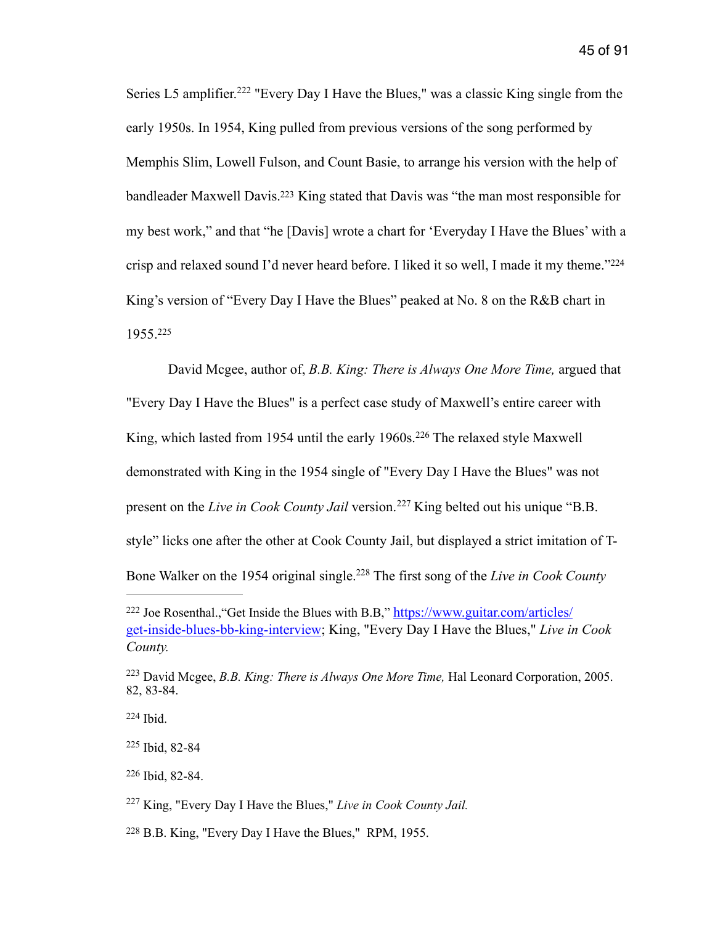<span id="page-45-8"></span><span id="page-45-7"></span>SeriesL5 amplifier.<sup>[222](#page-45-0)</sup> "Every Day I Have the Blues," was a classic King single from the early 1950s. In 1954, King pulled from previous versions of the song performed by Memphis Slim, Lowell Fulson, and Count Basie, to arrange his version with the help of bandleader Maxwell Davis[.](#page-45-1)<sup>[223](#page-45-1)</sup> King stated that Davis was "the man most responsible for my best work," and that "he [Davis] wrote a chart for 'Everyday I Have the Blues' with a crisp and relaxed sound I'd never heard before. I liked it so well, I made it my theme.["224](#page-45-2) King's version of "Every Day I Have the Blues" peaked at No. 8 on the R&B chart in 1955. [225](#page-45-3)

<span id="page-45-11"></span><span id="page-45-10"></span><span id="page-45-9"></span> David Mcgee, author of, *B.B. King: There is Always One More Time,* argued that "Every Day I Have the Blues" is a perfect case study of Maxwell's entire career with King,which lasted from 1954 until the early 1960s.<sup>[226](#page-45-4)</sup> The relaxed style Maxwell demonstrated with King in the 1954 single of "Every Day I Have the Blues" was not presenton the *Live in Cook County Jail* version.<sup>[227](#page-45-5)</sup> King belted out his unique "B.B. style" licks one after the other at Cook County Jail, but displayed a strict imitation of T-Bone Walker on the 1954 original single[.](#page-45-6)<sup>228</sup> The first song of the *Live in Cook County* 

<span id="page-45-13"></span><span id="page-45-12"></span><span id="page-45-0"></span><sup>&</sup>lt;sup>[222](#page-45-7)</sup> Joe Rosenthal., "Get Inside the Blues with B.B," https://www.guitar.com/articles/ get-inside-blues-bb-king-interview; King, "Every Day I Have the Blues," *Live in Cook County.*

<span id="page-45-1"></span><sup>&</sup>lt;sup>[223](#page-45-8)</sup> David Mcgee, *B.B. King: There is Always One More Time*, Hal Leonard Corporation, 2005. 82, 83-84.

<span id="page-45-3"></span><span id="page-45-2"></span>[<sup>225</sup>](#page-45-10) Ibid, 82-84

<span id="page-45-4"></span> $226$  Ibid, 82-84.

<span id="page-45-5"></span><sup>&</sup>lt;sup>[227](#page-45-12)</sup> King, "Every Day I Have the Blues," *Live in Cook County Jail.* 

<span id="page-45-6"></span><sup>&</sup>lt;sup>[228](#page-45-13)</sup> B.B. King, "Every Day I Have the Blues," RPM, 1955.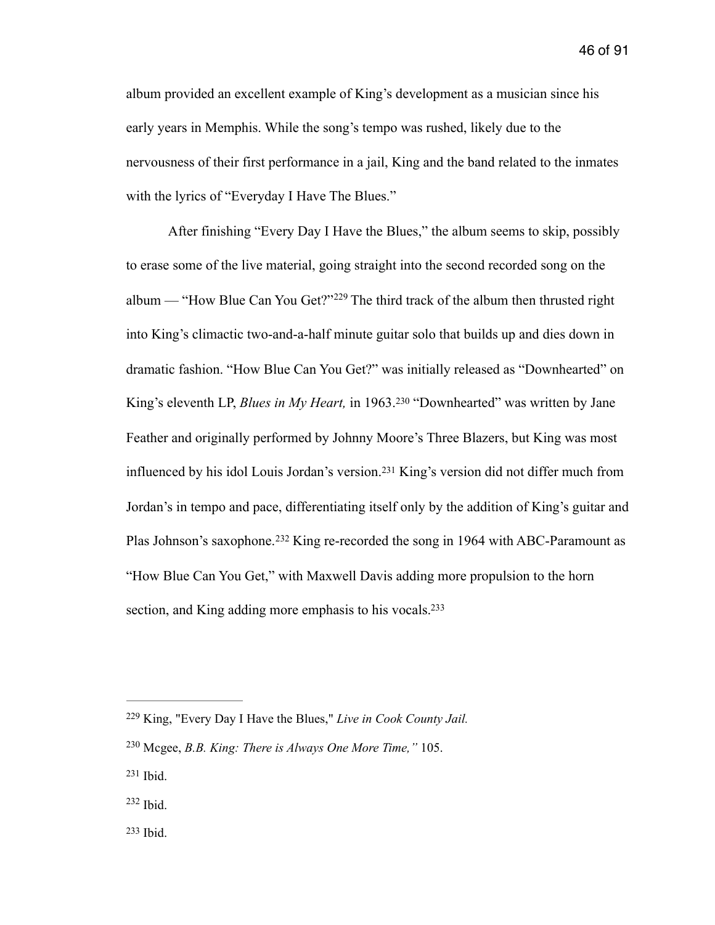album provided an excellent example of King's development as a musician since his early years in Memphis. While the song's tempo was rushed, likely due to the nervousness of their first performance in a jail, King and the band related to the inmates with the lyrics of "Everyday I Have The Blues."

<span id="page-46-6"></span><span id="page-46-5"></span> After finishing "Every Day I Have the Blues," the album seems to skip, possibly to erase some of the live material, going straight into the second recorded song on the album— "How Blue Can You Get?"<sup>[229](#page-46-0)</sup> The third track of the album then thrusted right into King's climactic two-and-a-half minute guitar solo that builds up and dies down in dramatic fashion. "How Blue Can You Get?" was initially released as "Downhearted" on King'seleventh LP, *Blues in My Heart*, in 1963.<sup>[230](#page-46-1)</sup> "Downhearted" was written by Jane Feather and originally performed by Johnny Moore's Three Blazers, but King was most influencedby his idol Louis Jordan's version.<sup>[231](#page-46-2)</sup> King's version did not differ much from Jordan's in tempo and pace, differentiating itself only by the addition of King's guitar and PlasJohnson's saxophone.<sup>[232](#page-46-3)</sup> King re-recorded the song in 1964 with ABC-Paramount as "How Blue Can You Get," with Maxwell Davis adding more propulsion to the horn section, and King adding more emphasis to his vocals[.](#page-46-4)<sup>[233](#page-46-4)</sup>

<span id="page-46-9"></span><span id="page-46-8"></span><span id="page-46-7"></span><span id="page-46-0"></span>King, "Every Day I Have the Blues," *Live in Cook County Jail.* [229](#page-46-5)

<span id="page-46-1"></span>Mcgee, *B.B. King: There is Always One More Time,"* 105. [230](#page-46-6)

<span id="page-46-2"></span> $231$  Ibid.

<span id="page-46-4"></span><span id="page-46-3"></span> $232$  Ibid.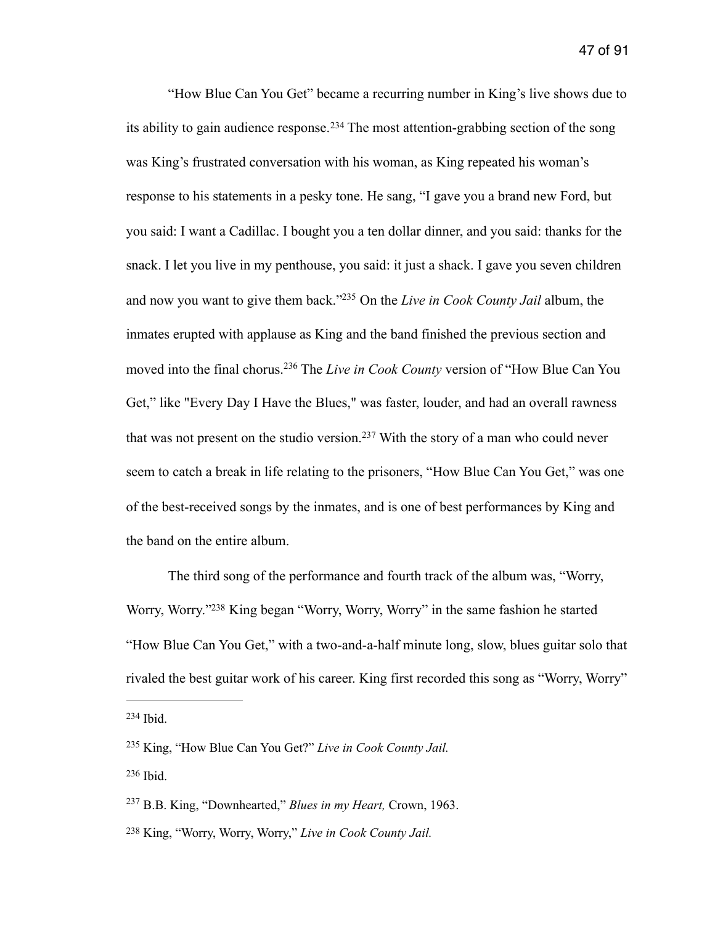<span id="page-47-6"></span><span id="page-47-5"></span> "How Blue Can You Get" became a recurring number in King's live shows due to itsability to gain audience response.<sup>[234](#page-47-0)</sup> The most attention-grabbing section of the song was King's frustrated conversation with his woman, as King repeated his woman's response to his statements in a pesky tone. He sang, "I gave you a brand new Ford, but you said: I want a Cadillac. I bought you a ten dollar dinner, and you said: thanks for the snack. I let you live in my penthouse, you said: it just a shack. I gave you seven children and now you want to give them back."<sup>[235](#page-47-1)</sup> On the *Live in Cook County Jail* album, the inmates erupted with applause as King and the band finished the previous section and moved into the final chorus.<sup>[236](#page-47-2)</sup> The *Live in Cook County* version of "How Blue Can You Get," like "Every Day I Have the Blues," was faster, louder, and had an overall rawness thatwas not present on the studio version.<sup>[237](#page-47-3)</sup> With the story of a man who could never seem to catch a break in life relating to the prisoners, "How Blue Can You Get," was one of the best-received songs by the inmates, and is one of best performances by King and the band on the entire album.

<span id="page-47-9"></span><span id="page-47-8"></span><span id="page-47-7"></span> The third song of the performance and fourth track of the album was, "Worry, Worry, Worry.["](#page-47-4)<sup>[238](#page-47-4)</sup> King began "Worry, Worry, Worry" in the same fashion he started "How Blue Can You Get," with a two-and-a-half minute long, slow, blues guitar solo that rivaled the best guitar work of his career. King first recorded this song as "Worry, Worry"

<span id="page-47-1"></span><span id="page-47-0"></span><sup>&</sup>lt;sup>[235](#page-47-6)</sup> King, "How Blue Can You Get?" *Live in Cook County Jail.* [236](#page-47-7) Ibid.

<span id="page-47-3"></span><span id="page-47-2"></span><sup>&</sup>lt;sup>[237](#page-47-8)</sup> B.B. King, "Downhearted," *Blues in my Heart*, Crown, 1963.

<span id="page-47-4"></span>King, "Worry, Worry, Worry," *Live in Cook County Jail.* [238](#page-47-9)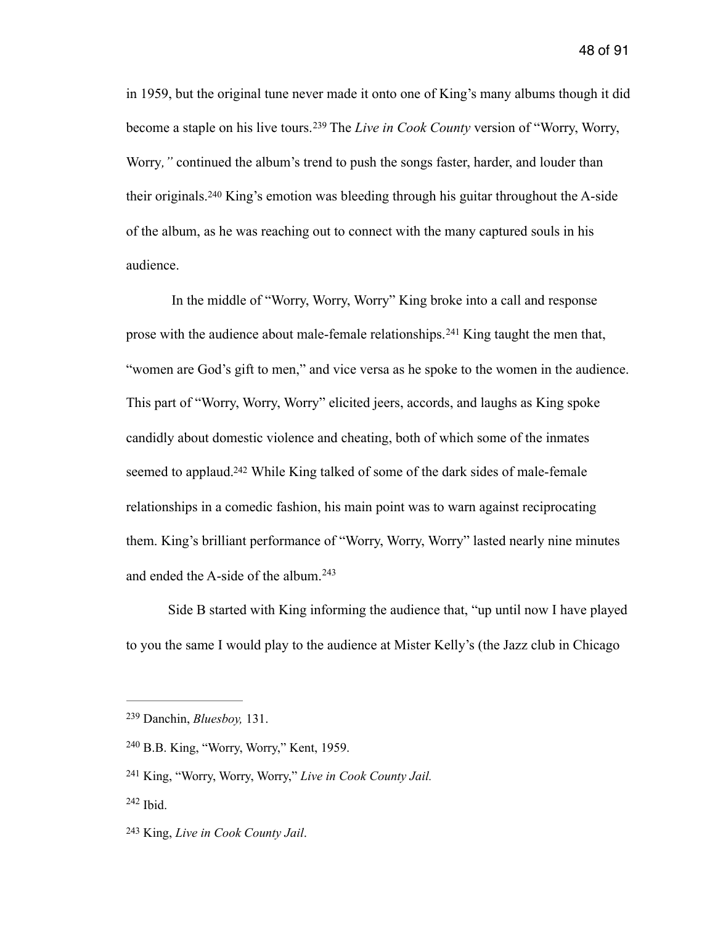<span id="page-48-5"></span>in 1959, but the original tune never made it onto one of King's many albums though it did becomea staple on his live tours.<sup>239</sup> The *Live in Cook County* version of "Worry, Worry, Worry*,"* continued the album's trend to push the songs faster, harder, and louder than theiroriginals.<sup>[240](#page-48-1)</sup> King's emotion was bleeding through his guitar throughout the A-side of the album, as he was reaching out to connect with the many captured souls in his audience.

<span id="page-48-7"></span><span id="page-48-6"></span> In the middle of "Worry, Worry, Worry" King broke into a call and response prosewith the audience about male-female relationships.<sup>[241](#page-48-2)</sup> King taught the men that, "women are God's gift to men," and vice versa as he spoke to the women in the audience. This part of "Worry, Worry, Worry" elicited jeers, accords, and laughs as King spoke candidly about domestic violence and cheating, both of which some of the inmates seemed to applaud[.](#page-48-3)<sup>[242](#page-48-3)</sup> While King talked of some of the dark sides of male-female relationships in a comedic fashion, his main point was to warn against reciprocating them. King's brilliant performance of "Worry, Worry, Worry" lasted nearly nine minutes and ended the A-side of the album. [243](#page-48-4)

<span id="page-48-9"></span><span id="page-48-8"></span> Side B started with King informing the audience that, "up until now I have played to you the same I would play to the audience at Mister Kelly's (the Jazz club in Chicago

<span id="page-48-0"></span>Danchin, *Bluesboy,* 131. [239](#page-48-5)

<span id="page-48-1"></span><sup>&</sup>lt;sup>[240](#page-48-6)</sup> B.B. King, "Worry, Worry," Kent, 1959.

<span id="page-48-2"></span><sup>&</sup>lt;sup>[241](#page-48-7)</sup> King, "Worry, Worry, Worry," Live in Cook County Jail.

<span id="page-48-3"></span> $242$  Ibid.

<span id="page-48-4"></span><sup>&</sup>lt;sup>[243](#page-48-9)</sup> King, *Live in Cook County Jail.*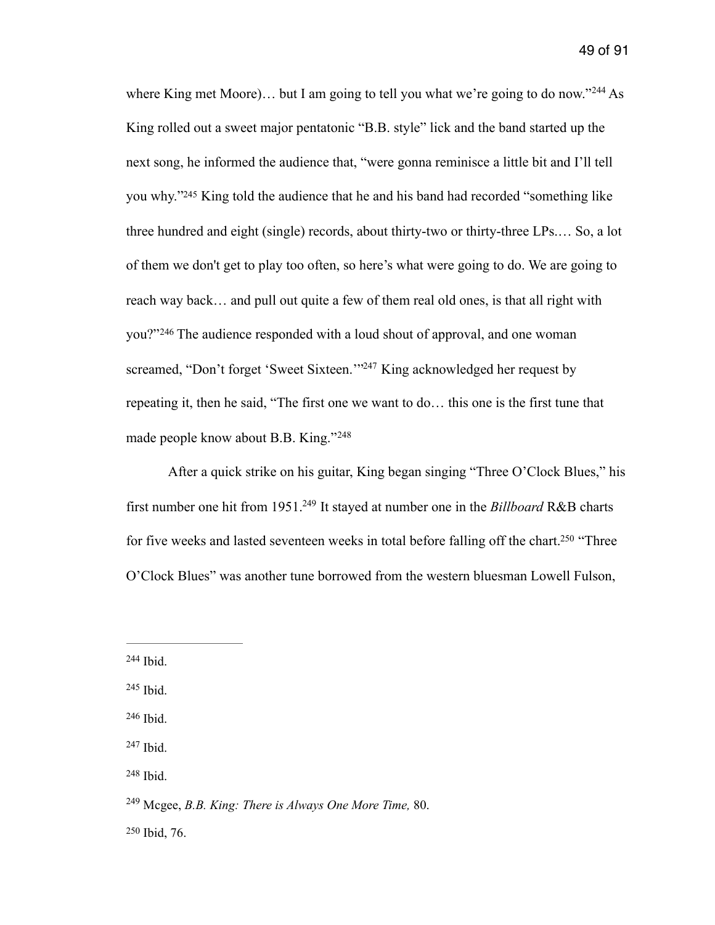<span id="page-49-8"></span><span id="page-49-7"></span>whereKing met Moore)... but I am going to tell you what we're going to do now."<sup>[244](#page-49-0)</sup> As King rolled out a sweet major pentatonic "B.B. style" lick and the band started up the next song, he informed the audience that, "were gonna reminisce a little bit and I'll tell you why.["](#page-49-1)<sup>[245](#page-49-1)</sup> King told the audience that he and his band had recorded "something like three hundred and eight (single) records, about thirty-two or thirty-three LPs.… So, a lot of them we don't get to play too often, so here's what were going to do. We are going to reach way back… and pull out quite a few of them real old ones, is that all right with you?"[246](#page-49-2) The audience responded with a loud shout of approval, and one woman screamed,"Don't forget 'Sweet Sixteen."<sup>[247](#page-49-3)</sup> King acknowledged her request by repeating it, then he said, "The first one we want to do… this one is the first tune that made people know about B.B. King."<sup>248</sup>

<span id="page-49-13"></span><span id="page-49-12"></span><span id="page-49-11"></span><span id="page-49-10"></span><span id="page-49-9"></span> After a quick strike on his guitar, King began singing "Three O'Clock Blues," his first number one hit from 1951.<sup>[249](#page-49-5)</sup> It stayed at number one in the *Billboard* R&B charts for five weeks and lasted seventeen weeks in total before falling off the chart[.](#page-49-6)<sup>[250](#page-49-6)</sup> "Three O'Clock Blues" was another tune borrowed from the western bluesman Lowell Fulson,

<span id="page-49-0"></span> $244$  Ibid.

<span id="page-49-1"></span> $245$  Ibid.

<span id="page-49-2"></span> $246$  Ibid.

<span id="page-49-3"></span> $247$  Ibid.

<span id="page-49-4"></span>[<sup>248</sup>](#page-49-11) Ibid.

<span id="page-49-5"></span>Mcgee, *B.B. King: There is Always One More Time,* 80. [249](#page-49-12)

<span id="page-49-6"></span> $250$  Ibid, 76.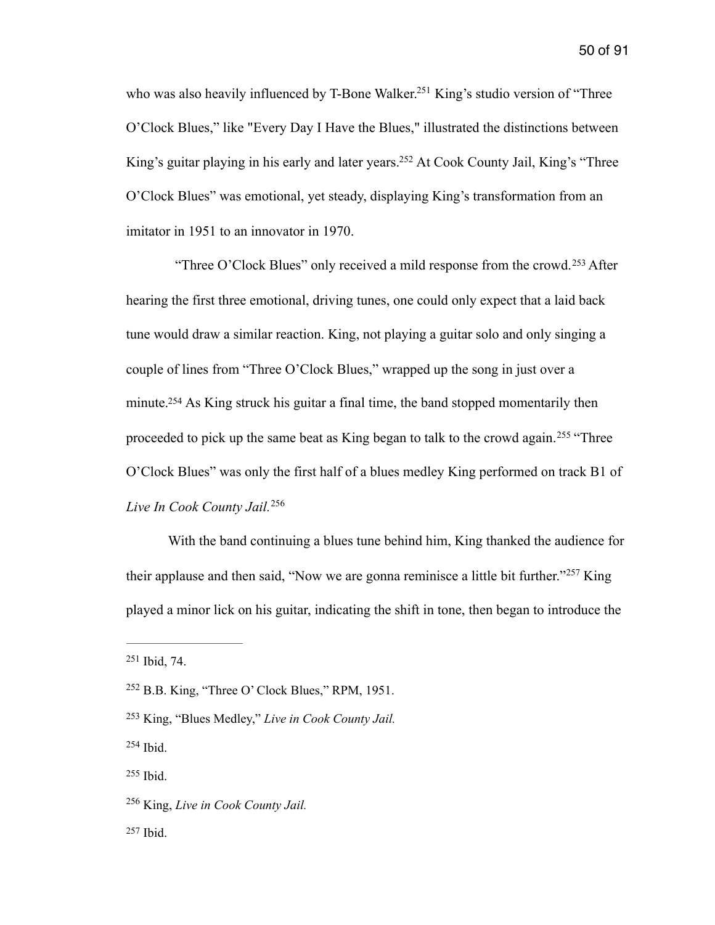<span id="page-50-8"></span><span id="page-50-7"></span>who was also heavily influenced by T-Bone Walker[.](#page-50-0)<sup>[251](#page-50-0)</sup> King's studio version of "Three O'Clock Blues," like "Every Day I Have the Blues," illustrated the distinctions between King's guitar playing in his early and later years[.](#page-50-1)<sup>[252](#page-50-1)</sup> At Cook County Jail, King's "Three O'Clock Blues" was emotional, yet steady, displaying King's transformation from an imitator in 1951 to an innovator in 1970.

<span id="page-50-9"></span>"ThreeO'Clock Blues" only received a mild response from the crowd.<sup>[253](#page-50-2)</sup> After hearing the first three emotional, driving tunes, one could only expect that a laid back tune would draw a similar reaction. King, not playing a guitar solo and only singing a couple of lines from "Three O'Clock Blues," wrapped up the song in just over a minute[.](#page-50-3)<sup>[254](#page-50-3)</sup> As King struck his guitar a final time, the band stopped momentarily then proceededto pick up the same beat as King began to talk to the crowd again.<sup>[255](#page-50-4)</sup> "Three O'Clock Blues" was only the first half of a blues medley King performed on track B1 of *Live In Cook County Jail.* [256](#page-50-5)

<span id="page-50-13"></span><span id="page-50-12"></span><span id="page-50-11"></span><span id="page-50-10"></span> With the band continuing a blues tune behind him, King thanked the audience for theirapplause and then said, "Now we are gonna reminisce a little bit further."<sup> $257$ </sup> King played a minor lick on his guitar, indicating the shift in tone, then began to introduce the

<span id="page-50-0"></span>[251](#page-50-7) Ibid, 74.

<span id="page-50-3"></span> $254$  Ibid.

<span id="page-50-1"></span> $^{252}$  $^{252}$  $^{252}$  B.B. King, "Three O' Clock Blues," RPM, 1951.

<span id="page-50-2"></span><sup>&</sup>lt;sup>[253](#page-50-9)</sup> King, "Blues Medley," *Live in Cook County Jail.* 

<span id="page-50-5"></span><span id="page-50-4"></span><sup>&</sup>lt;sup>[256](#page-50-12)</sup> King, *Live in Cook County Jail.* 

<span id="page-50-6"></span> $257$  Ibid.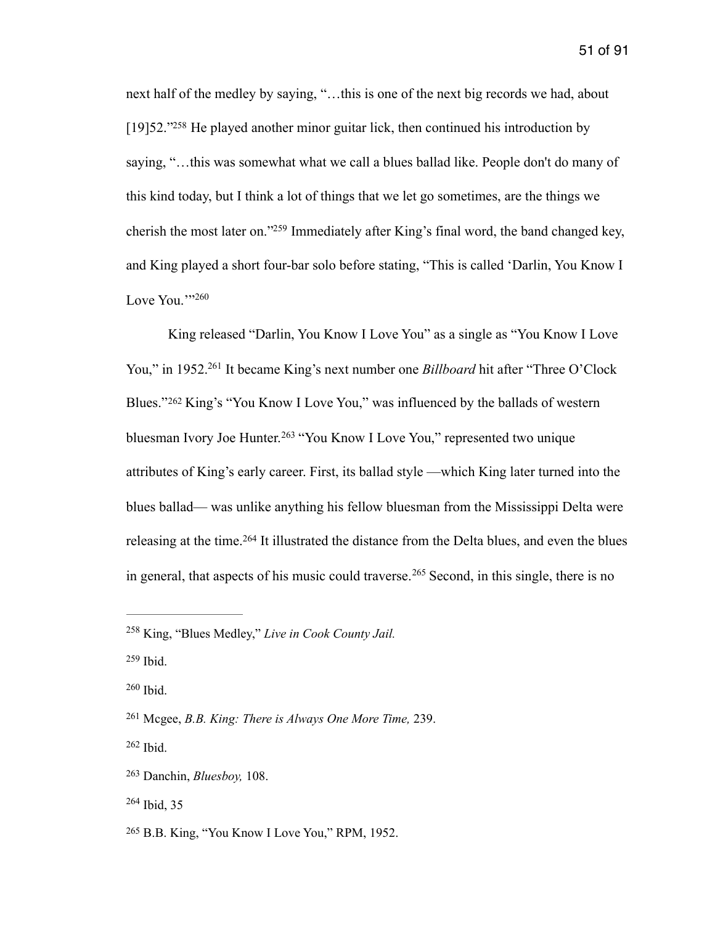<span id="page-51-8"></span>next half of the medley by saying, "…this is one of the next big records we had, about  $[19]52." <sup>258</sup>$  $[19]52." <sup>258</sup>$  $[19]52." <sup>258</sup>$  $[19]52." <sup>258</sup>$  $[19]52." <sup>258</sup>$  He played another minor guitar lick, then continued his introduction by saying, "…this was somewhat what we call a blues ballad like. People don't do many of this kind today, but I think a lot of things that we let go sometimes, are the things we cherish the most later on.["](#page-51-1)<sup>[259](#page-51-1)</sup> Immediately after King's final word, the band changed key. and King played a short four-bar solo before stating, "This is called 'Darlin, You Know I Love You." $260$ 

<span id="page-51-13"></span><span id="page-51-12"></span><span id="page-51-11"></span><span id="page-51-10"></span><span id="page-51-9"></span> King released "Darlin, You Know I Love You" as a single as "You Know I Love You," in 1952.<sup>[261](#page-51-3)</sup> It became King's next number one *Billboard* hit after "Three O'Clock" Blues."<sup>[262](#page-51-4)</sup> King's "You Know I Love You," was influenced by the ballads of western bluesmanIvory Joe Hunter.<sup>[263](#page-51-5)</sup> "You Know I Love You," represented two unique attributes of King's early career. First, its ballad style —which King later turned into the blues ballad— was unlike anything his fellow bluesman from the Mississippi Delta were releasingat the time.<sup>[264](#page-51-6)</sup> It illustrated the distance from the Delta blues, and even the blues ingeneral, that aspects of his music could traverse.<sup>[265](#page-51-7)</sup> Second, in this single, there is no

<span id="page-51-15"></span><span id="page-51-14"></span><span id="page-51-0"></span>King, "Blues Medley," *Live in Cook County Jail.* [258](#page-51-8)

<span id="page-51-1"></span> $259$  Ibid.

<span id="page-51-2"></span> $260$  Ibid.

<span id="page-51-3"></span>Mcgee, *B.B. King: There is Always One More Time,* 239. [261](#page-51-11)

<span id="page-51-4"></span> $262$  Ibid.

<span id="page-51-5"></span>Danchin, *Bluesboy,* 108. [263](#page-51-13)

<span id="page-51-6"></span> $264$  Ibid, 35

<span id="page-51-7"></span><sup>&</sup>lt;sup>[265](#page-51-15)</sup> B.B. King, "You Know I Love You," RPM, 1952.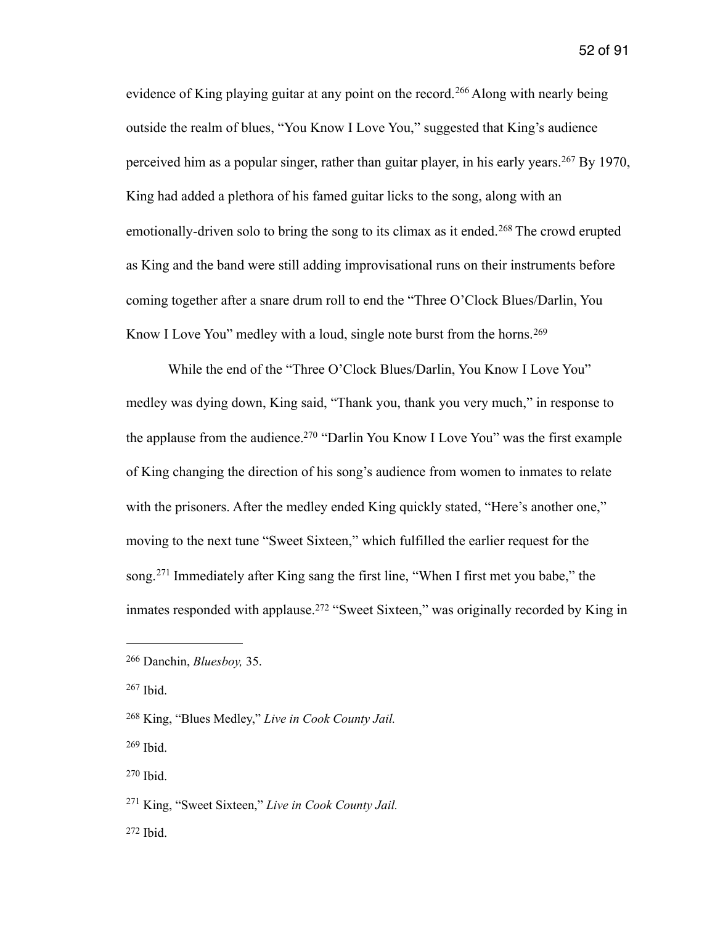<span id="page-52-8"></span><span id="page-52-7"></span>evidenceof King playing guitar at any point on the record.<sup>[266](#page-52-0)</sup> Along with nearly being outside the realm of blues, "You Know I Love You," suggested that King's audience perceivedhim as a popular singer, rather than guitar player, in his early years.  $267$  By 1970, King had added a plethora of his famed guitar licks to the song, along with an emotionally-drivensolo to bring the song to its climax as it ended.<sup>[268](#page-52-2)</sup> The crowd erupted as King and the band were still adding improvisational runs on their instruments before coming together after a snare drum roll to end the "Three O'Clock Blues/Darlin, You Know I Love You" medley with a loud, single note burst from the horns. [269](#page-52-3)

<span id="page-52-11"></span><span id="page-52-10"></span><span id="page-52-9"></span> While the end of the "Three O'Clock Blues/Darlin, You Know I Love You" medley was dying down, King said, "Thank you, thank you very much," in response to the applause from the audience[.](#page-52-4)<sup>[270](#page-52-4)</sup> "Darlin You Know I Love You" was the first example of King changing the direction of his song's audience from women to inmates to relate with the prisoners. After the medley ended King quickly stated, "Here's another one," moving to the next tune "Sweet Sixteen," which fulfilled the earlier request for the song.<sup>271</sup>Immediately after King sang the first line, "When I first met you babe," the inmatesresponded with applause.<sup>[272](#page-52-6)</sup> "Sweet Sixteen," was originally recorded by King in

<span id="page-52-13"></span><span id="page-52-12"></span><span id="page-52-0"></span><sup>&</sup>lt;sup>[266](#page-52-7)</sup> Danchin, *Bluesboy*, 35.

<span id="page-52-1"></span> $267$  Ibid.

<span id="page-52-2"></span>King, "Blues Medley," *Live in Cook County Jail.* [268](#page-52-9)

<span id="page-52-3"></span> $269$  Ibid.

<span id="page-52-4"></span>[<sup>270</sup>](#page-52-11) Ibid.

<span id="page-52-5"></span><sup>&</sup>lt;sup>[271](#page-52-12)</sup> King, "Sweet Sixteen," *Live in Cook County Jail.* 

<span id="page-52-6"></span> $272$  Ibid.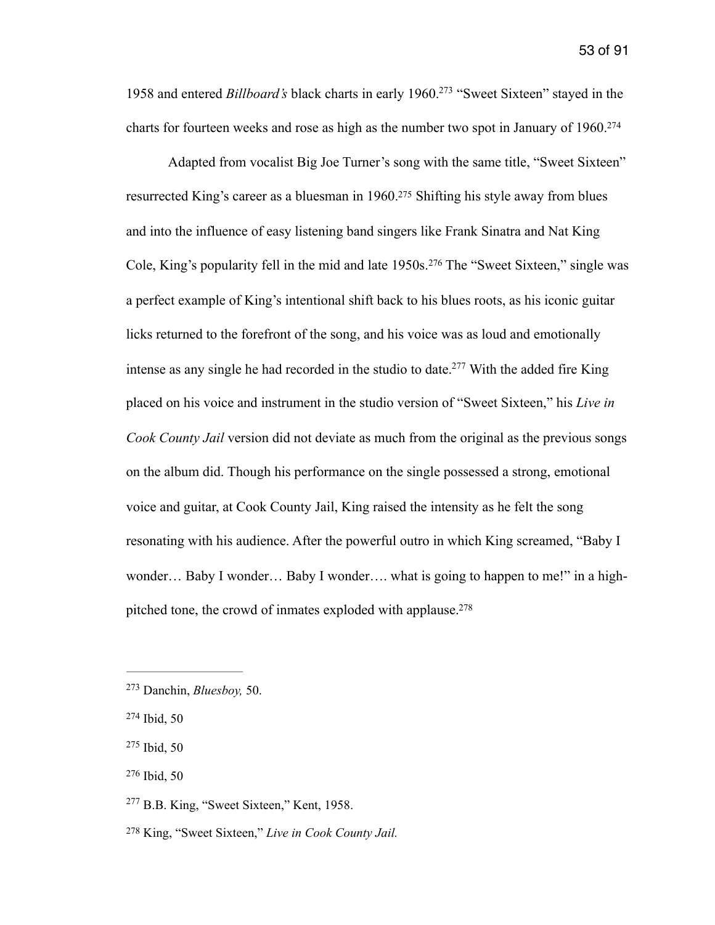<span id="page-53-6"></span>1958 and entered *Billboard's* black charts in early 1960[.](#page-53-0) "Sweet Sixteen" stayed in the [273](#page-53-0) charts for fourteen weeks and rose as high as the number two spot in January of 1960[.](#page-53-1)<sup>[274](#page-53-1)</sup>

<span id="page-53-10"></span><span id="page-53-9"></span><span id="page-53-8"></span><span id="page-53-7"></span> Adapted from vocalist Big Joe Turner's song with the same title, "Sweet Sixteen" resurrected King's career as a bluesman in 1960[.](#page-53-2)<sup>[275](#page-53-2)</sup> Shifting his style away from blues and into the influence of easy listening band singers like Frank Sinatra and Nat King Cole,King's popularity fell in the mid and late 1950s.<sup>[276](#page-53-3)</sup> The "Sweet Sixteen," single was a perfect example of King's intentional shift back to his blues roots, as his iconic guitar licks returned to the forefront of the song, and his voice was as loud and emotionally intense as any single he had recorded in the studio to date[.](#page-53-4)<sup>[277](#page-53-4)</sup> With the added fire King placed on his voice and instrument in the studio version of "Sweet Sixteen," his *Live in Cook County Jail* version did not deviate as much from the original as the previous songs on the album did. Though his performance on the single possessed a strong, emotional voice and guitar, at Cook County Jail, King raised the intensity as he felt the song resonating with his audience. After the powerful outro in which King screamed, "Baby I wonder... Baby I wonder... Baby I wonder.... what is going to happen to me!" in a high-pitched tone, the crowd of inmates exploded with applause[.](#page-53-5)<sup>[278](#page-53-5)</sup>

<span id="page-53-11"></span><span id="page-53-0"></span>Danchin, *Bluesboy,* 50. [273](#page-53-6)

<span id="page-53-1"></span><sup>&</sup>lt;sup>[274](#page-53-7)</sup> Ibid, 50

<span id="page-53-2"></span> $275$  Ibid, 50

<span id="page-53-3"></span> $276$  Ibid, 50

<span id="page-53-4"></span> $277$  B.B. King, "Sweet Sixteen," Kent, 1958.

<span id="page-53-5"></span><sup>&</sup>lt;sup>[278](#page-53-11)</sup> King, "Sweet Sixteen," *Live in Cook County Jail.*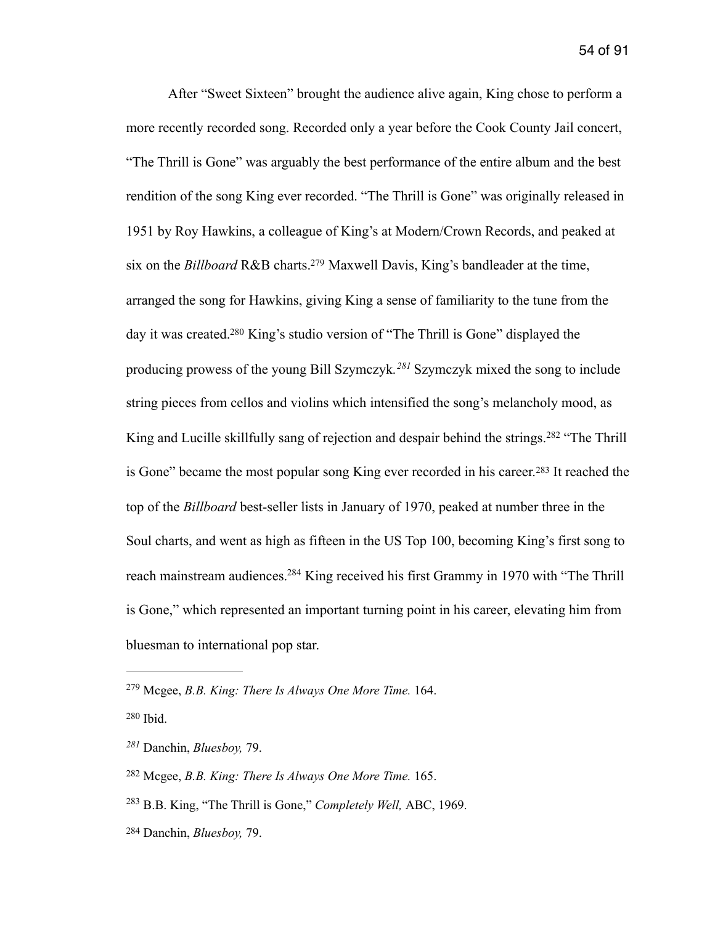<span id="page-54-8"></span><span id="page-54-7"></span><span id="page-54-6"></span> After "Sweet Sixteen" brought the audience alive again, King chose to perform a more recently recorded song. Recorded only a year before the Cook County Jail concert, "The Thrill is Gone" was arguably the best performance of the entire album and the best rendition of the song King ever recorded. "The Thrill is Gone" was originally released in 1951 by Roy Hawkins, a colleague of King's at Modern/Crown Records, and peaked at six on the *Billboard* R&B charts[.](#page-54-0)<sup>[279](#page-54-0)</sup> Maxwell Davis, King's bandleader at the time, arranged the song for Hawkins, giving King a sense of familiarity to the tune from the day it was created[.](#page-54-1)<sup>[280](#page-54-1)</sup> King's studio version of "The Thrill is Gone" displayed the producing prowess of the young Bill Szymczyk.<sup>[281](#page-54-2)</sup> Szymczyk mixed the song to include string pieces from cellos and violins which intensified the song's melancholy mood, as Kingand Lucille skillfully sang of rejection and despair behind the strings.<sup>[282](#page-54-3)</sup> "The Thrill isGone" became the most popular song King ever recorded in his career.<sup>[283](#page-54-4)</sup> It reached the top of the *Billboard* best-seller lists in January of 1970, peaked at number three in the Soul charts, and went as high as fifteen in the US Top 100, becoming King's first song to reach mainstream audiences[.](#page-54-5)<sup>[284](#page-54-5)</sup> King received his first Grammy in 1970 with "The Thrill is Gone," which represented an important turning point in his career, elevating him from bluesman to international pop star.

<span id="page-54-1"></span> $280$  Ibid.

<span id="page-54-5"></span>Danchin, *Bluesboy,* 79. [284](#page-54-11)

<span id="page-54-11"></span><span id="page-54-10"></span><span id="page-54-9"></span><span id="page-54-0"></span>Mcgee, *B.B. King: There Is Always One More Time.* 164. [279](#page-54-6)

<span id="page-54-2"></span>Danchin, *Bluesboy,* 79. *[281](#page-54-8)*

<span id="page-54-3"></span>Mcgee, *B.B. King: There Is Always One More Time.* 165. [282](#page-54-9)

<span id="page-54-4"></span><sup>&</sup>lt;sup>[283](#page-54-10)</sup> B.B. King, "The Thrill is Gone," *Completely Well*, ABC, 1969.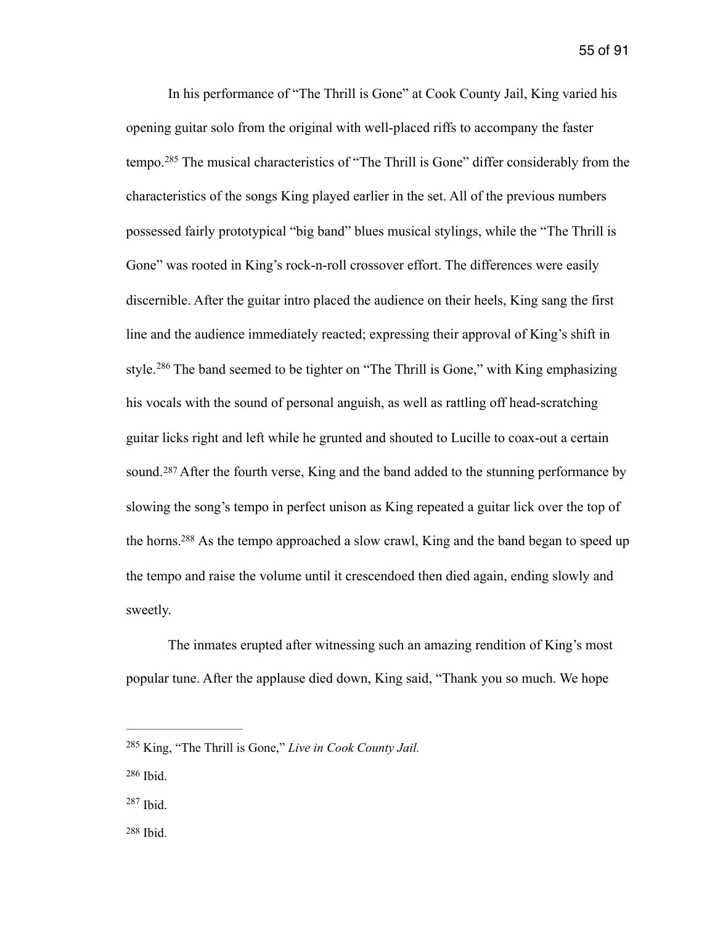<span id="page-55-4"></span> In his performance of "The Thrill is Gone" at Cook County Jail, King varied his opening guitar solo from the original with well-placed riffs to accompany the faster tempo.<sup>285</sup>The musical characteristics of "The Thrill is Gone" differ considerably from the characteristics of the songs King played earlier in the set. All of the previous numbers possessed fairly prototypical "big band" blues musical stylings, while the "The Thrill is Gone" was rooted in King's rock-n-roll crossover effort. The differences were easily discernible. After the guitar intro placed the audience on their heels, King sang the first line and the audience immediately reacted; expressing their approval of King's shift in style.<sup>286</sup>The band seemed to be tighter on "The Thrill is Gone," with King emphasizing his vocals with the sound of personal anguish, as well as rattling off head-scratching guitar licks right and left while he grunted and shouted to Lucille to coax-out a certain sound.<sup>287</sup>After the fourth verse, King and the band added to the stunning performance by slowing the song's tempo in perfect unison as King repeated a guitar lick over the top of the horns[.](#page-55-3)<sup>[288](#page-55-3)</sup> As the tempo approached a slow crawl, King and the band began to speed up the tempo and raise the volume until it crescendoed then died again, ending slowly and sweetly.

<span id="page-55-7"></span><span id="page-55-6"></span><span id="page-55-5"></span> The inmates erupted after witnessing such an amazing rendition of King's most popular tune. After the applause died down, King said, "Thank you so much. We hope

<span id="page-55-0"></span><sup>&</sup>lt;sup>[285](#page-55-4)</sup> King, "The Thrill is Gone," *Live in Cook County Jail.* 

<span id="page-55-1"></span>[<sup>286</sup>](#page-55-5) Ibid.

<span id="page-55-2"></span> $287$  Ibid.

<span id="page-55-3"></span> $288$  Ibid.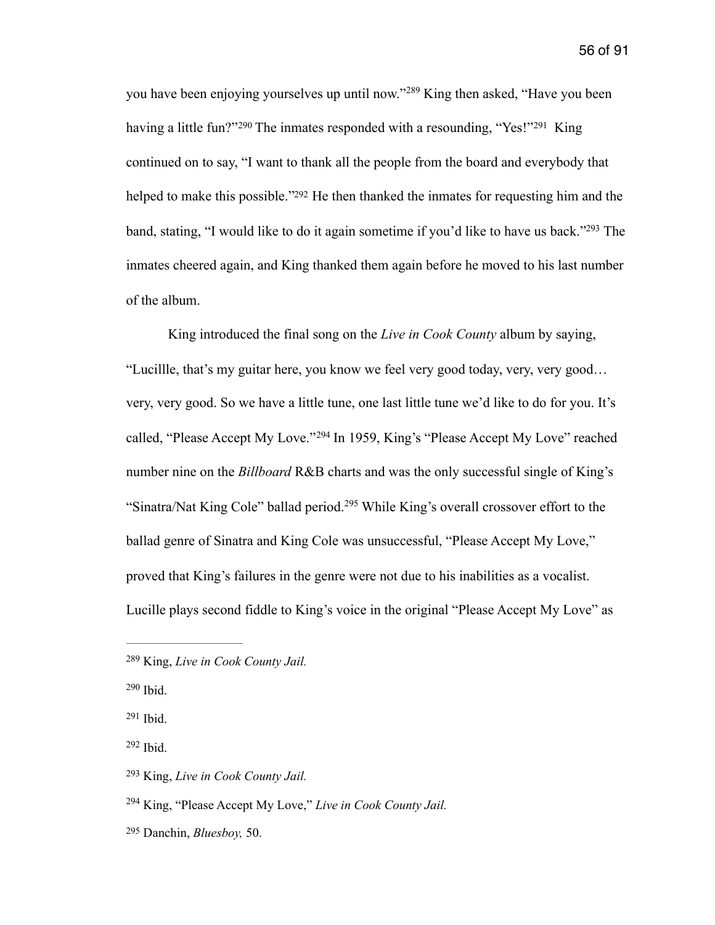<span id="page-56-10"></span><span id="page-56-9"></span><span id="page-56-8"></span><span id="page-56-7"></span>youhave been enjoying yourselves up until now."<sup>[289](#page-56-0)</sup> King then asked, "Have you been havinga little fun?" [290](#page-56-1) The inmates responded with a resounding, "Yes!" 291 King continued on to say, "I want to thank all the people from the board and everybody that helped to make this possible.["](#page-56-3) $292$  He then thanked the inmates for requesting him and the band, stating, ["](#page-56-4)I would like to do it again sometime if you'd like to have us back."<sup>[293](#page-56-4)</sup> The inmates cheered again, and King thanked them again before he moved to his last number of the album.

<span id="page-56-12"></span><span id="page-56-11"></span> King introduced the final song on the *Live in Cook County* album by saying, "Lucillle, that's my guitar here, you know we feel very good today, very, very good… very, very good. So we have a little tune, one last little tune we'd like to do for you. It's called,"Please Accept My Love."<sup>[294](#page-56-5)</sup> In 1959, King's "Please Accept My Love" reached number nine on the *Billboard* R&B charts and was the only successful single of King's "Sinatra/NatKing Cole" ballad period.<sup>[295](#page-56-6)</sup> While King's overall crossover effort to the ballad genre of Sinatra and King Cole was unsuccessful, "Please Accept My Love," proved that King's failures in the genre were not due to his inabilities as a vocalist. Lucille plays second fiddle to King's voice in the original "Please Accept My Love" as

<span id="page-56-13"></span><span id="page-56-0"></span>King, *Live in Cook County Jail.* [289](#page-56-7)

<span id="page-56-1"></span> $290$  Ibid.

<span id="page-56-2"></span> $291$  Ibid.

<span id="page-56-3"></span> $292$  Ibid.

<span id="page-56-4"></span>King, *Live in Cook County Jail.* [293](#page-56-11)

<span id="page-56-5"></span><sup>&</sup>lt;sup>[294](#page-56-12)</sup> King, "Please Accept My Love," *Live in Cook County Jail.* 

<span id="page-56-6"></span>Danchin, *Bluesboy,* 50. [295](#page-56-13)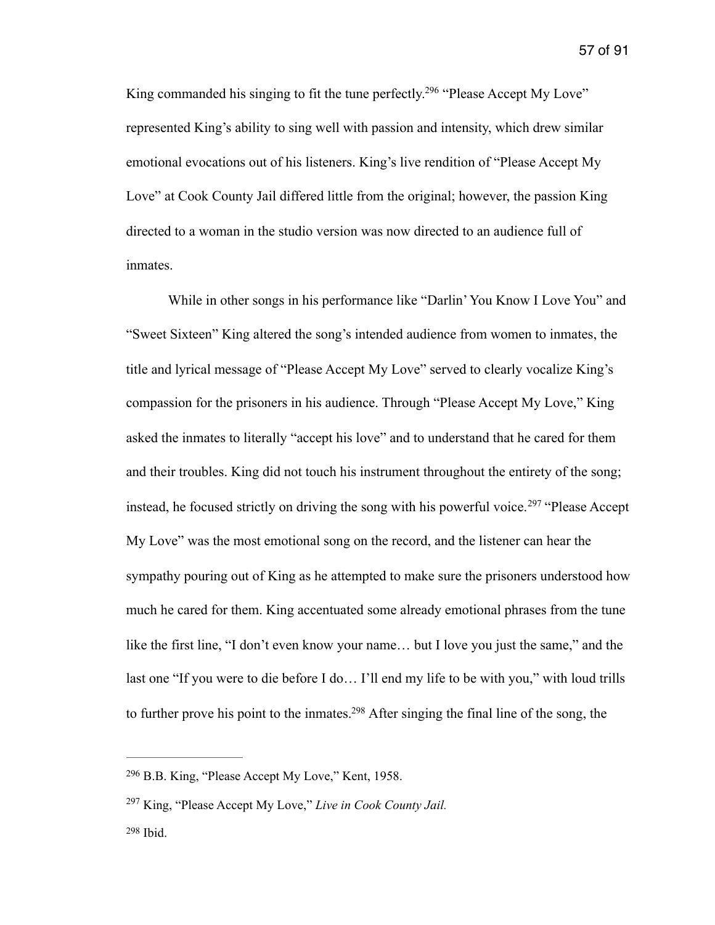<span id="page-57-3"></span>King commanded his singing to fit the tune perfectly[.](#page-57-0)<sup>[296](#page-57-0)</sup> "Please Accept My Love" represented King's ability to sing well with passion and intensity, which drew similar emotional evocations out of his listeners. King's live rendition of "Please Accept My Love" at Cook County Jail differed little from the original; however, the passion King directed to a woman in the studio version was now directed to an audience full of inmates.

<span id="page-57-4"></span> While in other songs in his performance like "Darlin' You Know I Love You" and "Sweet Sixteen" King altered the song's intended audience from women to inmates, the title and lyrical message of "Please Accept My Love" served to clearly vocalize King's compassion for the prisoners in his audience. Through "Please Accept My Love," King asked the inmates to literally "accept his love" and to understand that he cared for them and their troubles. King did not touch his instrument throughout the entirety of the song; instead,he focused strictly on driving the song with his powerful voice.<sup>[297](#page-57-1)</sup> "Please Accept" My Love" was the most emotional song on the record, and the listener can hear the sympathy pouring out of King as he attempted to make sure the prisoners understood how much he cared for them. King accentuated some already emotional phrases from the tune like the first line, "I don't even know your name… but I love you just the same," and the last one "If you were to die before I do… I'll end my life to be with you," with loud trills to further prove his point to the inmates[.](#page-57-2)<sup>[298](#page-57-2)</sup> After singing the final line of the song, the

<span id="page-57-5"></span><span id="page-57-0"></span><sup>&</sup>lt;sup>[296](#page-57-3)</sup> B.B. King, "Please Accept My Love," Kent, 1958.

<span id="page-57-1"></span><sup>&</sup>lt;sup>[297](#page-57-4)</sup> King, "Please Accept My Love," *Live in Cook County Jail.* 

<span id="page-57-2"></span> $298$  Ibid.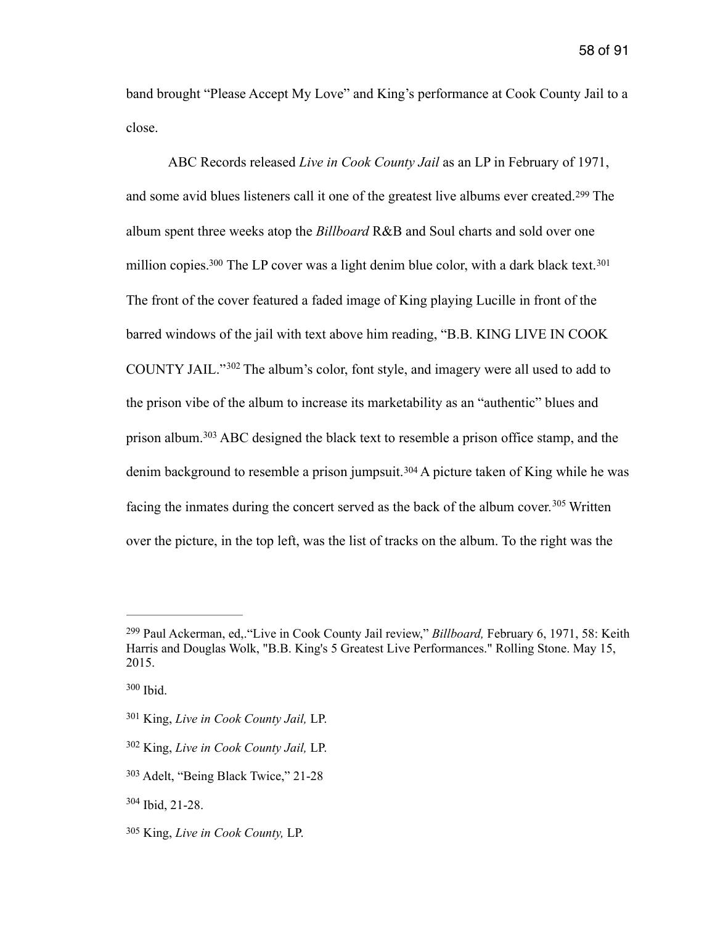band brought "Please Accept My Love" and King's performance at Cook County Jail to a close.

<span id="page-58-10"></span><span id="page-58-9"></span><span id="page-58-8"></span><span id="page-58-7"></span> ABC Records released *Live in Cook County Jail* as an LP in February of 1971, andsome avid blues listeners call it one of the greatest live albums ever created.<sup>[299](#page-58-0)</sup> The album spent three weeks atop the *Billboard* R&B and Soul charts and sold over one million copies[.](#page-58-1)<sup>300</sup> The LP cover was a light denim blue color, with a dark black text.<sup>[301](#page-58-2)</sup> The front of the cover featured a faded image of King playing Lucille in front of the barred windows of the jail with text above him reading, "B.B. KING LIVE IN COOK COUNTYJAIL." $302$  The album's color, font style, and imagery were all used to add to the prison vibe of the album to increase its marketability as an "authentic" blues and prisonalbum.<sup>[303](#page-58-4)</sup> ABC designed the black text to resemble a prison office stamp, and the denimbackground to resemble a prison jumpsuit.<sup>[304](#page-58-5)</sup> A picture taken of King while he was facingthe inmates during the concert served as the back of the album cover.<sup>[305](#page-58-6)</sup> Written over the picture, in the top left, was the list of tracks on the album. To the right was the

<span id="page-58-13"></span><span id="page-58-12"></span><span id="page-58-11"></span><span id="page-58-0"></span>Paul Ackerman, ed,."Live in Cook County Jail review," *Billboard,* February 6, 1971, 58: Keith [299](#page-58-7) Harris and Douglas Wolk, "B.B. King's 5 Greatest Live Performances." Rolling Stone. May 15, 2015.

<span id="page-58-1"></span> $300$  Ibid.

<span id="page-58-2"></span>King, *Live in Cook County Jail,* LP. [301](#page-58-9)

<span id="page-58-3"></span>King, *Live in Cook County Jail,* LP. [302](#page-58-10)

<span id="page-58-4"></span><sup>&</sup>lt;sup>[303](#page-58-11)</sup> Adelt, "Being Black Twice," 21-28

<span id="page-58-5"></span> $304$  Ibid, 21-28.

<span id="page-58-6"></span>King, *Live in Cook County,* LP. [305](#page-58-13)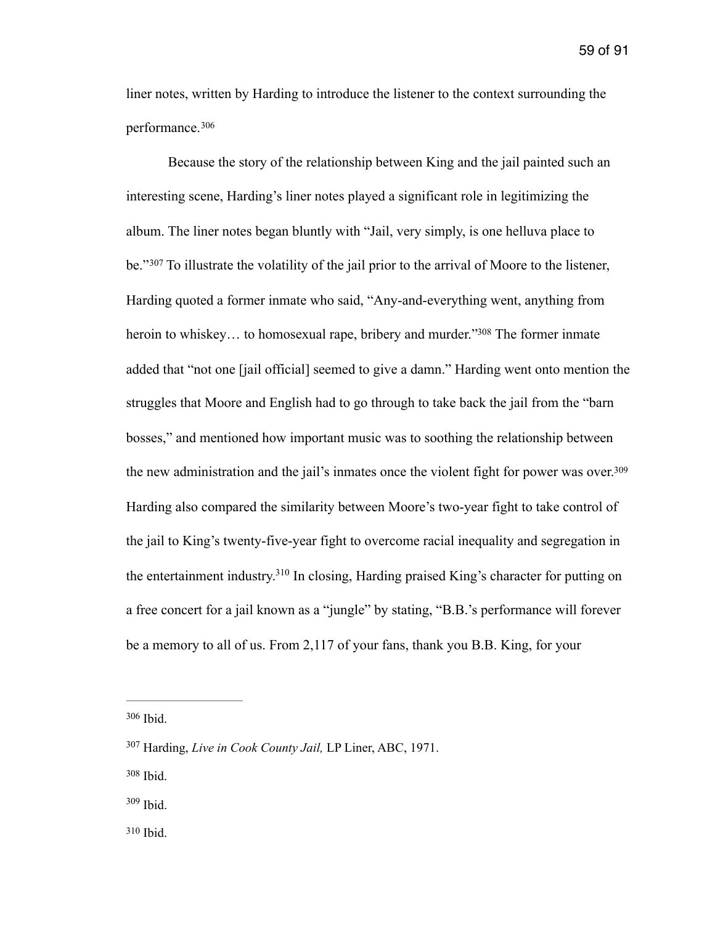liner notes, written by Harding to introduce the listener to the context surrounding the performance. [306](#page-59-0)

<span id="page-59-7"></span><span id="page-59-6"></span><span id="page-59-5"></span> Because the story of the relationship between King and the jail painted such an interesting scene, Harding's liner notes played a significant role in legitimizing the album. The liner notes began bluntly with "Jail, very simply, is one helluva place to be."[307](#page-59-1) To illustrate the volatility of the jail prior to the arrival of Moore to the listener, Harding quoted a former inmate who said, "Any-and-everything went, anything from heroin to whiskey... to homosexual rape, bribery and murder.["](#page-59-2)<sup>[308](#page-59-2)</sup> The former inmate added that "not one [jail official] seemed to give a damn." Harding went onto mention the struggles that Moore and English had to go through to take back the jail from the "barn bosses," and mentioned how important music was to soothing the relationship between the new administration and the jail's inmates once the violent fight for power was over.<sup>309</sup> Harding also compared the similarity between Moore's two-year fight to take control of the jail to King's twenty-five-year fight to overcome racial inequality and segregation in the entertainment industry[.](#page-59-4)<sup>[310](#page-59-4)</sup> In closing, Harding praised King's character for putting on a free concert for a jail known as a "jungle" by stating, "B.B.'s performance will forever be a memory to all of us. From 2,117 of your fans, thank you B.B. King, for your

<span id="page-59-9"></span><span id="page-59-8"></span><span id="page-59-0"></span>[<sup>306</sup>](#page-59-5) Ibid.

<span id="page-59-1"></span><sup>&</sup>lt;sup>[307](#page-59-6)</sup> Harding, *Live in Cook County Jail*, LP Liner, ABC, 1971.

<span id="page-59-2"></span>[<sup>308</sup>](#page-59-7) Ibid.

<span id="page-59-3"></span> $309$  Ibid.

<span id="page-59-4"></span> $310$  Ibid.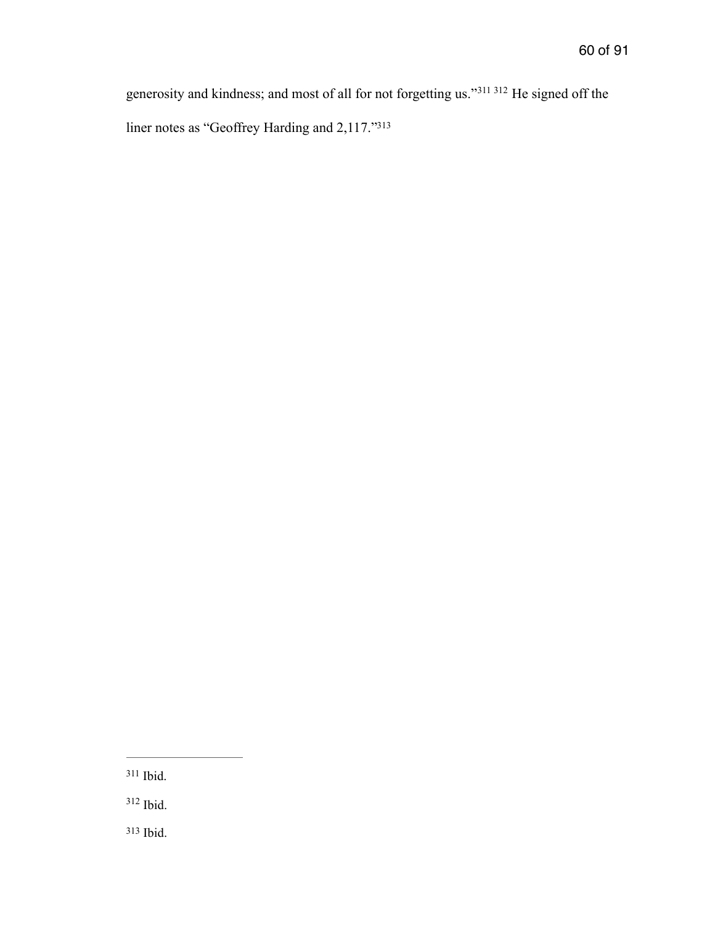<span id="page-60-5"></span><span id="page-60-4"></span><span id="page-60-3"></span>generosity and kindness; and most of all for not forgetting us."<sup>[311](#page-60-0) 312</sup> He signed off the liner notes as "Geoffrey Harding and 2,117.["313](#page-60-2)

<span id="page-60-0"></span><sup>311</sup>Ibid.

<span id="page-60-2"></span><span id="page-60-1"></span> $312$  Ibid.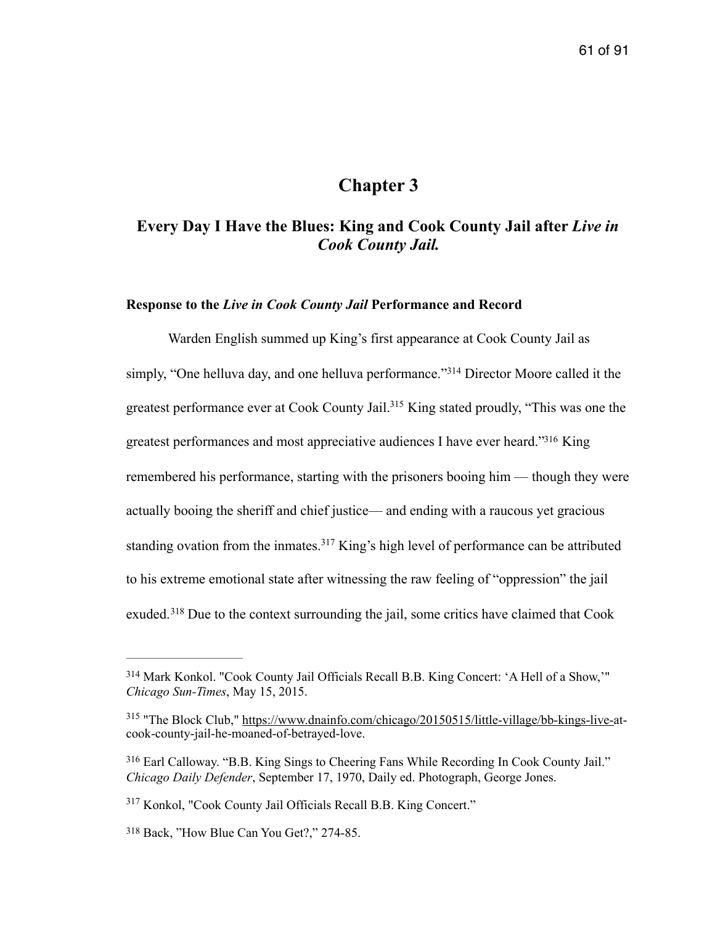# <span id="page-61-7"></span><span id="page-61-6"></span><span id="page-61-5"></span>**Chapter 3**

# **Every Day I Have the Blues: King and Cook County Jail after** *Live in Cook County Jail.*

### **Response to the** *Live in Cook County Jail* **Performance and Record**

Warden English summed up King's first appearance at Cook County Jail as simply, "One helluva day, and one helluva performance."<sup>[314](#page-61-0)</sup> Director Moore called it the greatest performance ever at Cook County Jail[.](#page-61-1)<sup>[315](#page-61-1)</sup> King stated proudly, "This was one the greatest performances and most appreciative audiences I have ever heard.["](#page-61-2)<sup>[316](#page-61-2)</sup> King remembered his performance, starting with the prisoners booing him — though they were actually booing the sheriff and chief justice— and ending with a raucous yet gracious standingovation from the inmates.<sup>[317](#page-61-3)</sup> King's high level of performance can be attributed to his extreme emotional state after witnessing the raw feeling of "oppression" the jail exuded.<sup>318</sup>Due to the context surrounding the jail, some critics have claimed that Cook

<span id="page-61-9"></span><span id="page-61-8"></span><span id="page-61-0"></span><sup>&</sup>lt;sup>[314](#page-61-5)</sup> Mark Konkol. "Cook County Jail Officials Recall B.B. King Concert: 'A Hell of a Show,'" *Chicago Sun-Times*, May 15, 2015.

<span id="page-61-1"></span><sup>&</sup>lt;sup>315</sup> "The Block Club," [https://www.dnainfo.com/chicago/20150515/little-village/bb-kings-live-a](https://www.dnainfo.com/chicago/20150515/little-village/bb-kings-live-)tcook-county-jail-he-moaned-of-betrayed-love.

<span id="page-61-2"></span>Earl Calloway. "B.B. King Sings to Cheering Fans While Recording In Cook County Jail." [316](#page-61-7) *Chicago Daily Defender*, September 17, 1970, Daily ed. Photograph, George Jones.

<span id="page-61-3"></span><sup>&</sup>lt;sup>[317](#page-61-8)</sup> Konkol, "Cook County Jail Officials Recall B.B. King Concert."

<span id="page-61-4"></span><sup>&</sup>lt;sup>[318](#page-61-9)</sup> Back, "How Blue Can You Get?," 274-85.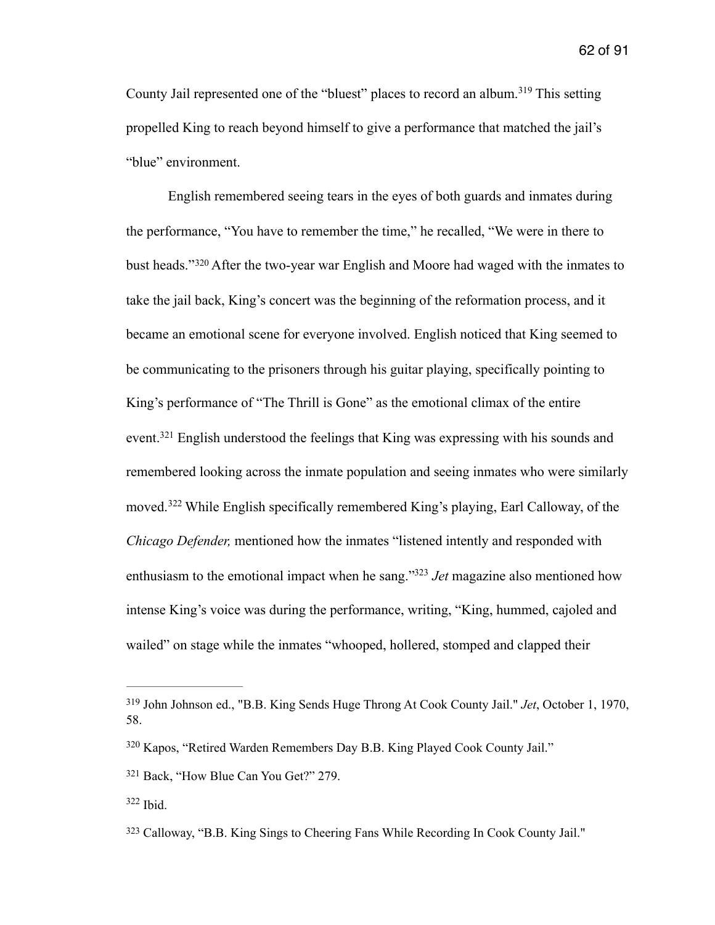<span id="page-62-5"></span>CountyJail represented one of the "bluest" places to record an album.<sup>[319](#page-62-0)</sup> This setting propelled King to reach beyond himself to give a performance that matched the jail's "blue" environment.

<span id="page-62-6"></span> English remembered seeing tears in the eyes of both guards and inmates during the performance, "You have to remember the time," he recalled, "We were in there to bustheads."<sup>[320](#page-62-1)</sup> After the two-year war English and Moore had waged with the inmates to take the jail back, King's concert was the beginning of the reformation process, and it became an emotional scene for everyone involved. English noticed that King seemed to be communicating to the prisoners through his guitar playing, specifically pointing to King's performance of "The Thrill is Gone" as the emotional climax of the entire event.<sup>321</sup>English understood the feelings that King was expressing with his sounds and remembered looking across the inmate population and seeing inmates who were similarly moved.<sup>322</sup>While English specifically remembered King's playing, Earl Calloway, of the *Chicago Defender,* mentioned how the inmates "listened intently and responded with enthusiasm to the emotional impact when he sang."<sup>[323](#page-62-4)</sup> Jet magazine also mentioned how intense King's voice was during the performance, writing, "King, hummed, cajoled and wailed" on stage while the inmates "whooped, hollered, stomped and clapped their

<span id="page-62-9"></span><span id="page-62-8"></span><span id="page-62-7"></span><span id="page-62-0"></span>John Johnson ed., "B.B. King Sends Huge Throng At Cook County Jail." *Jet*, October 1, 1970, [319](#page-62-5) 58.

<span id="page-62-1"></span><sup>&</sup>lt;sup>[320](#page-62-6)</sup> Kapos, "Retired Warden Remembers Day B.B. King Played Cook County Jail."

<span id="page-62-2"></span><sup>&</sup>lt;sup>[321](#page-62-7)</sup> Back, "How Blue Can You Get?" 279.

<span id="page-62-3"></span> $322$  Ibid.

<span id="page-62-4"></span>[<sup>323</sup>](#page-62-9) Calloway, "B.B. King Sings to Cheering Fans While Recording In Cook County Jail."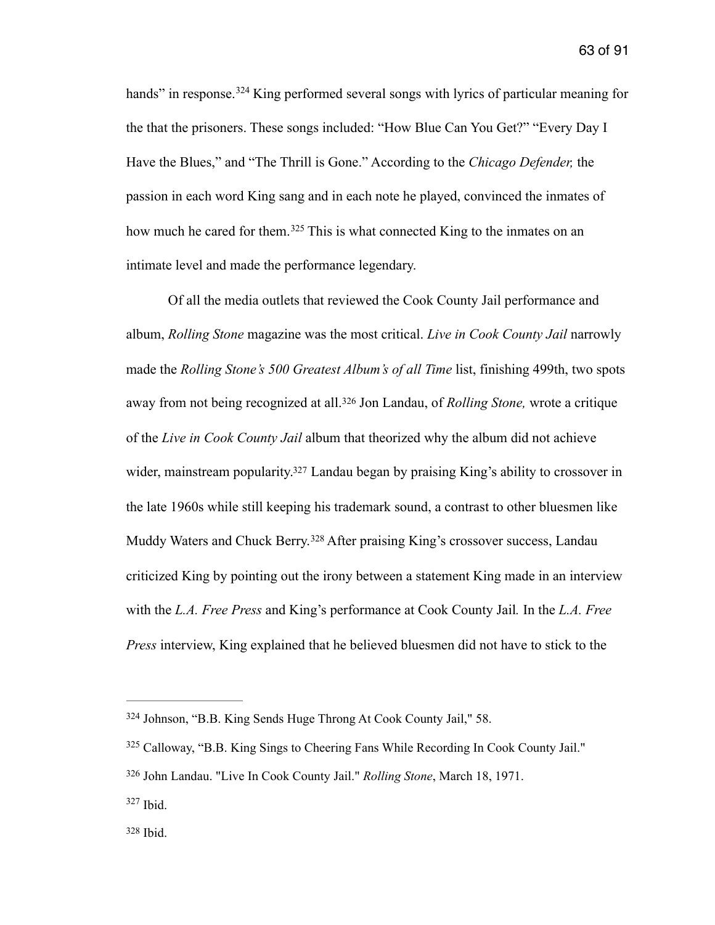<span id="page-63-5"></span>hands"in response.<sup>[324](#page-63-0)</sup> King performed several songs with lyrics of particular meaning for the that the prisoners. These songs included: "How Blue Can You Get?" "Every Day I Have the Blues," and "The Thrill is Gone." According to the *Chicago Defender,* the passion in each word King sang and in each note he played, convinced the inmates of howmuch he cared for them.<sup>[325](#page-63-1)</sup> This is what connected King to the inmates on an intimate level and made the performance legendary.

<span id="page-63-8"></span><span id="page-63-7"></span><span id="page-63-6"></span> Of all the media outlets that reviewed the Cook County Jail performance and album, *Rolling Stone* magazine was the most critical. *Live in Cook County Jail* narrowly made the *Rolling Stone's 500 Greatest Album's of all Time* list, finishing 499th, two spots awayfrom not being recognized at all.<sup>326</sup> Jon Landau, of *Rolling Stone*, wrote a critique of the *Live in Cook County Jail* album that theorized why the album did not achieve wider, mainstream popularity[.](#page-63-3)<sup>[327](#page-63-3)</sup> Landau began by praising King's ability to crossover in the late 1960s while still keeping his trademark sound, a contrast to other bluesmen like MuddyWaters and Chuck Berry.<sup>[328](#page-63-4)</sup> After praising King's crossover success, Landau criticized King by pointing out the irony between a statement King made in an interview with the *L.A. Free Press* and King's performance at Cook County Jail*.* In the *L.A. Free Press* interview, King explained that he believed bluesmen did not have to stick to the

<span id="page-63-9"></span><span id="page-63-0"></span>Johnson, "B.B. King Sends Huge Throng At Cook County Jail," 58. [324](#page-63-5)

<span id="page-63-1"></span><sup>&</sup>lt;sup>[325](#page-63-6)</sup> Calloway, "B.B. King Sings to Cheering Fans While Recording In Cook County Jail."

<span id="page-63-2"></span><sup>&</sup>lt;sup>[326](#page-63-7)</sup> John Landau. "Live In Cook County Jail." *Rolling Stone*, March 18, 1971.

<span id="page-63-3"></span> $327$  Ibid.

<span id="page-63-4"></span> $328$  Ibid.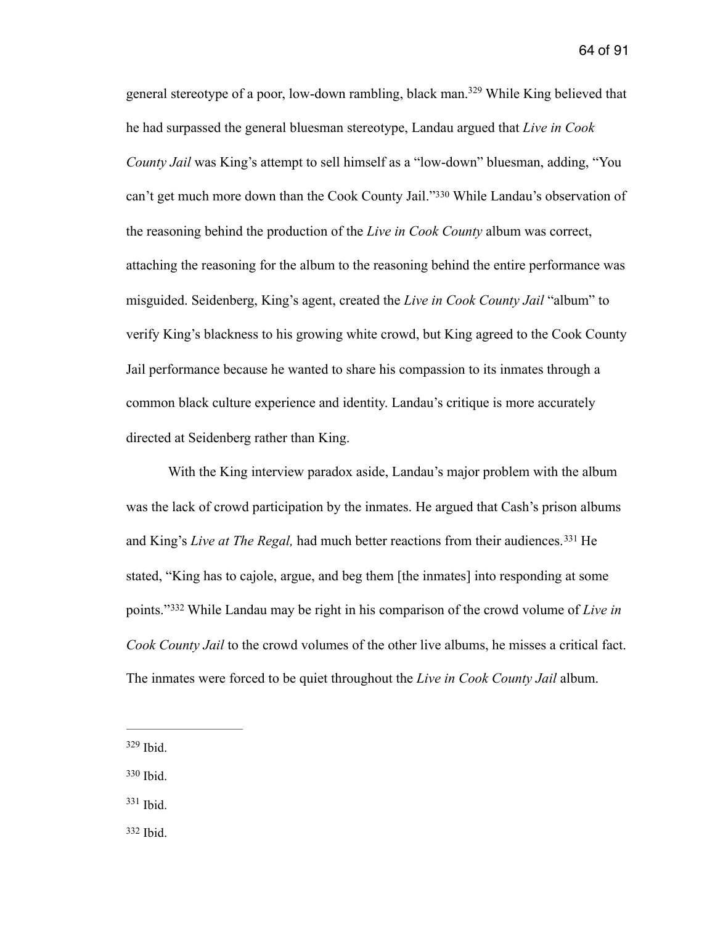<span id="page-64-5"></span><span id="page-64-4"></span>general stereotype of a poor, low-down rambling, black man[.](#page-64-0)<sup>[329](#page-64-0)</sup> While King believed that he had surpassed the general bluesman stereotype, Landau argued that *Live in Cook County Jail* was King's attempt to sell himself as a "low-down" bluesman, adding, "You can't get much more down than the Cook County Jail.["](#page-64-1)<sup>[330](#page-64-1)</sup> While Landau's observation of the reasoning behind the production of the *Live in Cook County* album was correct, attaching the reasoning for the album to the reasoning behind the entire performance was misguided. Seidenberg, King's agent, created the *Live in Cook County Jail* "album" to verify King's blackness to his growing white crowd, but King agreed to the Cook County Jail performance because he wanted to share his compassion to its inmates through a common black culture experience and identity. Landau's critique is more accurately directed at Seidenberg rather than King.

<span id="page-64-6"></span> With the King interview paradox aside, Landau's major problem with the album was the lack of crowd participation by the inmates. He argued that Cash's prison albums andKing's *Live at The Regal*, had much better reactions from their audiences.<sup>[331](#page-64-2)</sup> He stated, "King has to cajole, argue, and beg them [the inmates] into responding at some points."<sup>332</sup>While Landau may be right in his comparison of the crowd volume of *Live in Cook County Jail* to the crowd volumes of the other live albums, he misses a critical fact. The inmates were forced to be quiet throughout the *Live in Cook County Jail* album.

- <span id="page-64-1"></span>[330](#page-64-5) Ibid.
- <span id="page-64-2"></span> $331$  Ibid.
- <span id="page-64-3"></span>[332](#page-64-7) Ibid.

<span id="page-64-7"></span><span id="page-64-0"></span> $329$  Ibid.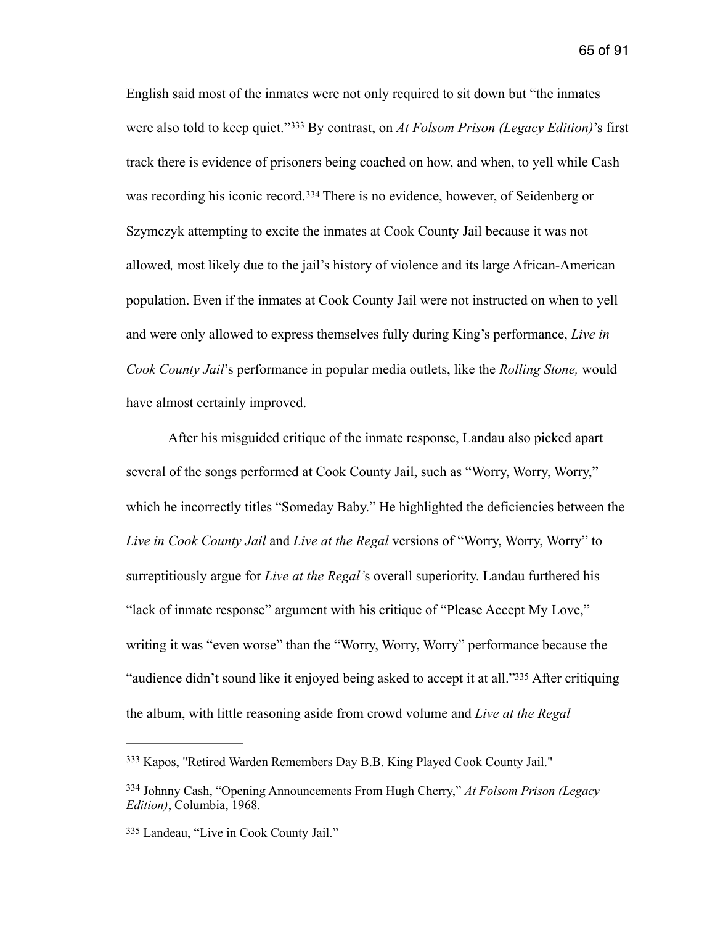<span id="page-65-4"></span><span id="page-65-3"></span>English said most of the inmates were not only required to sit down but "the inmates werealso told to keep quiet."<sup>333</sup> By contrast, on *At Folsom Prison (Legacy Edition)*'s first track there is evidence of prisoners being coached on how, and when, to yell while Cash wasrecording his iconic record.<sup>[334](#page-65-1)</sup> There is no evidence, however, of Seidenberg or Szymczyk attempting to excite the inmates at Cook County Jail because it was not allowed*,* most likely due to the jail's history of violence and its large African-American population. Even if the inmates at Cook County Jail were not instructed on when to yell and were only allowed to express themselves fully during King's performance, *Live in Cook County Jail*'s performance in popular media outlets, like the *Rolling Stone,* would have almost certainly improved.

 After his misguided critique of the inmate response, Landau also picked apart several of the songs performed at Cook County Jail, such as "Worry, Worry, Worry," which he incorrectly titles "Someday Baby." He highlighted the deficiencies between the *Live in Cook County Jail* and *Live at the Regal* versions of "Worry, Worry, Worry" to surreptitiously argue for *Live at the Regal'*s overall superiority. Landau furthered his "lack of inmate response" argument with his critique of "Please Accept My Love," writing it was "even worse" than the "Worry, Worry, Worry" performance because the ["](#page-65-2)audience didn't sound like it enjoyed being asked to accept it at all."[335](#page-65-2) After critiquing the album, with little reasoning aside from crowd volume and *Live at the Regal* 

<span id="page-65-5"></span><span id="page-65-0"></span><sup>&</sup>lt;sup>[333](#page-65-3)</sup> Kapos, "Retired Warden Remembers Day B.B. King Played Cook County Jail."

<span id="page-65-1"></span><sup>&</sup>lt;sup>[334](#page-65-4)</sup> Johnny Cash, "Opening Announcements From Hugh Cherry," *At Folsom Prison (Legacy Edition)*, Columbia, 1968.

<span id="page-65-2"></span>[<sup>335</sup>](#page-65-5) Landeau, "Live in Cook County Jail."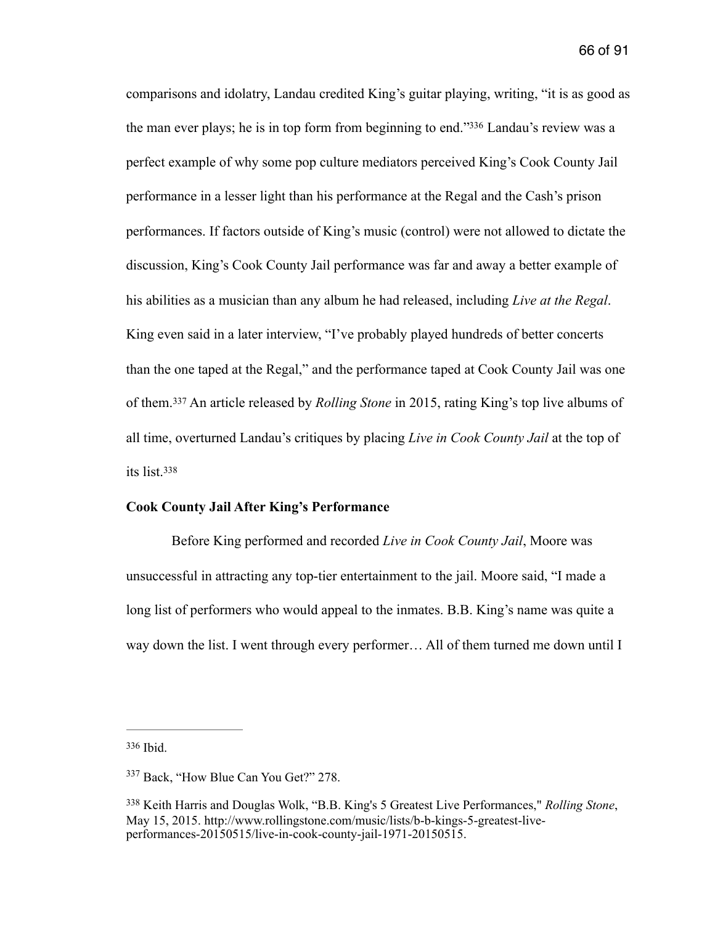<span id="page-66-3"></span>comparisons and idolatry, Landau credited King's guitar playing, writing, "it is as good as the man ever plays; he is in top form from beginning to end.["](#page-66-0)<sup>[336](#page-66-0)</sup> Landau's review was a perfect example of why some pop culture mediators perceived King's Cook County Jail performance in a lesser light than his performance at the Regal and the Cash's prison performances. If factors outside of King's music (control) were not allowed to dictate the discussion, King's Cook County Jail performance was far and away a better example of his abilities as a musician than any album he had released, including *Live at the Regal*. King even said in a later interview, "I've probably played hundreds of better concerts than the one taped at the Regal," and the performance taped at Cook County Jail was one ofthem.<sup>337</sup> An article released by *Rolling Stone* in 2015, rating King's top live albums of all time, overturned Landau's critiques by placing *Live in Cook County Jail* at the top of its list[.338](#page-66-2)

#### <span id="page-66-5"></span><span id="page-66-4"></span>**Cook County Jail After King's Performance**

Before King performed and recorded *Live in Cook County Jail*, Moore was unsuccessful in attracting any top-tier entertainment to the jail. Moore said, "I made a long list of performers who would appeal to the inmates. B.B. King's name was quite a way down the list. I went through every performer… All of them turned me down until I

<span id="page-66-0"></span> $336$  Ibid.

<span id="page-66-1"></span><sup>&</sup>lt;sup>[337](#page-66-4)</sup> Back, "How Blue Can You Get?" 278.

<span id="page-66-2"></span>Keith Harris and Douglas Wolk, "B.B. King's 5 Greatest Live Performances," *Rolling Stone*, [338](#page-66-5) May 15, 2015. http://www.rollingstone.com/music/lists/b-b-kings-5-greatest-liveperformances-20150515/live-in-cook-county-jail-1971-20150515.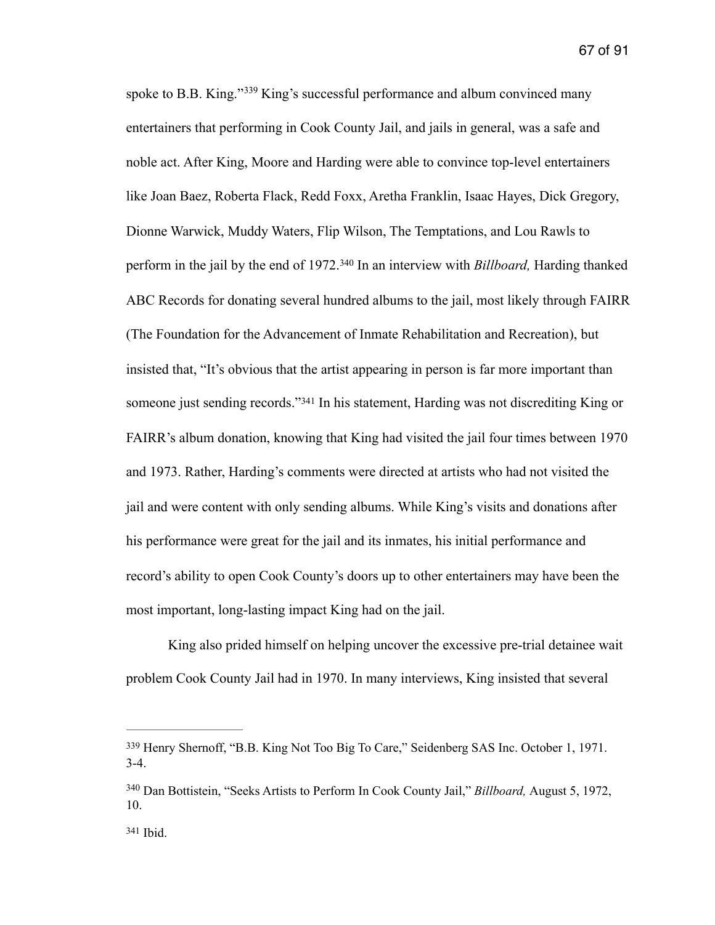<span id="page-67-4"></span><span id="page-67-3"></span>spoketo B.B. King." $339$  King's successful performance and album convinced many entertainers that performing in Cook County Jail, and jails in general, was a safe and noble act. After King, Moore and Harding were able to convince top-level entertainers like Joan Baez, Roberta Flack, Redd Foxx, Aretha Franklin, Isaac Hayes, Dick Gregory, Dionne Warwick, Muddy Waters, Flip Wilson, The Temptations, and Lou Rawls to performin the jail by the end of 1972.<sup>340</sup> In an interview with *Billboard*, Harding thanked ABC Records for donating several hundred albums to the jail, most likely through FAIRR (The Foundation for the Advancement of Inmate Rehabilitation and Recreation), but insisted that, "It's obvious that the artist appearing in person is far more important than someonejust sending records."<sup>[341](#page-67-2)</sup> In his statement, Harding was not discrediting King or FAIRR's album donation, knowing that King had visited the jail four times between 1970 and 1973. Rather, Harding's comments were directed at artists who had not visited the jail and were content with only sending albums. While King's visits and donations after his performance were great for the jail and its inmates, his initial performance and record's ability to open Cook County's doors up to other entertainers may have been the most important, long-lasting impact King had on the jail.

<span id="page-67-5"></span> King also prided himself on helping uncover the excessive pre-trial detainee wait problem Cook County Jail had in 1970. In many interviews, King insisted that several

<span id="page-67-0"></span>[<sup>339</sup>](#page-67-3) Henry Shernoff, "B.B. King Not Too Big To Care," Seidenberg SAS Inc. October 1, 1971. 3-4.

<span id="page-67-1"></span><sup>&</sup>lt;sup>[340](#page-67-4)</sup> Dan Bottistein, "Seeks Artists to Perform In Cook County Jail," *Billboard*, August 5, 1972, 10.

<span id="page-67-2"></span> $341$  Ibid.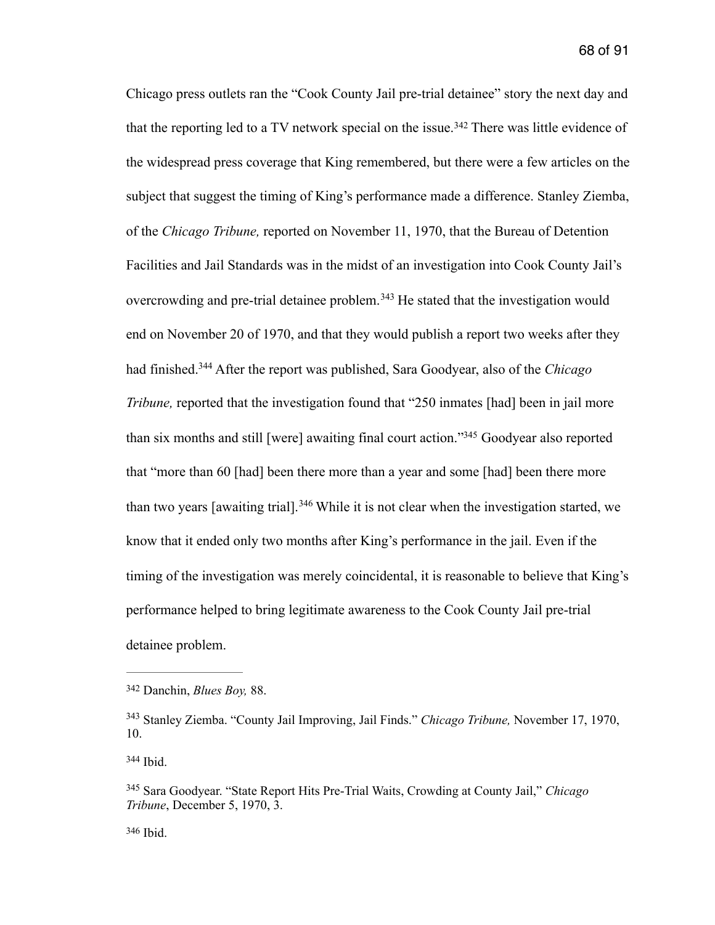<span id="page-68-7"></span><span id="page-68-6"></span><span id="page-68-5"></span>Chicago press outlets ran the "Cook County Jail pre-trial detainee" story the next day and thatthe reporting led to a TV network special on the issue.<sup>[342](#page-68-0)</sup> There was little evidence of the widespread press coverage that King remembered, but there were a few articles on the subject that suggest the timing of King's performance made a difference. Stanley Ziemba, of the *Chicago Tribune,* reported on November 11, 1970, that the Bureau of Detention Facilities and Jail Standards was in the midst of an investigation into Cook County Jail's overcrowdingand pre-trial detainee problem.<sup> $343$ </sup> He stated that the investigation would end on November 20 of 1970, and that they would publish a report two weeks after they hadfinished.<sup>344</sup> After the report was published, Sara Goodyear, also of the *Chicago Tribune*, reported that the investigation found that "250 inmates [had] been in jail more than six months and still [were] awaiting final court action.["](#page-68-3)<sup>[345](#page-68-3)</sup> Goodyear also reported that "more than 60 [had] been there more than a year and some [had] been there more thantwo years [awaiting trial].<sup>[346](#page-68-4)</sup> While it is not clear when the investigation started, we know that it ended only two months after King's performance in the jail. Even if the timing of the investigation was merely coincidental, it is reasonable to believe that King's performance helped to bring legitimate awareness to the Cook County Jail pre-trial detainee problem.

<span id="page-68-2"></span>[344](#page-68-7) Ibid.

<span id="page-68-9"></span><span id="page-68-8"></span><span id="page-68-0"></span>Danchin, *Blues Boy,* 88. [342](#page-68-5)

<span id="page-68-1"></span>Stanley Ziemba. "County Jail Improving, Jail Finds." *Chicago Tribune,* November 17, 1970, [343](#page-68-6) 10.

<span id="page-68-4"></span><span id="page-68-3"></span>Sara Goodyear. "State Report Hits Pre-Trial Waits, Crowding at County Jail," *Chicago* [345](#page-68-8) *Tribune*, December 5, 1970, 3.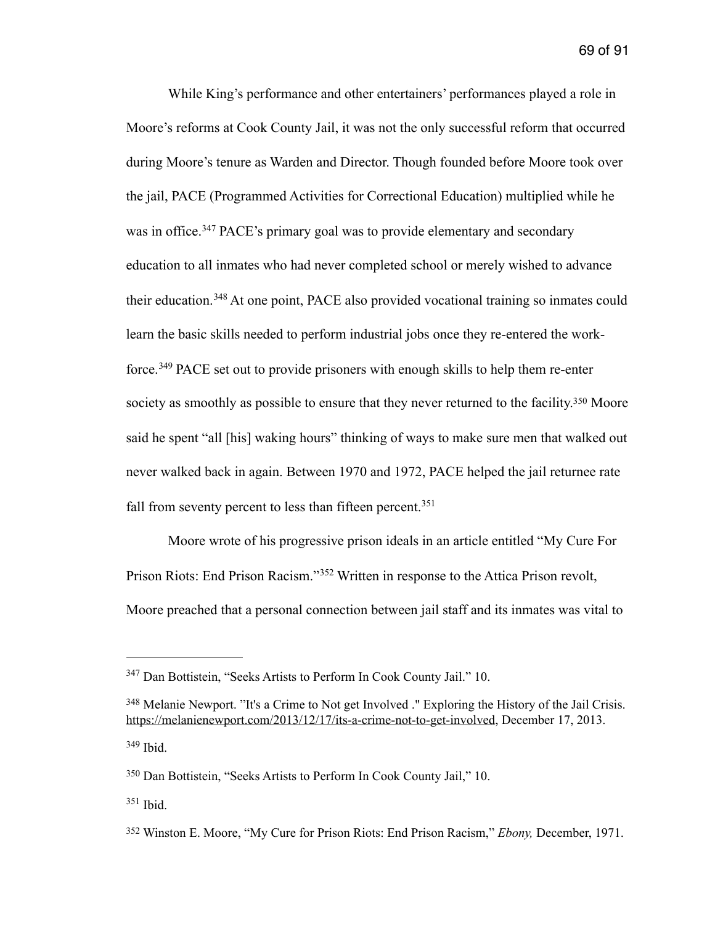<span id="page-69-7"></span><span id="page-69-6"></span> While King's performance and other entertainers' performances played a role in Moore's reforms at Cook County Jail, it was not the only successful reform that occurred during Moore's tenure as Warden and Director. Though founded before Moore took over the jail, PACE (Programmed Activities for Correctional Education) multiplied while he wasin office.<sup>[347](#page-69-0)</sup> PACE's primary goal was to provide elementary and secondary education to all inmates who had never completed school or merely wished to advance theireducation.<sup>[348](#page-69-1)</sup> At one point, PACE also provided vocational training so inmates could learn the basic skills needed to perform industrial jobs once they re-entered the work-force.<sup>349</sup>PACE set out to provide prisoners with enough skills to help them re-enter society as smoothly as possible to ensure that they never returned to the facility[.](#page-69-3)<sup>[350](#page-69-3)</sup> Moore said he spent "all [his] waking hours" thinking of ways to make sure men that walked out never walked back in again. Between 1970 and 1972, PACE helped the jail returnee rate fall from seventy percent to less than fifteen percent.<sup>351</sup>

<span id="page-69-11"></span><span id="page-69-10"></span><span id="page-69-9"></span><span id="page-69-8"></span> Moore wrote of his progressive prison ideals in an article entitled "My Cure For Prison Riots: End Prison Racism."<sup>[352](#page-69-5)</sup> Written in response to the Attica Prison revolt, Moore preached that a personal connection between jail staff and its inmates was vital to

<span id="page-69-0"></span><sup>&</sup>lt;sup>[347](#page-69-6)</sup> Dan Bottistein, "Seeks Artists to Perform In Cook County Jail." 10.

<span id="page-69-1"></span><sup>&</sup>lt;sup>[348](#page-69-7)</sup> Melanie Newport. "It's a Crime to Not get Involved ." Exploring the History of the Jail Crisis. <https://melanienewport.com/2013/12/17/its-a-crime-not-to-get-involved>, December 17, 2013.  $349$  Ibid.

<span id="page-69-3"></span><span id="page-69-2"></span>[<sup>350</sup>](#page-69-9) Dan Bottistein, "Seeks Artists to Perform In Cook County Jail," 10.

<span id="page-69-4"></span> $351$  Ibid.

<span id="page-69-5"></span>Winston E. Moore, "My Cure for Prison Riots: End Prison Racism," *Ebony,* December, 1971. [352](#page-69-11)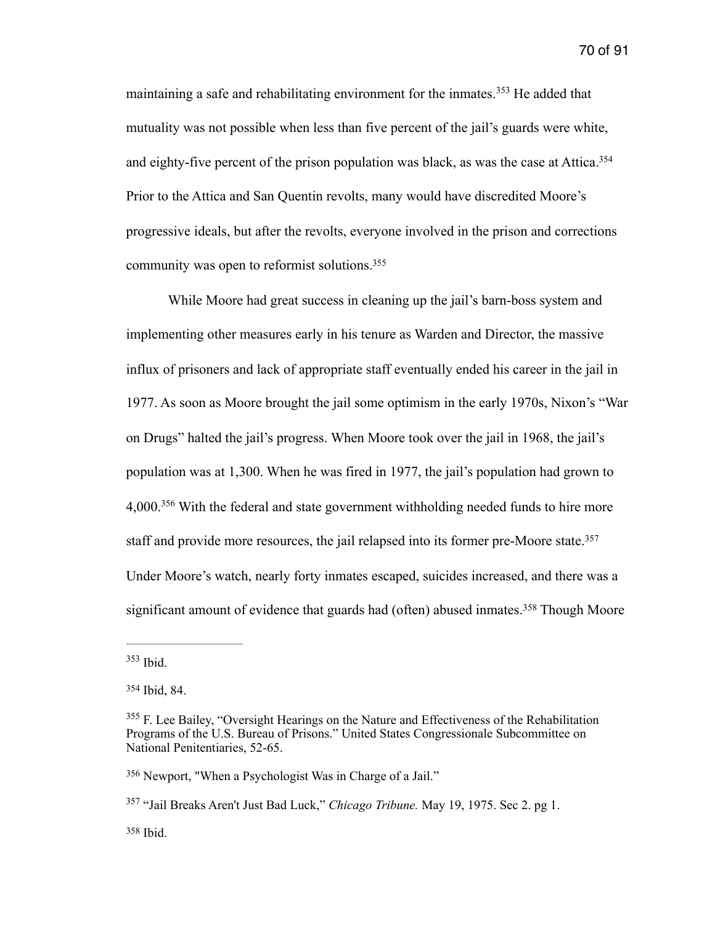<span id="page-70-7"></span><span id="page-70-6"></span>maintaininga safe and rehabilitating environment for the inmates.<sup>[353](#page-70-0)</sup> He added that mutuality was not possible when less than five percent of the jail's guards were white, and eighty-five percent of the prison population was black, as was the case at Attica.<sup>354</sup> Prior to the Attica and San Quentin revolts, many would have discredited Moore's progressive ideals, but after the revolts, everyone involved in the prison and corrections community was open to reformist solutions[.](#page-70-2) [355](#page-70-2)

<span id="page-70-8"></span> While Moore had great success in cleaning up the jail's barn-boss system and implementing other measures early in his tenure as Warden and Director, the massive influx of prisoners and lack of appropriate staff eventually ended his career in the jail in 1977. As soon as Moore brought the jail some optimism in the early 1970s, Nixon's "War on Drugs" halted the jail's progress. When Moore took over the jail in 1968, the jail's population was at 1,300. When he was fired in 1977, the jail's population had grown to 4,000.<sup>[356](#page-70-3)</sup> With the federal and state government withholding needed funds to hire more staff and provide more resources, the jail relapsed into its former pre-Moore state.<sup>[357](#page-70-4)</sup> Under Moore's watch, nearly forty inmates escaped, suicides increased, and there was a significantamount of evidence that guards had (often) abused inmates.<sup>[358](#page-70-5)</sup> Though Moore

<span id="page-70-11"></span><span id="page-70-10"></span><span id="page-70-9"></span><span id="page-70-0"></span> $353$  Ibid.

<span id="page-70-1"></span>[<sup>354</sup>](#page-70-7) Ibid, 84.

<span id="page-70-2"></span><sup>&</sup>lt;sup>[355](#page-70-8)</sup> F. Lee Bailey, "Oversight Hearings on the Nature and Effectiveness of the Rehabilitation Programs of the U.S. Bureau of Prisons." United States Congressionale Subcommittee on National Penitentiaries, 52-65.

<span id="page-70-3"></span>[<sup>356</sup>](#page-70-9) Newport, "When a Psychologist Was in Charge of a Jail."

<span id="page-70-4"></span><sup>&</sup>lt;sup>[357](#page-70-10)</sup> "Jail Breaks Aren't Just Bad Luck," *Chicago Tribune.* May 19, 1975. Sec 2. pg 1.

<span id="page-70-5"></span> $358$  Ibid.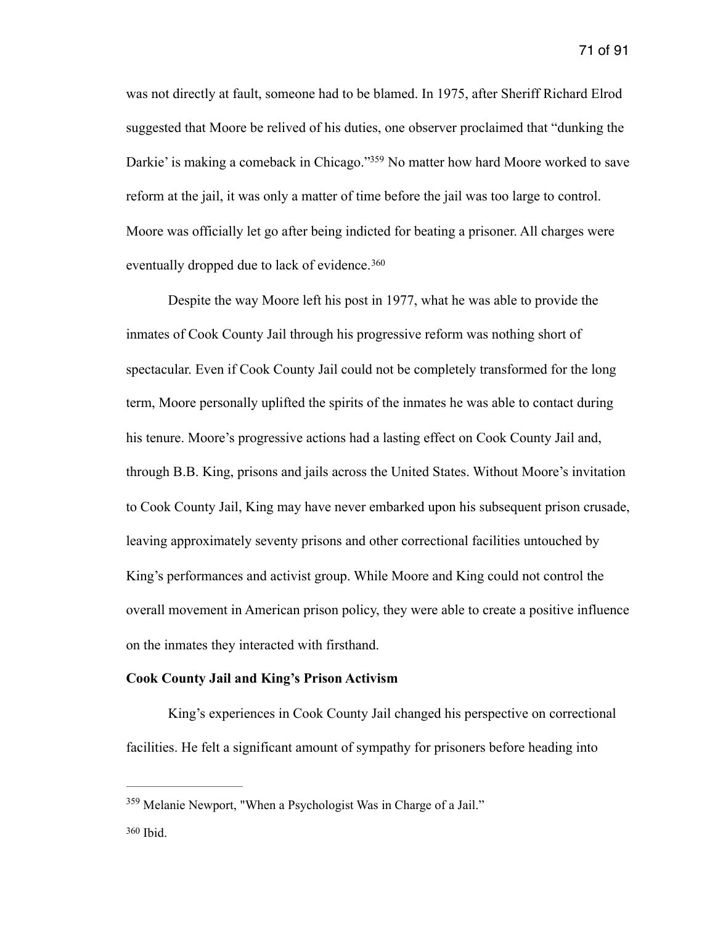<span id="page-71-2"></span>was not directly at fault, someone had to be blamed. In 1975, after Sheriff Richard Elrod suggested that Moore be relived of his duties, one observer proclaimed that "dunking the Darkie' is making a comeback in Chicago.["](#page-71-0)<sup>[359](#page-71-0)</sup> No matter how hard Moore worked to save reform at the jail, it was only a matter of time before the jail was too large to control. Moore was officially let go after being indicted for beating a prisoner. All charges were eventually dropped due to lack of evidence.<sup>[360](#page-71-1)</sup>

<span id="page-71-3"></span> Despite the way Moore left his post in 1977, what he was able to provide the inmates of Cook County Jail through his progressive reform was nothing short of spectacular. Even if Cook County Jail could not be completely transformed for the long term, Moore personally uplifted the spirits of the inmates he was able to contact during his tenure. Moore's progressive actions had a lasting effect on Cook County Jail and, through B.B. King, prisons and jails across the United States. Without Moore's invitation to Cook County Jail, King may have never embarked upon his subsequent prison crusade, leaving approximately seventy prisons and other correctional facilities untouched by King's performances and activist group. While Moore and King could not control the overall movement in American prison policy, they were able to create a positive influence on the inmates they interacted with firsthand.

### **Cook County Jail and King's Prison Activism**

King's experiences in Cook County Jail changed his perspective on correctional facilities. He felt a significant amount of sympathy for prisoners before heading into

<span id="page-71-0"></span><sup>&</sup>lt;sup>[359](#page-71-2)</sup> Melanie Newport, "When a Psychologist Was in Charge of a Jail."

<span id="page-71-1"></span> $360$  Ibid.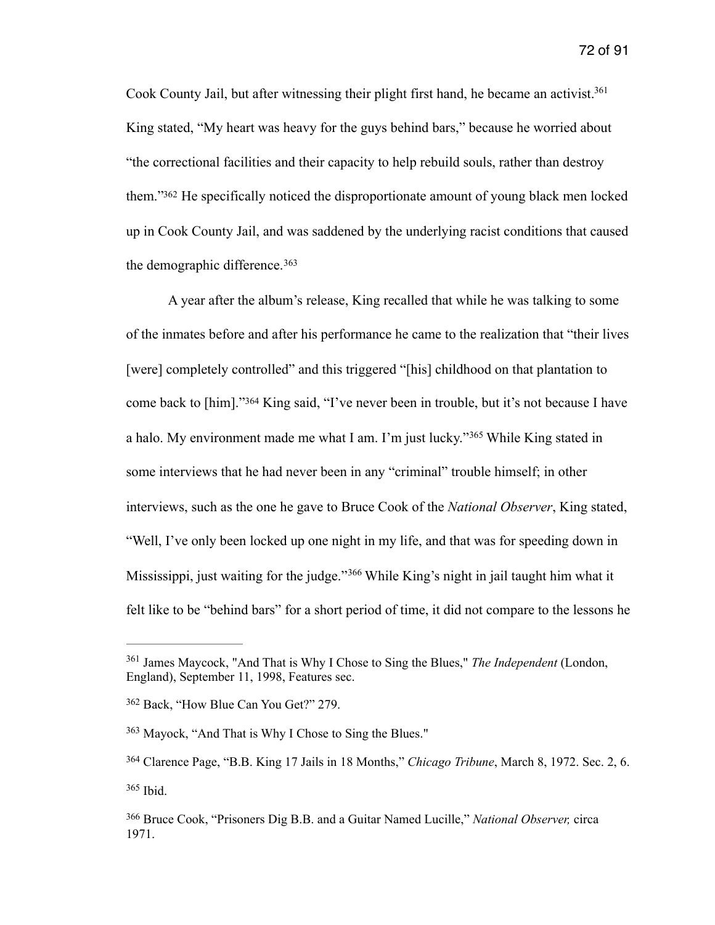<span id="page-72-6"></span>Cook County Jail, but after witnessing their plight first hand, he became an activist.<sup>361</sup> King stated, "My heart was heavy for the guys behind bars," because he worried about "the correctional facilities and their capacity to help rebuild souls, rather than destroy them.["](#page-72-1) [362](#page-72-1) He specifically noticed the disproportionate amount of young black men locked up in Cook County Jail, and was saddened by the underlying racist conditions that caused the demographic difference. [363](#page-72-2)

<span id="page-72-10"></span><span id="page-72-9"></span><span id="page-72-8"></span><span id="page-72-7"></span> A year after the album's release, King recalled that while he was talking to some of the inmates before and after his performance he came to the realization that "their lives [were] completely controlled" and this triggered "[his] childhood on that plantation to comeback to [him]."<sup>[364](#page-72-3)</sup> King said, "I've never been in trouble, but it's not because I have ahalo. My environment made me what I am. I'm just lucky."<sup>[365](#page-72-4)</sup> While King stated in some interviews that he had never been in any "criminal" trouble himself; in other interviews, such as the one he gave to Bruce Cook of the *National Observer*, King stated, "Well, I've only been locked up one night in my life, and that was for speeding down in Mississippi,just waiting for the judge."<sup>[366](#page-72-5)</sup> While King's night in jail taught him what it felt like to be "behind bars" for a short period of time, it did not compare to the lessons he

<span id="page-72-11"></span><span id="page-72-0"></span><sup>&</sup>lt;sup>[361](#page-72-6)</sup> James Maycock, "And That is Why I Chose to Sing the Blues," *The Independent* (London, England), September 11, 1998, Features sec.

<span id="page-72-1"></span><sup>&</sup>lt;sup>[362](#page-72-7)</sup> Back, "How Blue Can You Get?" 279.

<span id="page-72-2"></span><sup>&</sup>lt;sup>[363](#page-72-8)</sup> Mayock, "And That is Why I Chose to Sing the Blues."

<span id="page-72-3"></span>Clarence Page, "B.B. King 17 Jails in 18 Months," *Chicago Tribune*, March 8, 1972. Sec. 2, 6. [364](#page-72-9)  $365$  Ibid.

<span id="page-72-5"></span><span id="page-72-4"></span>Bruce Cook, "Prisoners Dig B.B. and a Guitar Named Lucille," *National Observer,* circa [366](#page-72-11) 1971.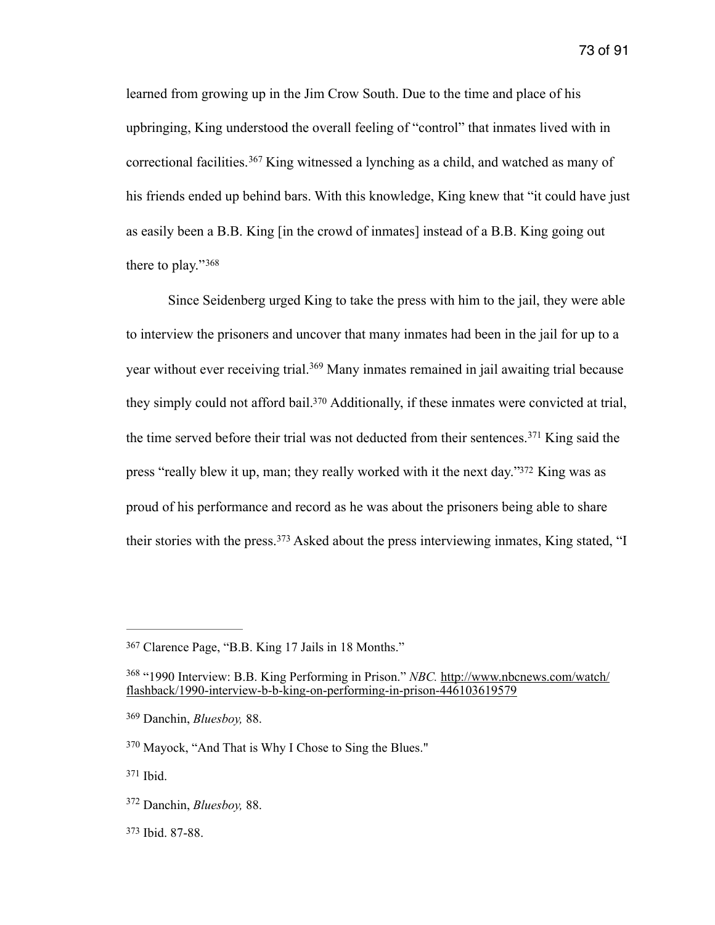<span id="page-73-11"></span>73 of 91

<span id="page-73-7"></span>learned from growing up in the Jim Crow South. Due to the time and place of his upbringing, King understood the overall feeling of "control" that inmates lived with in correctionalfacilities.<sup>[367](#page-73-0)</sup> King witnessed a lynching as a child, and watched as many of his friends ended up behind bars. With this knowledge, King knew that "it could have just as easily been a B.B. King [in the crowd of inmates] instead of a B.B. King going out there to play."<sup>368</sup>

<span id="page-73-10"></span><span id="page-73-9"></span><span id="page-73-8"></span> Since Seidenberg urged King to take the press with him to the jail, they were able to interview the prisoners and uncover that many inmates had been in the jail for up to a yearwithout ever receiving trial.<sup>[369](#page-73-2)</sup> Many inmates remained in jail awaiting trial because they simply could not afford bail[.](#page-73-3)<sup>[370](#page-73-3)</sup> Additionally, if these inmates were convicted at trial, thetime served before their trial was not deducted from their sentences.<sup>[371](#page-73-4)</sup> King said the press ["](#page-73-5)really blew it up, man; they really worked with it the next day."<sup>[372](#page-73-5)</sup> King was as proud of his performance and record as he was about the prisoners being able to share theirstories with the press.<sup>[373](#page-73-6)</sup> Asked about the press interviewing inmates, King stated, "I

<span id="page-73-13"></span><span id="page-73-12"></span><span id="page-73-0"></span>Clarence Page, "B.B. King 17 Jails in 18 Months." [367](#page-73-7)

<span id="page-73-1"></span><sup>&</sup>lt;sup>[368](#page-73-8)</sup> "1990 Interview: B.B. King Performing in Prison." *NBC*. http://www.nbcnews.com/watch/ [flashback/1990-interview-b-b-king-on-performing-in-prison-446103619579](http://www.nbcnews.com/watch/flashback/1990-interview-b-b-king-on-performing-in-prison-446103619579)

<span id="page-73-2"></span>Danchin, *Bluesboy,* 88. [369](#page-73-9)

<span id="page-73-3"></span><sup>&</sup>lt;sup>[370](#page-73-10)</sup> Mayock, "And That is Why I Chose to Sing the Blues."

<span id="page-73-4"></span>[<sup>371</sup>](#page-73-11) Ibid.

<span id="page-73-5"></span><sup>&</sup>lt;sup>[372](#page-73-12)</sup> Danchin, *Bluesboy*, 88.

<span id="page-73-6"></span>[<sup>373</sup>](#page-73-13) Ibid. 87-88.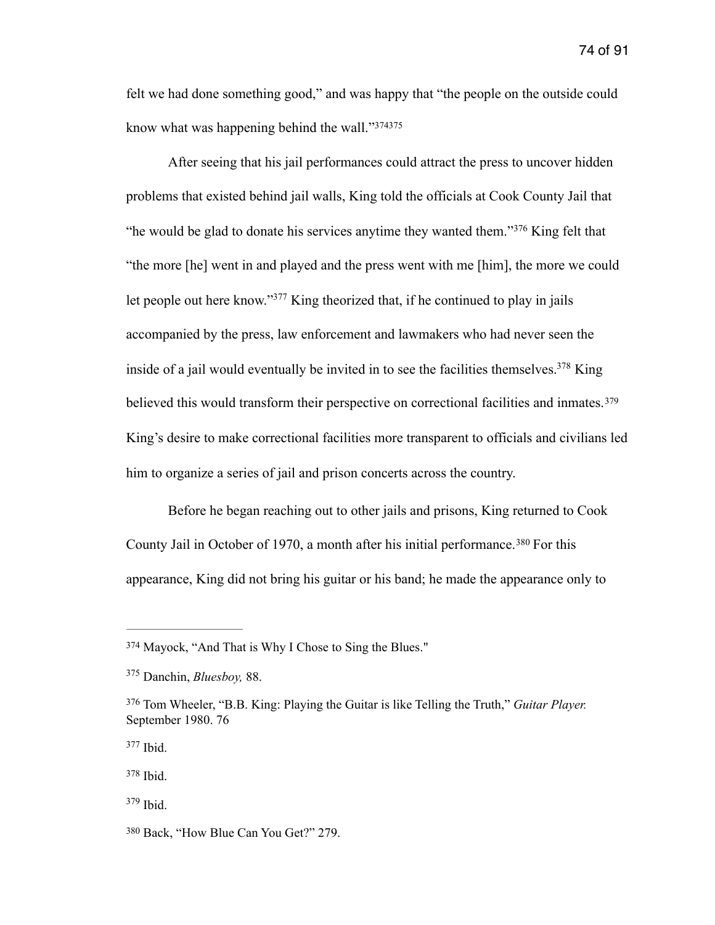felt we had done something good," and was happy that "the people on the outside could know what was happening behind the wall."[374](#page-74-0)[375](#page-74-1)

<span id="page-74-10"></span><span id="page-74-9"></span><span id="page-74-8"></span><span id="page-74-7"></span> After seeing that his jail performances could attract the press to uncover hidden problems that existed behind jail walls, King told the officials at Cook County Jail that "hewould be glad to donate his services anytime they wanted them."<sup>[376](#page-74-2)</sup> King felt that "the more [he] went in and played and the press went with me [him], the more we could let people out here know.["](#page-74-3)<sup>[377](#page-74-3)</sup> King theorized that, if he continued to play in jails accompanied by the press, law enforcement and lawmakers who had never seen the inside of a jail would eventually be invited in to see the facilities themselves[.](#page-74-4)<sup>[378](#page-74-4)</sup> King believed this would transform their perspective on correctional facilities and inmates.<sup>[379](#page-74-5)</sup> King's desire to make correctional facilities more transparent to officials and civilians led him to organize a series of jail and prison concerts across the country.

<span id="page-74-13"></span><span id="page-74-12"></span><span id="page-74-11"></span> Before he began reaching out to other jails and prisons, King returned to Cook CountyJail in October of 1970, a month after his initial performance.<sup>[380](#page-74-6)</sup> For this appearance, King did not bring his guitar or his band; he made the appearance only to

<span id="page-74-0"></span><sup>&</sup>lt;sup>[374](#page-74-7)</sup> Mayock, "And That is Why I Chose to Sing the Blues."

<span id="page-74-1"></span>Danchin, *Bluesboy,* 88. [375](#page-74-8)

<span id="page-74-2"></span>Tom Wheeler, "B.B. King: Playing the Guitar is like Telling the Truth," *Guitar Player.* [376](#page-74-9) September 1980. 76

<span id="page-74-3"></span>[<sup>377</sup>](#page-74-10) Ibid.

<span id="page-74-4"></span>[<sup>378</sup>](#page-74-11) Ibid.

<span id="page-74-5"></span> $379$  Ibid.

<span id="page-74-6"></span>[<sup>380</sup>](#page-74-13) Back, "How Blue Can You Get?" 279.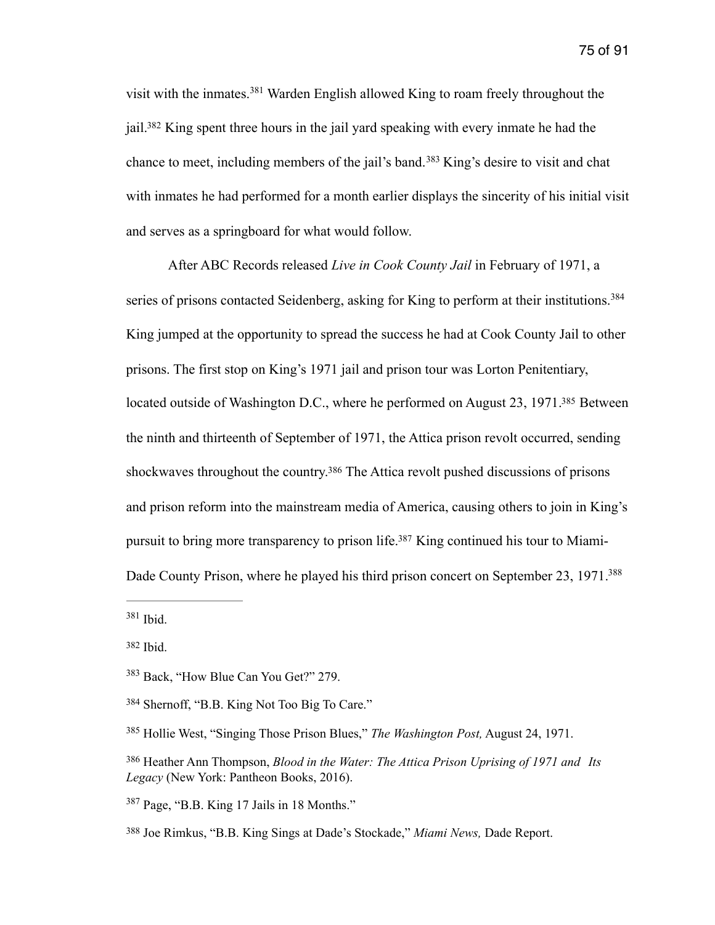<span id="page-75-10"></span><span id="page-75-9"></span><span id="page-75-8"></span>visitwith the inmates.<sup>[381](#page-75-0)</sup> Warden English allowed King to roam freely throughout the jail[.](#page-75-1)<sup>[382](#page-75-1)</sup> King spent three hours in the jail yard speaking with every inmate he had the chanceto meet, including members of the jail's band.<sup>[383](#page-75-2)</sup> King's desire to visit and chat with inmates he had performed for a month earlier displays the sincerity of his initial visit and serves as a springboard for what would follow.

<span id="page-75-12"></span><span id="page-75-11"></span> After ABC Records released *Live in Cook County Jail* in February of 1971, a series of prisons contacted Seidenberg, asking for King to perform at their institutions.<sup>384</sup> King jumped at the opportunity to spread the success he had at Cook County Jail to other prisons. The first stop on King's 1971 jail and prison tour was Lorton Penitentiary, located outside of Washington D[.](#page-75-4)C., where he performed on August 23, 1971.<sup>[385](#page-75-4)</sup> Between the ninth and thirteenth of September of 1971, the Attica prison revolt occurred, sending shockwaves throughout the country[.](#page-75-5)<sup>[386](#page-75-5)</sup> The Attica revolt pushed discussions of prisons and prison reform into the mainstream media of America, causing others to join in King's pursuit to bring more transparency to prison life[.](#page-75-6)<sup>387</sup> King continued his tour to Miami-Dade County Prison, where he played his third prison concert on September 23, 1971.<sup>388</sup>

<span id="page-75-15"></span><span id="page-75-14"></span><span id="page-75-13"></span><span id="page-75-0"></span> $381$  Ibid.

<span id="page-75-6"></span>Page, "B.B. King 17 Jails in 18 Months." [387](#page-75-14)

<span id="page-75-1"></span>[<sup>382</sup>](#page-75-9) Ibid.

<span id="page-75-2"></span><sup>&</sup>lt;sup>[383](#page-75-10)</sup> Back, "How Blue Can You Get?" 279.

<span id="page-75-3"></span>Shernoff, "B.B. King Not Too Big To Care." [384](#page-75-11)

<span id="page-75-4"></span><sup>&</sup>lt;sup>[385](#page-75-12)</sup> Hollie West, "Singing Those Prison Blues," *The Washington Post*, August 24, 1971.

<span id="page-75-5"></span><sup>&</sup>lt;sup>[386](#page-75-13)</sup> Heather Ann Thompson, *Blood in the Water: The Attica Prison Uprising of 1971 and Its Legacy* (New York: Pantheon Books, 2016).

<span id="page-75-7"></span>Joe Rimkus, "B.B. King Sings at Dade's Stockade," *Miami News,* Dade Report. [388](#page-75-15)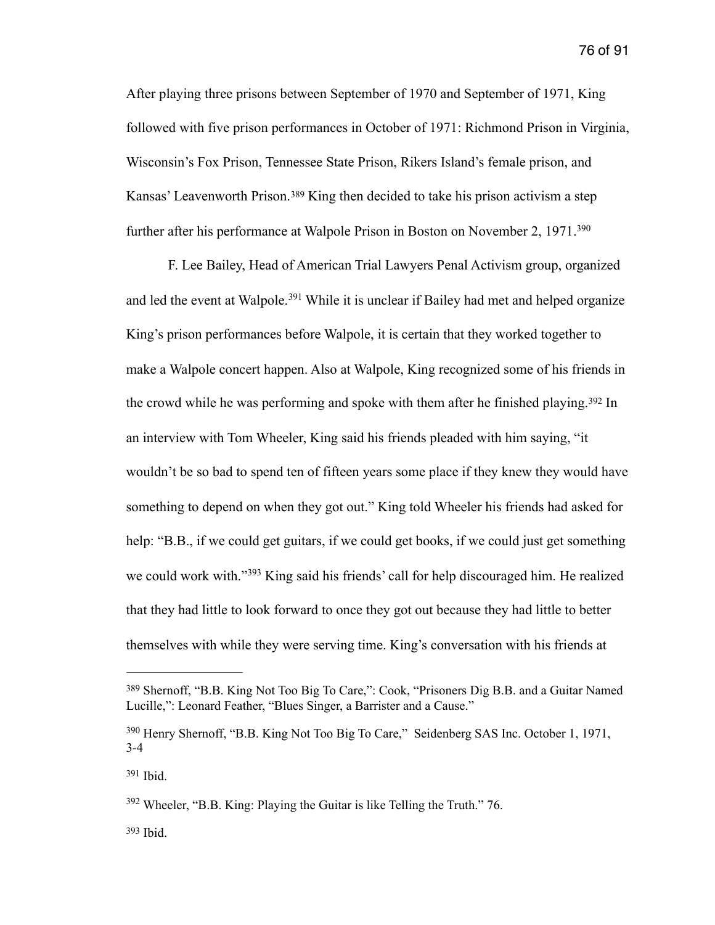After playing three prisons between September of 1970 and September of 1971, King followed with five prison performances in October of 1971: Richmond Prison in Virginia, Wisconsin's Fox Prison, Tennessee State Prison, Rikers Island's female prison, and Kansas'Leavenworth Prison.<sup>[389](#page-76-0)</sup> King then decided to take his prison activism a step further after his performance at Walpole Prison in Boston on November 2, 1971[.](#page-76-1)<sup>[390](#page-76-1)</sup>

<span id="page-76-8"></span><span id="page-76-7"></span><span id="page-76-6"></span><span id="page-76-5"></span> F. Lee Bailey, Head of American Trial Lawyers Penal Activism group, organized andled the event at Walpole.<sup>[391](#page-76-2)</sup> While it is unclear if Bailey had met and helped organize King's prison performances before Walpole, it is certain that they worked together to make a Walpole concert happen. Also at Walpole, King recognized some of his friends in thecrowd while he was performing and spoke with them after he finished playing.<sup>[392](#page-76-3)</sup> In an interview with Tom Wheeler, King said his friends pleaded with him saying, "it wouldn't be so bad to spend ten of fifteen years some place if they knew they would have something to depend on when they got out." King told Wheeler his friends had asked for help: "B.B., if we could get guitars, if we could get books, if we could just get something wecould work with."<sup>[393](#page-76-4)</sup> King said his friends' call for help discouraged him. He realized that they had little to look forward to once they got out because they had little to better themselves with while they were serving time. King's conversation with his friends at

<span id="page-76-2"></span>[391](#page-76-7) Ibid.

<span id="page-76-4"></span> $393$  Ibid.

<span id="page-76-9"></span><span id="page-76-0"></span><sup>&</sup>lt;sup>[389](#page-76-5)</sup> Shernoff, "B.B. King Not Too Big To Care,": Cook, "Prisoners Dig B.B. and a Guitar Named Lucille,": Leonard Feather, "Blues Singer, a Barrister and a Cause."

<span id="page-76-1"></span><sup>&</sup>lt;sup>[390](#page-76-6)</sup> Henry Shernoff, "B.B. King Not Too Big To Care," Seidenberg SAS Inc. October 1, 1971, 3-4

<span id="page-76-3"></span> $392$  Wheeler, "B.B. King: Playing the Guitar is like Telling the Truth." 76.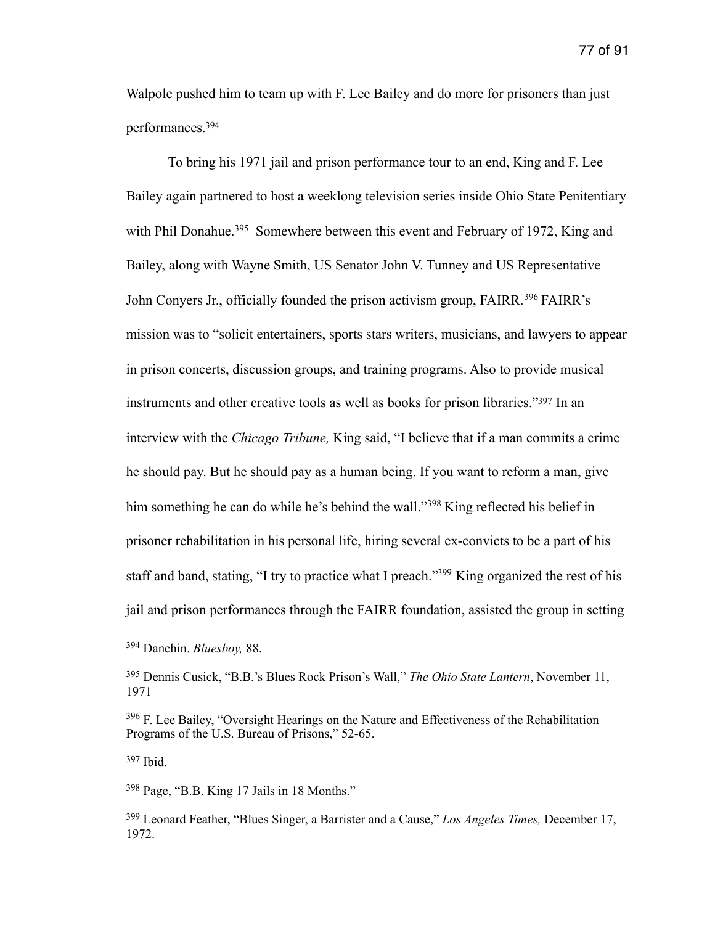Walpole pushed him to team up with F. Lee Bailey and do more for prisoners than just performances[.](#page-77-0) [394](#page-77-0)

<span id="page-77-8"></span><span id="page-77-7"></span><span id="page-77-6"></span> To bring his 1971 jail and prison performance tour to an end, King and F. Lee Bailey again partnered to host a weeklong television series inside Ohio State Penitentiary withPhil Donahue.<sup>[395](#page-77-1)</sup> Somewhere between this event and February of 1972, King and Bailey, along with Wayne Smith, US Senator John V. Tunney and US Representative JohnConyers Jr., officially founded the prison activism group, FAIRR.<sup>[396](#page-77-2)</sup> FAIRR's mission was to "solicit entertainers, sports stars writers, musicians, and lawyers to appear in prison concerts, discussion groups, and training programs. Also to provide musical instruments and other creative tools as well as books for prison libraries.["](#page-77-3)<sup>[397](#page-77-3)</sup> In an interview with the *Chicago Tribune,* King said, "I believe that if a man commits a crime he should pay. But he should pay as a human being. If you want to reform a man, give himsomething he can do while he's behind the wall."<sup>[398](#page-77-4)</sup> King reflected his belief in prisoner rehabilitation in his personal life, hiring several ex-convicts to be a part of his staff and band, stating, ["](#page-77-5)I try to practice what I preach."<sup>[399](#page-77-5)</sup> King organized the rest of his jail and prison performances through the FAIRR foundation, assisted the group in setting

<span id="page-77-3"></span>[397](#page-77-9) Ibid.

<span id="page-77-4"></span> $398$  Page, "B.B. King 17 Jails in 18 Months."

<span id="page-77-11"></span><span id="page-77-10"></span><span id="page-77-9"></span><span id="page-77-0"></span>Danchin. *Bluesboy,* 88. [394](#page-77-6)

<span id="page-77-1"></span>Dennis Cusick, "B.B.'s Blues Rock Prison's Wall," *The Ohio State Lantern*, November 11, [395](#page-77-7) 1971

<span id="page-77-2"></span> $396$  F. Lee Bailey, "Oversight Hearings on the Nature and Effectiveness of the Rehabilitation Programs of the U.S. Bureau of Prisons," 52-65.

<span id="page-77-5"></span>Leonard Feather, "Blues Singer, a Barrister and a Cause," *Los Angeles Times,* December 17, [399](#page-77-11) 1972.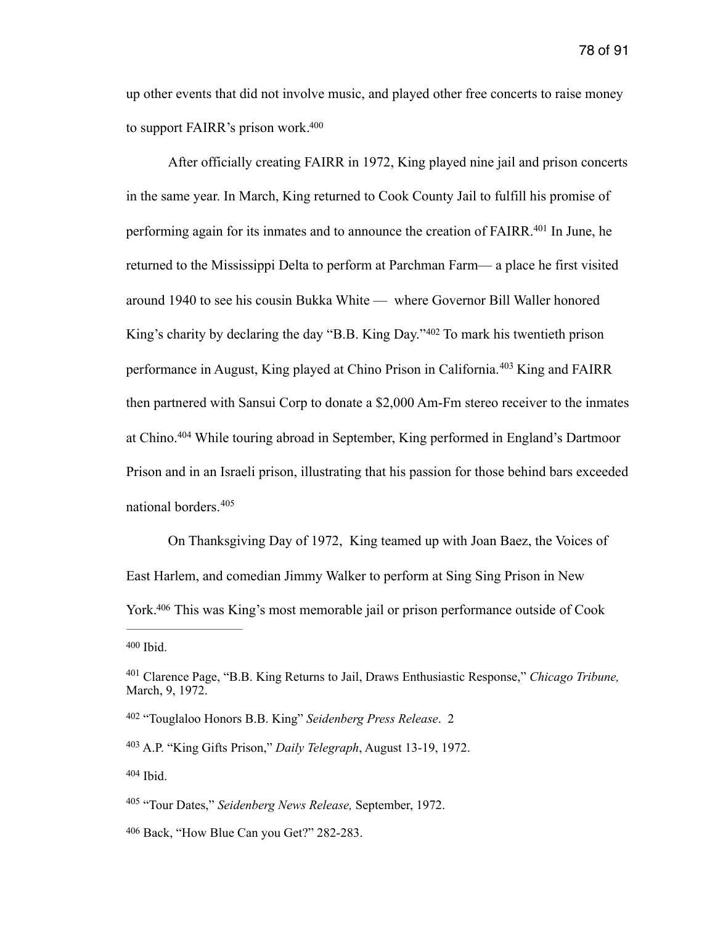up other events that did not involve music, and played other free concerts to raise money to support FAIRR's prison work[.](#page-78-0) [400](#page-78-0)

<span id="page-78-9"></span><span id="page-78-8"></span><span id="page-78-7"></span> After officially creating FAIRR in 1972, King played nine jail and prison concerts in the same year. In March, King returned to Cook County Jail to fulfill his promise of performing again for its inmates and to announce the creation of FAIRR[.](#page-78-1)<sup>[401](#page-78-1)</sup> In June, he returned to the Mississippi Delta to perform at Parchman Farm— a place he first visited around 1940 to see his cousin Bukka White — where Governor Bill Waller honored King'scharity by declaring the day "B.B. King Day." $402$  To mark his twentieth prison performancein August, King played at Chino Prison in California.<sup>[403](#page-78-3)</sup> King and FAIRR then partnered with Sansui Corp to donate a \$2,000 Am-Fm stereo receiver to the inmates atChino.<sup>[404](#page-78-4)</sup> While touring abroad in September, King performed in England's Dartmoor Prison and in an Israeli prison, illustrating that his passion for those behind bars exceeded national borders. [405](#page-78-5)

<span id="page-78-12"></span><span id="page-78-11"></span><span id="page-78-10"></span> On Thanksgiving Day of 1972, King teamed up with Joan Baez, the Voices of East Harlem, and comedian Jimmy Walker to perform at Sing Sing Prison in New York[.](#page-78-6)<sup>[406](#page-78-6)</sup> This was King's most memorable jail or prison performance outside of Cook

<span id="page-78-13"></span><span id="page-78-0"></span> $400$  Ibid.

<span id="page-78-3"></span><sup>[403](#page-78-10)</sup> A.P. "King Gifts Prison," *Daily Telegraph*, August 13-19, 1972.

<span id="page-78-4"></span>[404](#page-78-11) Ibid.

<span id="page-78-1"></span>Clarence Page, "B.B. King Returns to Jail, Draws Enthusiastic Response," *Chicago Tribune,* [401](#page-78-8) March, 9, 1972.

<span id="page-78-2"></span> <sup>&</sup>quot;Touglaloo Honors B.B. King" *Seidenberg Press Release*. 2 [402](#page-78-9)

<span id="page-78-5"></span><sup>&</sup>lt;sup>[405](#page-78-12)</sup> "Tour Dates," *Seidenberg News Release*, September, 1972.

<span id="page-78-6"></span>[<sup>406</sup>](#page-78-13) Back, "How Blue Can you Get?" 282-283.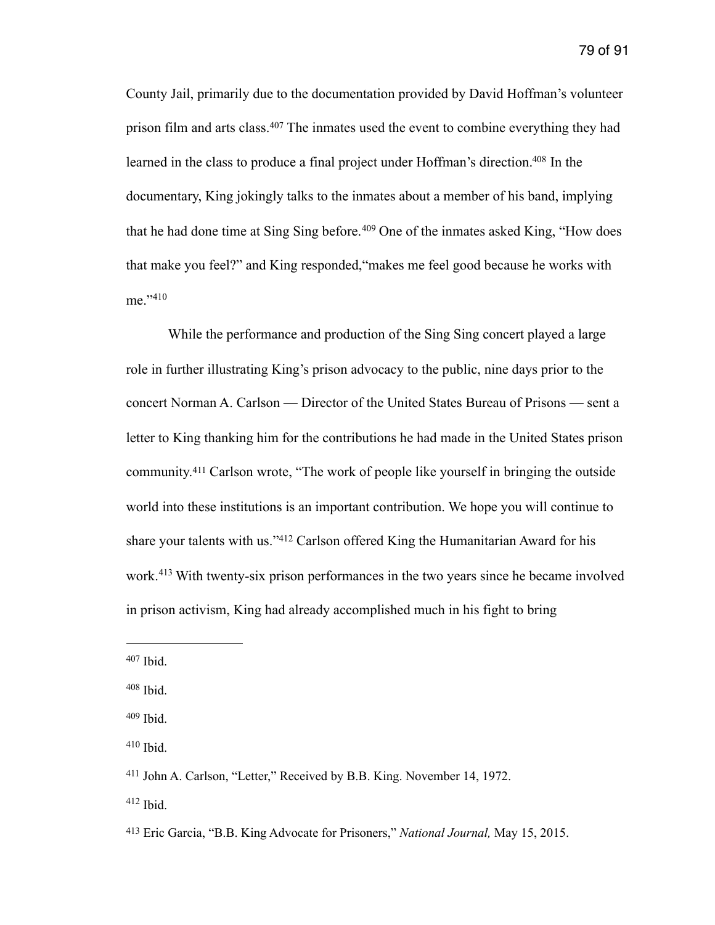<span id="page-79-8"></span><span id="page-79-7"></span>County Jail, primarily due to the documentation provided by David Hoffman's volunteer prisonfilm and arts class.<sup>[407](#page-79-0)</sup> The inmates used the event to combine everything they had learned in the class to produce a final project under Hoffman's direction[.](#page-79-1)<sup>[408](#page-79-1)</sup> In the documentary, King jokingly talks to the inmates about a member of his band, implying thathe had done time at Sing Sing before.  $409$  One of the inmates asked King, "How does that make you feel?" and King responded,"makes me feel good because he works with me<sup>"410</sup>

<span id="page-79-11"></span><span id="page-79-10"></span><span id="page-79-9"></span>While the performance and production of the Sing Sing concert played a large role in further illustrating King's prison advocacy to the public, nine days prior to the concert Norman A. Carlson — Director of the United States Bureau of Prisons — sent a letter to King thanking him for the contributions he had made in the United States prison community.<sup>411</sup>Carlson wrote, "The work of people like yourself in bringing the outside world into these institutions is an important contribution. We hope you will continue to shareyour talents with us."[412](#page-79-5) Carlson offered King the Humanitarian Award for his work.<sup>413</sup>With twenty-six prison performances in the two years since he became involved in prison activism, King had already accomplished much in his fight to bring

<span id="page-79-13"></span><span id="page-79-12"></span><span id="page-79-0"></span> $407$  Ibid.

<span id="page-79-1"></span> $408$  Ibid.

<span id="page-79-2"></span> $409$  Ibid.

<span id="page-79-3"></span> $410$  Ibid.

<span id="page-79-4"></span><sup>&</sup>lt;sup>[411](#page-79-11)</sup> John A. Carlson, "Letter," Received by B.B. King. November 14, 1972.

<span id="page-79-5"></span> $412$  Ibid.

<span id="page-79-6"></span>Eric Garcia, "B.B. King Advocate for Prisoners," *National Journal,* May 15, 2015. [413](#page-79-13)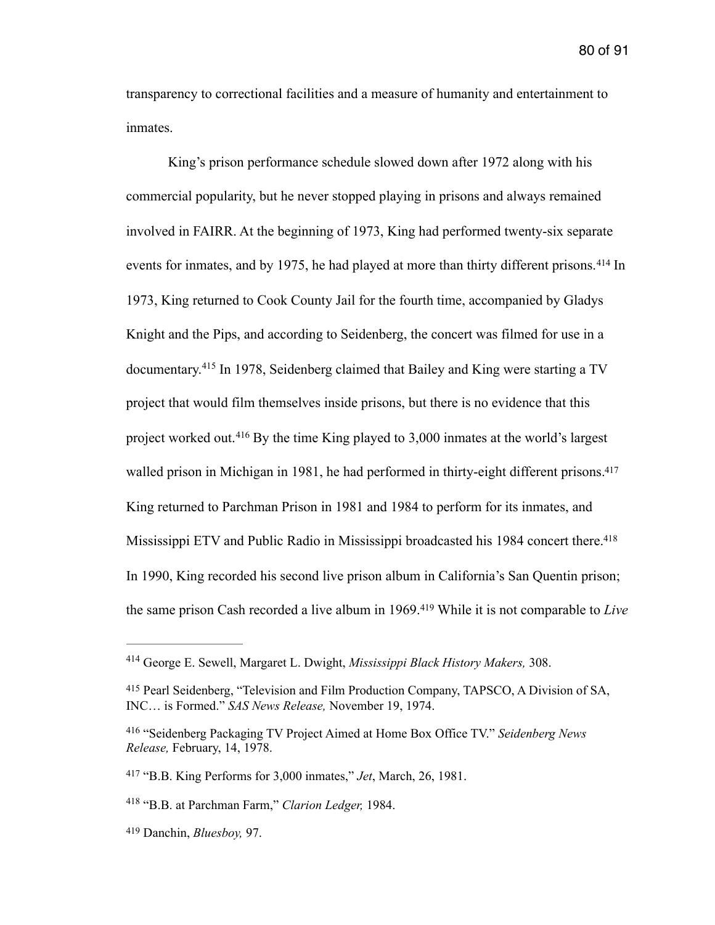<span id="page-80-9"></span><span id="page-80-6"></span>80 of 91

transparency to correctional facilities and a measure of humanity and entertainment to inmates.

<span id="page-80-7"></span> King's prison performance schedule slowed down after 1972 along with his commercial popularity, but he never stopped playing in prisons and always remained involved in FAIRR. At the beginning of 1973, King had performed twenty-six separate eventsfor inmates, and by 1975, he had played at more than thirty different prisons.  $414$  In 1973, King returned to Cook County Jail for the fourth time, accompanied by Gladys Knight and the Pips, and according to Seidenberg, the concert was filmed for use in a documentary.<sup>415</sup>In 1978, Seidenberg claimed that Bailey and King were starting a TV project that would film themselves inside prisons, but there is no evidence that this projectworked out.<sup>[416](#page-80-2)</sup> By the time King played to 3,000 inmates at the world's largest walled prison in Michigan in 1981, he had performed in thirty-eight different prisons.<sup>417</sup> King returned to Parchman Prison in 1981 and 1984 to perform for its inmates, and Mississippi ETV and Public Radio in Mississippi broadcasted his 1984 concert there[.](#page-80-4)<sup>[418](#page-80-4)</sup> In 1990, King recorded his second live prison album in California's San Quentin prison; thesame prison Cash recorded a live album in 1969.<sup>419</sup> While it is not comparable to *Live* 

<span id="page-80-11"></span><span id="page-80-10"></span><span id="page-80-8"></span><span id="page-80-0"></span>George E. Sewell, Margaret L. Dwight, *Mississippi Black History Makers,* 308. [414](#page-80-6)

<span id="page-80-1"></span><sup>&</sup>lt;sup>[415](#page-80-7)</sup> Pearl Seidenberg, "Television and Film Production Company, TAPSCO, A Division of SA, INC… is Formed." *SAS News Release,* November 19, 1974.

<span id="page-80-2"></span><sup>&</sup>lt;sup>[416](#page-80-8)</sup> "Seidenberg Packaging TV Project Aimed at Home Box Office TV." Seidenberg News *Release,* February, 14, 1978.

<span id="page-80-3"></span><sup>&</sup>lt;sup>[417](#page-80-9)</sup> "B.B. King Performs for 3,000 inmates," *Jet*, March, 26, 1981.

<span id="page-80-4"></span><sup>&</sup>lt;sup>[418](#page-80-10)</sup> "B.B. at Parchman Farm," *Clarion Ledger*, 1984.

<span id="page-80-5"></span>Danchin, *Bluesboy,* 97. [419](#page-80-11)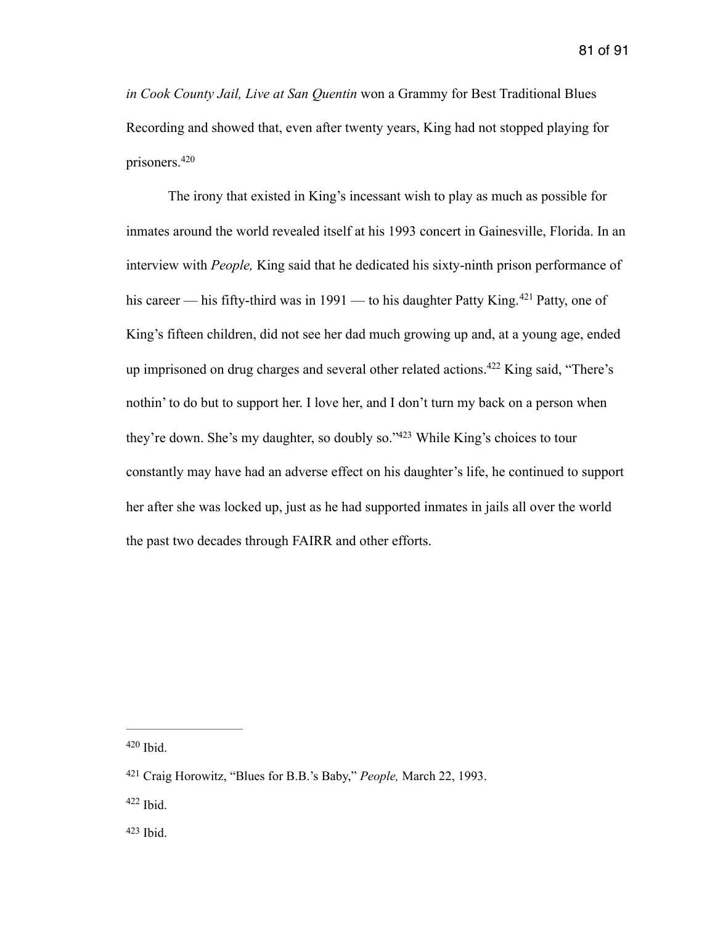*in Cook County Jail, Live at San Quentin* won a Grammy for Best Traditional Blues Recording and showed that, even after twenty years, King had not stopped playing for prisoners. [420](#page-81-0)

<span id="page-81-7"></span><span id="page-81-6"></span><span id="page-81-5"></span><span id="page-81-4"></span> The irony that existed in King's incessant wish to play as much as possible for inmates around the world revealed itself at his 1993 concert in Gainesville, Florida. In an interview with *People,* King said that he dedicated his sixty-ninth prison performance of hiscareer — his fifty-third was in  $1991$  — to his daughter Patty King.<sup>[421](#page-81-1)</sup> Patty, one of King's fifteen children, did not see her dad much growing up and, at a young age, ended up imprisoned on drug charges and several other related actions[.](#page-81-2)  $422$  King said, "There's nothin' to do but to support her. I love her, and I don't turn my back on a person when they'redown. She's my daughter, so doubly so." $423$  While King's choices to tour constantly may have had an adverse effect on his daughter's life, he continued to support her after she was locked up, just as he had supported inmates in jails all over the world the past two decades through FAIRR and other efforts.

<span id="page-81-0"></span> $420$  Ibid.

<span id="page-81-1"></span><sup>&</sup>lt;sup>[421](#page-81-5)</sup> Craig Horowitz, "Blues for B.B.'s Baby," *People*, March 22, 1993.

<span id="page-81-2"></span> $422$  Ibid.

<span id="page-81-3"></span>[<sup>423</sup>](#page-81-7) Ibid.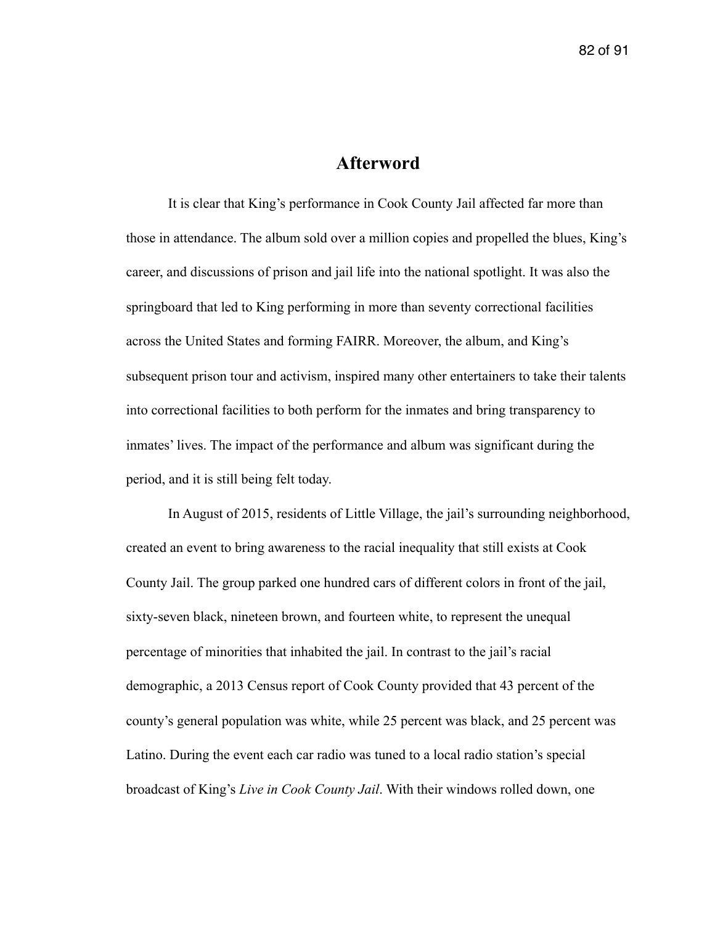# **Afterword**

 It is clear that King's performance in Cook County Jail affected far more than those in attendance. The album sold over a million copies and propelled the blues, King's career, and discussions of prison and jail life into the national spotlight. It was also the springboard that led to King performing in more than seventy correctional facilities across the United States and forming FAIRR. Moreover, the album, and King's subsequent prison tour and activism, inspired many other entertainers to take their talents into correctional facilities to both perform for the inmates and bring transparency to inmates' lives. The impact of the performance and album was significant during the period, and it is still being felt today.

 In August of 2015, residents of Little Village, the jail's surrounding neighborhood, created an event to bring awareness to the racial inequality that still exists at Cook County Jail. The group parked one hundred cars of different colors in front of the jail, sixty-seven black, nineteen brown, and fourteen white, to represent the unequal percentage of minorities that inhabited the jail. In contrast to the jail's racial demographic, a 2013 Census report of Cook County provided that 43 percent of the county's general population was white, while 25 percent was black, and 25 percent was Latino. During the event each car radio was tuned to a local radio station's special broadcast of King's *Live in Cook County Jail*. With their windows rolled down, one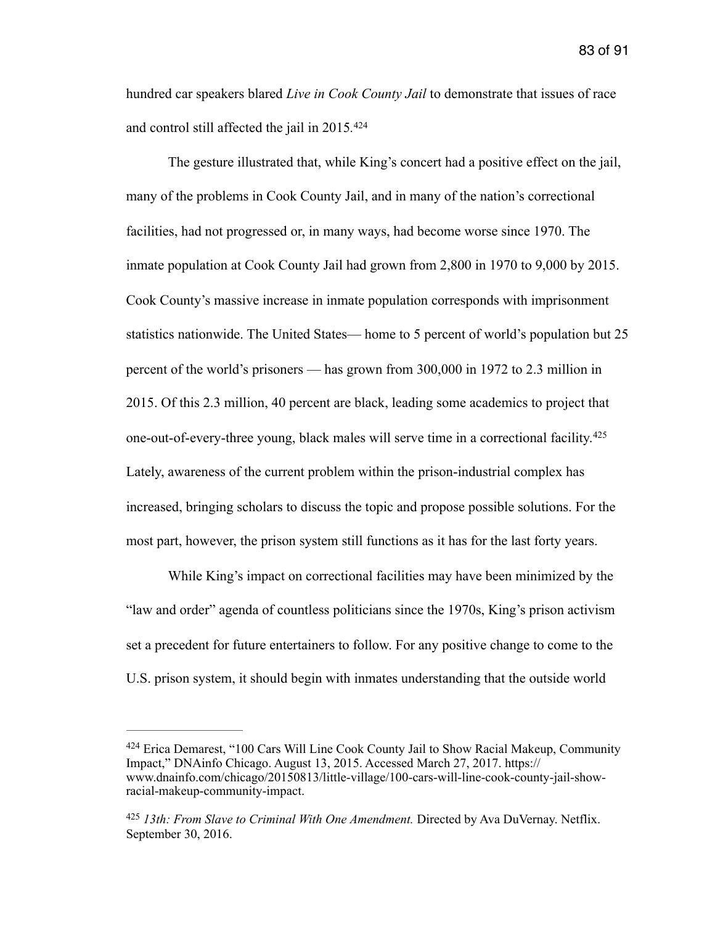hundred car speakers blared *Live in Cook County Jail* to demonstrate that issues of race and control still affected the jail in 2015*.* [424](#page-83-0)

<span id="page-83-2"></span> The gesture illustrated that, while King's concert had a positive effect on the jail, many of the problems in Cook County Jail, and in many of the nation's correctional facilities, had not progressed or, in many ways, had become worse since 1970. The inmate population at Cook County Jail had grown from 2,800 in 1970 to 9,000 by 2015. Cook County's massive increase in inmate population corresponds with imprisonment statistics nationwide. The United States— home to 5 percent of world's population but 25 percent of the world's prisoners — has grown from 300,000 in 1972 to 2.3 million in 2015. Of this 2.3 million, 40 percent are black, leading some academics to project that one-out-of-every-three young, black males will serve time in a correctional facility.[425](#page-83-1) Lately, awareness of the current problem within the prison-industrial complex has increased, bringing scholars to discuss the topic and propose possible solutions. For the most part, however, the prison system still functions as it has for the last forty years.

<span id="page-83-3"></span> While King's impact on correctional facilities may have been minimized by the "law and order" agenda of countless politicians since the 1970s, King's prison activism set a precedent for future entertainers to follow. For any positive change to come to the U.S. prison system, it should begin with inmates understanding that the outside world

<span id="page-83-0"></span> $424$  Erica Demarest, "100 Cars Will Line Cook County Jail to Show Racial Makeup, Community Impact," DNAinfo Chicago. August 13, 2015. Accessed March 27, 2017. https:// www.dnainfo.com/chicago/20150813/little-village/100-cars-will-line-cook-county-jail-showracial-makeup-community-impact.

<span id="page-83-1"></span><sup>&</sup>lt;sup>[425](#page-83-3)</sup> 13th: From Slave to Criminal With One Amendment. Directed by Ava DuVernay. Netflix. September 30, 2016.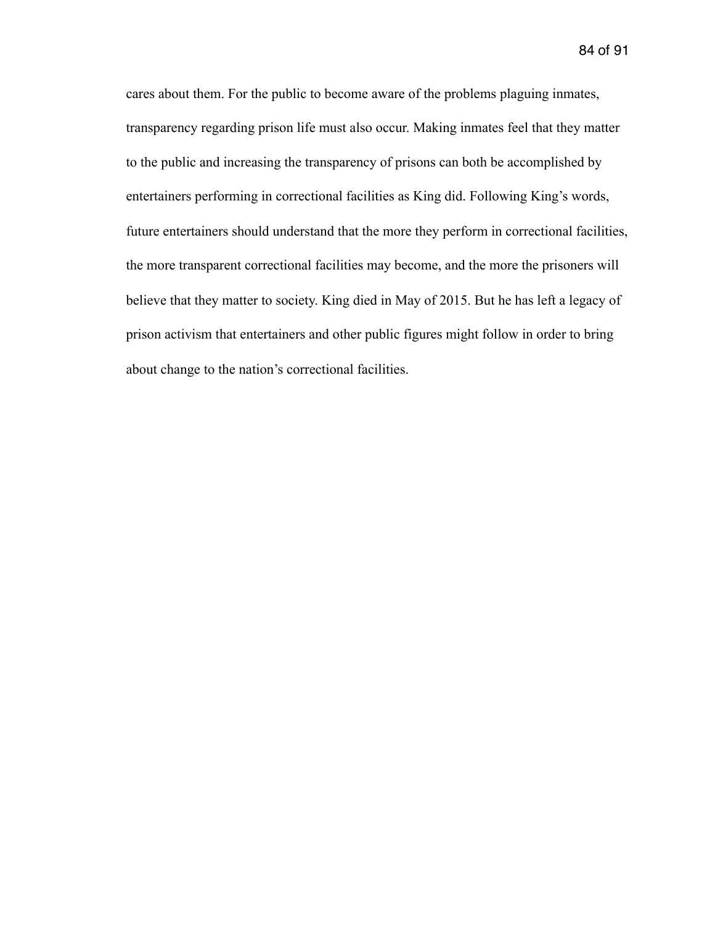84 of 91

cares about them. For the public to become aware of the problems plaguing inmates, transparency regarding prison life must also occur. Making inmates feel that they matter to the public and increasing the transparency of prisons can both be accomplished by entertainers performing in correctional facilities as King did. Following King's words, future entertainers should understand that the more they perform in correctional facilities, the more transparent correctional facilities may become, and the more the prisoners will believe that they matter to society. King died in May of 2015. But he has left a legacy of prison activism that entertainers and other public figures might follow in order to bring about change to the nation's correctional facilities.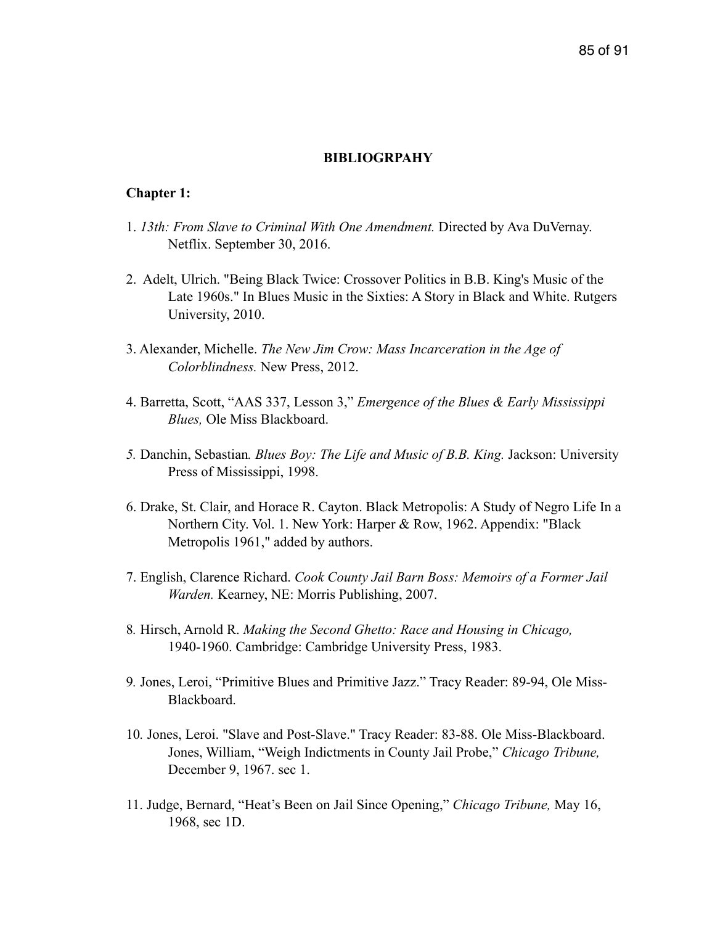### **BIBLIOGRPAHY**

## **Chapter 1:**

- 1. *13th: From Slave to Criminal With One Amendment.* Directed by Ava DuVernay. Netflix. September 30, 2016.
- 2. Adelt, Ulrich. "Being Black Twice: Crossover Politics in B.B. King's Music of the Late 1960s." In Blues Music in the Sixties: A Story in Black and White. Rutgers University, 2010.
- 3. Alexander, Michelle. *The New Jim Crow: Mass Incarceration in the Age of Colorblindness.* New Press, 2012.
- 4. Barretta, Scott, "AAS 337, Lesson 3," *Emergence of the Blues & Early Mississippi Blues,* Ole Miss Blackboard.
- *5.* Danchin, Sebastian*. Blues Boy: The Life and Music of B.B. King.* Jackson: University Press of Mississippi, 1998.
- 6. Drake, St. Clair, and Horace R. Cayton. Black Metropolis: A Study of Negro Life In a Northern City. Vol. 1. New York: Harper & Row, 1962. Appendix: "Black Metropolis 1961," added by authors.
- 7. English, Clarence Richard. *Cook County Jail Barn Boss: Memoirs of a Former Jail Warden.* Kearney, NE: Morris Publishing, 2007.
- 8*.* Hirsch, Arnold R. *Making the Second Ghetto: Race and Housing in Chicago,* 1940-1960. Cambridge: Cambridge University Press, 1983.
- 9*.* Jones, Leroi, "Primitive Blues and Primitive Jazz." Tracy Reader: 89-94, Ole Miss- Blackboard.
- 10*.* Jones, Leroi. "Slave and Post-Slave." Tracy Reader: 83-88. Ole Miss-Blackboard. Jones, William, "Weigh Indictments in County Jail Probe," *Chicago Tribune,*  December 9, 1967. sec 1.
- 11. Judge, Bernard, "Heat's Been on Jail Since Opening," *Chicago Tribune,* May 16, 1968, sec 1D.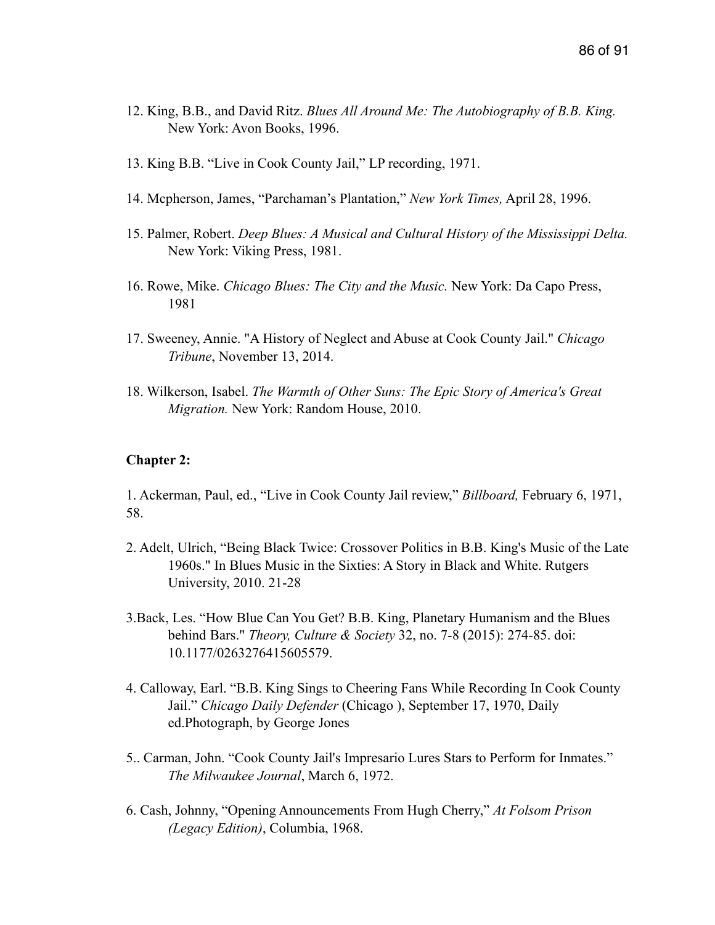- 12. King, B.B., and David Ritz. *Blues All Around Me: The Autobiography of B.B. King.* New York: Avon Books, 1996.
- 13. King B.B. "Live in Cook County Jail," LP recording, 1971.
- 14. Mcpherson, James, "Parchaman's Plantation," *New York Times,* April 28, 1996.
- 15. Palmer, Robert. *Deep Blues: A Musical and Cultural History of the Mississippi Delta.* New York: Viking Press, 1981.
- 16. Rowe, Mike. *Chicago Blues: The City and the Music.* New York: Da Capo Press, 1981
- 17. Sweeney, Annie. "A History of Neglect and Abuse at Cook County Jail." *Chicago Tribune*, November 13, 2014.
- 18. Wilkerson, Isabel. *The Warmth of Other Suns: The Epic Story of America's Great Migration.* New York: Random House, 2010.

## **Chapter 2:**

1. Ackerman, Paul, ed., "Live in Cook County Jail review," *Billboard,* February 6, 1971, 58.

- 2. Adelt, Ulrich, "Being Black Twice: Crossover Politics in B.B. King's Music of the Late 1960s." In Blues Music in the Sixties: A Story in Black and White. Rutgers University, 2010. 21-28
- 3.Back, Les. "How Blue Can You Get? B.B. King, Planetary Humanism and the Blues behind Bars." *Theory, Culture & Society* 32, no. 7-8 (2015): 274-85. doi: 10.1177/0263276415605579.
- 4. Calloway, Earl. "B.B. King Sings to Cheering Fans While Recording In Cook County Jail." *Chicago Daily Defender* (Chicago ), September 17, 1970, Daily ed.Photograph, by George Jones
- 5.. Carman, John. "Cook County Jail's Impresario Lures Stars to Perform for Inmates." *The Milwaukee Journal*, March 6, 1972.
- 6. Cash, Johnny, "Opening Announcements From Hugh Cherry," *At Folsom Prison (Legacy Edition)*, Columbia, 1968.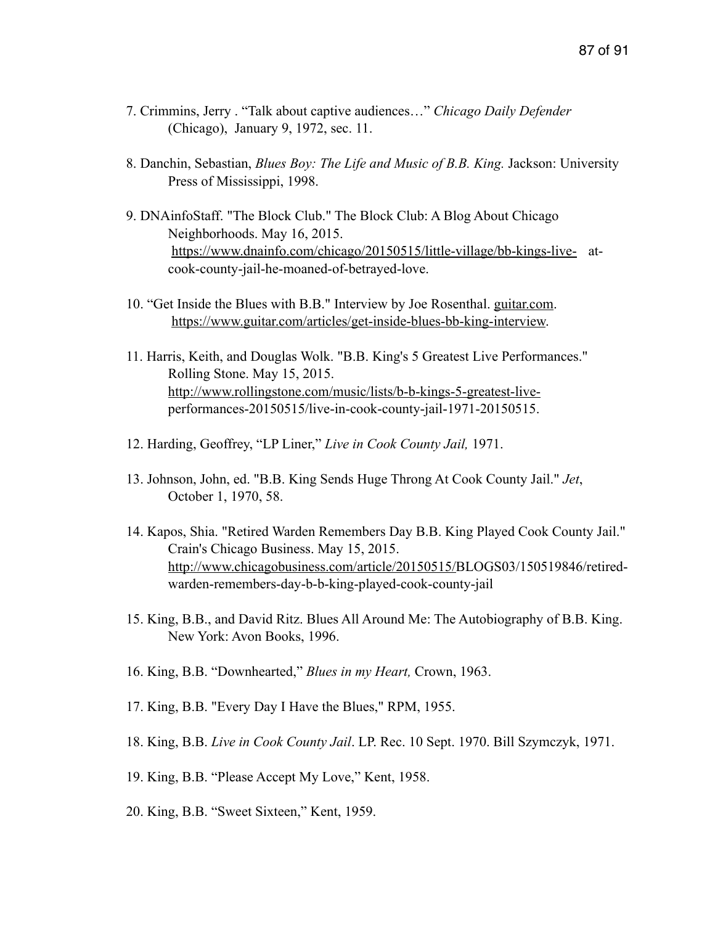- 7. Crimmins, Jerry . "Talk about captive audiences…" *Chicago Daily Defender* (Chicago), January 9, 1972, sec. 11.
- 8. Danchin, Sebastian, *Blues Boy: The Life and Music of B.B. King.* Jackson: University Press of Mississippi, 1998.
- 9. DNAinfoStaff. "The Block Club." The Block Club: A Blog About Chicago Neighborhoods. May 16, 2015. <https://www.dnainfo.com/chicago/20150515/little-village/bb-kings-live-> at cook-county-jail-he-moaned-of-betrayed-love.
- 10. "Get Inside the Blues with B.B." Interview by Joe Rosenthal. [guitar.com](http://guitar.com). <https://www.guitar.com/articles/get-inside-blues-bb-king-interview>.
- 11. Harris, Keith, and Douglas Wolk. "B.B. King's 5 Greatest Live Performances." Rolling Stone. May 15, 2015. [http://www.rollingstone.com/music/lists/b-b-kings-5-greatest-live](http://www.rollingstone.com/music/lists/b-b-kings-5-greatest-live-) performances-20150515/live-in-cook-county-jail-1971-20150515.
- 12. Harding, Geoffrey, "LP Liner," *Live in Cook County Jail,* 1971.
- 13. Johnson, John, ed. "B.B. King Sends Huge Throng At Cook County Jail." *Jet*, October 1, 1970, 58.
- 14. Kapos, Shia. "Retired Warden Remembers Day B.B. King Played Cook County Jail." Crain's Chicago Business. May 15, 2015. <http://www.chicagobusiness.com/article/20150515/>BLOGS03/150519846/retired warden-remembers-day-b-b-king-played-cook-county-jail
- 15. King, B.B., and David Ritz. Blues All Around Me: The Autobiography of B.B. King. New York: Avon Books, 1996.
- 16. King, B.B. "Downhearted," *Blues in my Heart,* Crown, 1963.
- 17. King, B.B. "Every Day I Have the Blues," RPM, 1955.
- 18. King, B.B. *Live in Cook County Jail*. LP. Rec. 10 Sept. 1970. Bill Szymczyk, 1971.
- 19. King, B.B. "Please Accept My Love," Kent, 1958.
- 20. King, B.B. "Sweet Sixteen," Kent, 1959.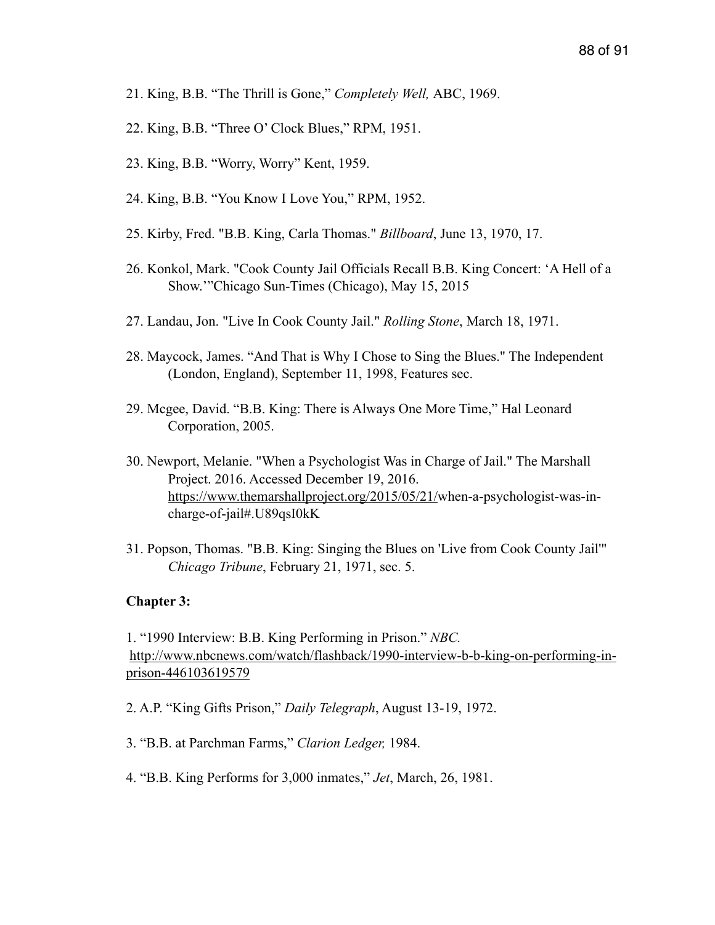- 21. King, B.B. "The Thrill is Gone," *Completely Well,* ABC, 1969.
- 22. King, B.B. "Three O' Clock Blues," RPM, 1951.
- 23. King, B.B. "Worry, Worry" Kent, 1959.
- 24. King, B.B. "You Know I Love You," RPM, 1952.
- 25. Kirby, Fred. "B.B. King, Carla Thomas." *Billboard*, June 13, 1970, 17.
- 26. Konkol, Mark. "Cook County Jail Officials Recall B.B. King Concert: 'A Hell of a Show.'"Chicago Sun-Times (Chicago), May 15, 2015
- 27. Landau, Jon. "Live In Cook County Jail." *Rolling Stone*, March 18, 1971.
- 28. Maycock, James. "And That is Why I Chose to Sing the Blues." The Independent (London, England), September 11, 1998, Features sec.
- 29. Mcgee, David. "B.B. King: There is Always One More Time," Hal Leonard Corporation, 2005.
- 30. Newport, Melanie. "When a Psychologist Was in Charge of Jail." The Marshall Project. 2016. Accessed December 19, 2016. [https://www.themarshallproject.org/2015/05/21/w](https://www.themarshallproject.org/2015/05/21/)hen-a-psychologist-was-in charge-of-jail#.U89qsI0kK
- 31. Popson, Thomas. "B.B. King: Singing the Blues on 'Live from Cook County Jail'" *Chicago Tribune*, February 21, 1971, sec. 5.

### **Chapter 3:**

1. "1990 Interview: B.B. King Performing in Prison." *NBC.* [http://www.nbcnews.com/watch/flashback/1990-interview-b-b-king-on-performing-in](http://www.nbcnews.com/watch/flashback/1990-interview-b-b-king-on-performing-in-prison-446103619579)prison-446103619579

2. A.P. "King Gifts Prison," *Daily Telegraph*, August 13-19, 1972.

- 3. "B.B. at Parchman Farms," *Clarion Ledger,* 1984.
- 4. "B.B. King Performs for 3,000 inmates," *Jet*, March, 26, 1981.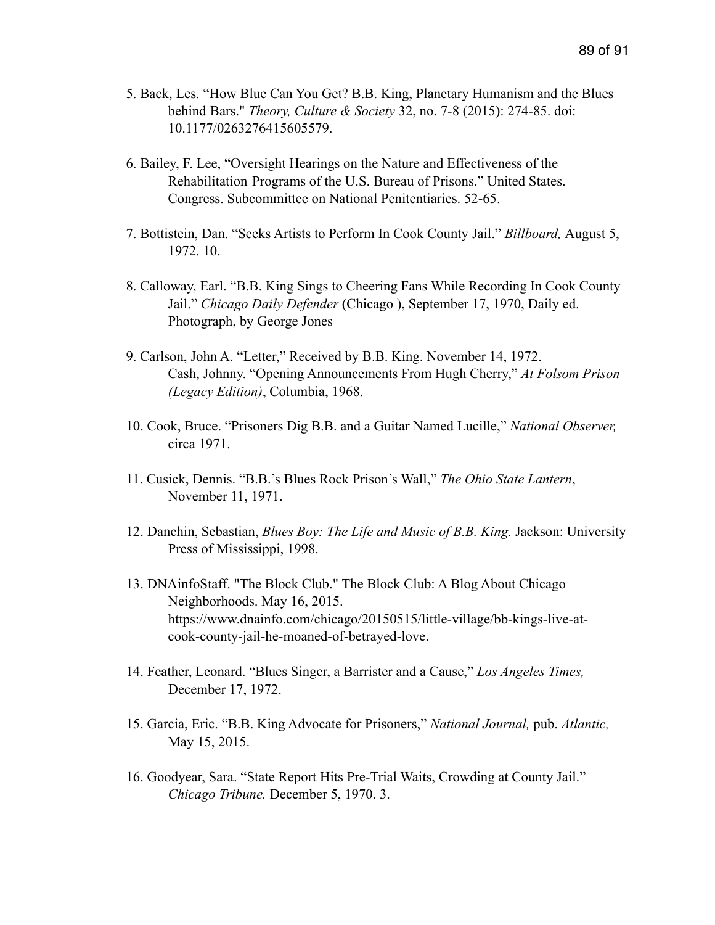- 5. Back, Les. "How Blue Can You Get? B.B. King, Planetary Humanism and the Blues behind Bars." *Theory, Culture & Society* 32, no. 7-8 (2015): 274-85. doi: 10.1177/0263276415605579.
- 6. Bailey, F. Lee, "Oversight Hearings on the Nature and Effectiveness of the Rehabilitation Programs of the U.S. Bureau of Prisons." United States. Congress. Subcommittee on National Penitentiaries. 52-65.
- 7. Bottistein, Dan. "Seeks Artists to Perform In Cook County Jail." *Billboard,* August 5, 1972. 10.
- 8. Calloway, Earl. "B.B. King Sings to Cheering Fans While Recording In Cook County Jail." *Chicago Daily Defender* (Chicago ), September 17, 1970, Daily ed. Photograph, by George Jones
- 9. Carlson, John A. "Letter," Received by B.B. King. November 14, 1972. Cash, Johnny. "Opening Announcements From Hugh Cherry," *At Folsom Prison (Legacy Edition)*, Columbia, 1968.
- 10. Cook, Bruce. "Prisoners Dig B.B. and a Guitar Named Lucille," *National Observer,*  circa 1971.
- 11. Cusick, Dennis. "B.B.'s Blues Rock Prison's Wall," *The Ohio State Lantern*, November 11, 1971.
- 12. Danchin, Sebastian, *Blues Boy: The Life and Music of B.B. King.* Jackson: University Press of Mississippi, 1998.
- 13. DNAinfoStaff. "The Block Club." The Block Club: A Blog About Chicago Neighborhoods. May 16, 2015. <https://www.dnainfo.com/chicago/20150515/little-village/bb-kings-live->at cook-county-jail-he-moaned-of-betrayed-love.
- 14. Feather, Leonard. "Blues Singer, a Barrister and a Cause," *Los Angeles Times,*  December 17, 1972.
- 15. Garcia, Eric. "B.B. King Advocate for Prisoners," *National Journal,* pub. *Atlantic,*  May 15, 2015.
- 16. Goodyear, Sara. "State Report Hits Pre-Trial Waits, Crowding at County Jail." *Chicago Tribune.* December 5, 1970. 3.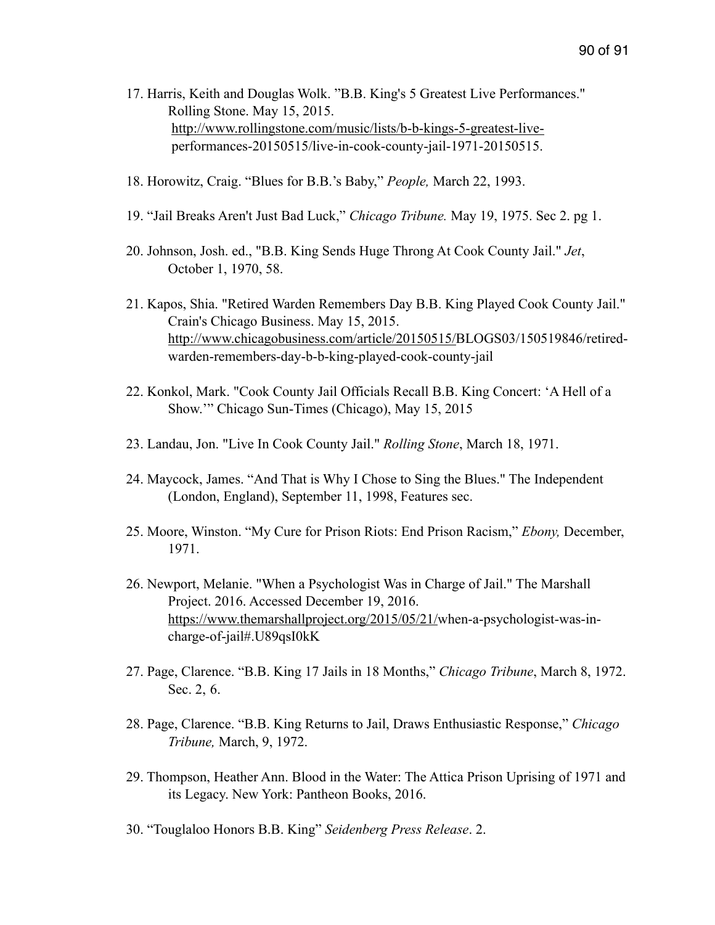- 17. Harris, Keith and Douglas Wolk. "B.B. King's 5 Greatest Live Performances." Rolling Stone. May 15, 2015. [http://www.rollingstone.com/music/lists/b-b-kings-5-greatest-live](http://www.rollingstone.com/music/lists/b-b-kings-5-greatest-live-) performances-20150515/live-in-cook-county-jail-1971-20150515.
- 18. Horowitz, Craig. "Blues for B.B.'s Baby," *People,* March 22, 1993.
- 19. "Jail Breaks Aren't Just Bad Luck," *Chicago Tribune.* May 19, 1975. Sec 2. pg 1.
- 20. Johnson, Josh. ed., "B.B. King Sends Huge Throng At Cook County Jail." *Jet*, October 1, 1970, 58.
- 21. Kapos, Shia. "Retired Warden Remembers Day B.B. King Played Cook County Jail." Crain's Chicago Business. May 15, 2015. <http://www.chicagobusiness.com/article/20150515/>BLOGS03/150519846/retired warden-remembers-day-b-b-king-played-cook-county-jail
- 22. Konkol, Mark. "Cook County Jail Officials Recall B.B. King Concert: 'A Hell of a Show.'" Chicago Sun-Times (Chicago), May 15, 2015
- 23. Landau, Jon. "Live In Cook County Jail." *Rolling Stone*, March 18, 1971.
- 24. Maycock, James. "And That is Why I Chose to Sing the Blues." The Independent (London, England), September 11, 1998, Features sec.
- 25. Moore, Winston. "My Cure for Prison Riots: End Prison Racism," *Ebony,* December, 1971.
- 26. Newport, Melanie. "When a Psychologist Was in Charge of Jail." The Marshall Project. 2016. Accessed December 19, 2016. [https://www.themarshallproject.org/2015/05/21/w](https://www.themarshallproject.org/2015/05/21/)hen-a-psychologist-was-in charge-of-jail#.U89qsI0kK
- 27. Page, Clarence. "B.B. King 17 Jails in 18 Months," *Chicago Tribune*, March 8, 1972. Sec. 2, 6.
- 28. Page, Clarence. "B.B. King Returns to Jail, Draws Enthusiastic Response," *Chicago Tribune,* March, 9, 1972.
- 29. Thompson, Heather Ann. Blood in the Water: The Attica Prison Uprising of 1971 and its Legacy. New York: Pantheon Books, 2016.
- 30. "Touglaloo Honors B.B. King" *Seidenberg Press Release*. 2.